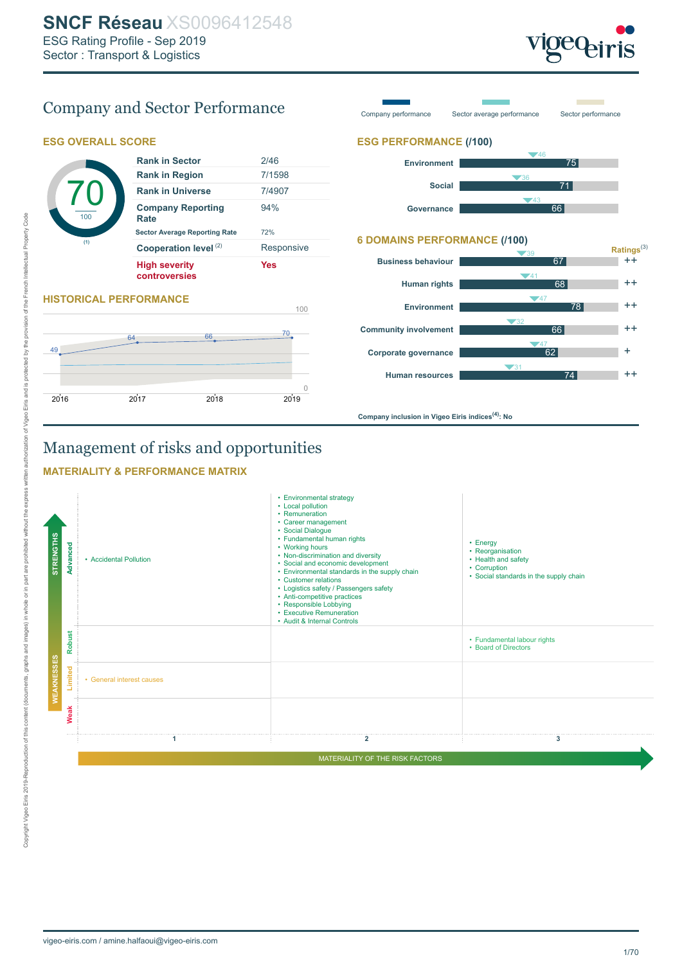



### **MATERIALITY & PERFORMANCE MATRIX**

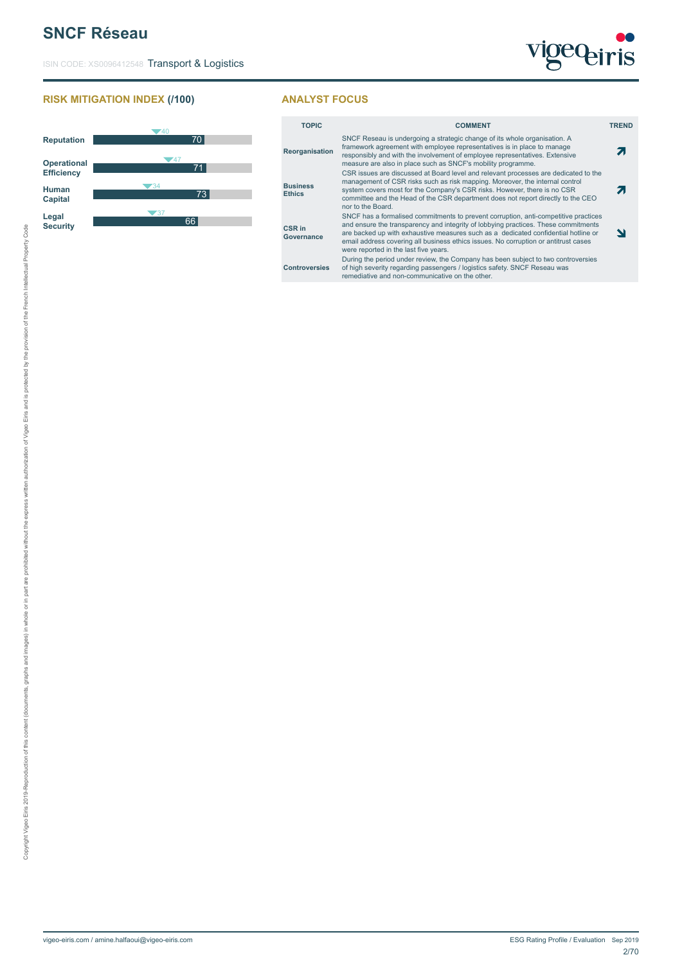

#### **RISK MITIGATION INDEX (/100)**



#### **ANALYST FOCUS**

| <b>TOPIC</b>                     | <b>COMMENT</b>                                                                                                                                                                                                                                                                                                                                                                                  | <b>TREND</b> |
|----------------------------------|-------------------------------------------------------------------------------------------------------------------------------------------------------------------------------------------------------------------------------------------------------------------------------------------------------------------------------------------------------------------------------------------------|--------------|
| Reorganisation                   | SNCF Reseau is undergoing a strategic change of its whole organisation. A<br>framework agreement with employee representatives is in place to manage<br>responsibly and with the involvement of employee representatives. Extensive<br>measure are also in place such as SNCF's mobility programme.                                                                                             |              |
| <b>Business</b><br><b>Ethics</b> | CSR issues are discussed at Board level and relevant processes are dedicated to the<br>management of CSR risks such as risk mapping. Moreover, the internal control<br>system covers most for the Company's CSR risks. However, there is no CSR<br>committee and the Head of the CSR department does not report directly to the CEO<br>nor to the Board.                                        |              |
| CSR in<br>Governance             | SNCF has a formalised commitments to prevent corruption, anti-competitive practices<br>and ensure the transparency and integrity of lobbying practices. These commitments<br>are backed up with exhaustive measures such as a dedicated confidential hotline or<br>email address covering all business ethics issues. No corruption or antitrust cases<br>were reported in the last five years. |              |
| <b>Controversies</b>             | During the period under review, the Company has been subject to two controversies<br>of high severity regarding passengers / logistics safety. SNCF Reseau was<br>remediative and non-communicative on the other.                                                                                                                                                                               |              |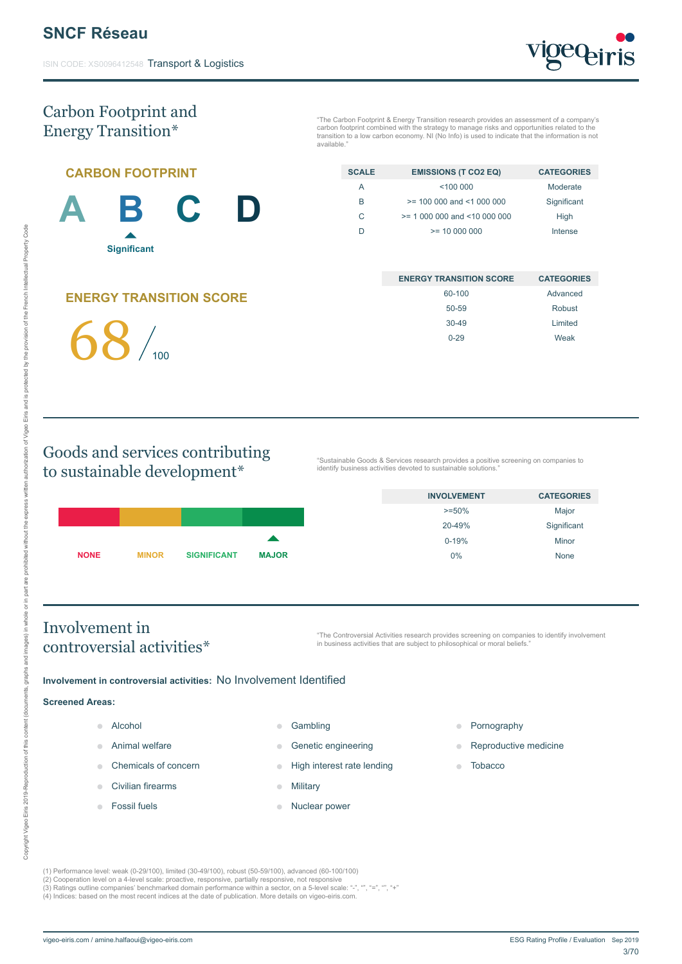

### Carbon Footprint and Energy Transition\*

"The Carbon Footprint & Energy Transition research provides an assessment of a company's carbon footprint combined with the strategy to manage risks and opportunities related to the transition to a low carbon economy. NI (No Info) is used to indicate that the information is not available.

> **SCALE EMISSIONS (T CO2 EQ) CATEGORIES** A <100 000 Moderate B >= 100 000 and <1 000 000 Significant C >= 1 000 000 and <10 000 000 High D >= 10 000 000 Intense

| <b>CARBON FOOTPRINT</b> |  |  |
|-------------------------|--|--|
|                         |  |  |

**A B C D Significant**

| <b>ENERGY TRANSITION SCORE</b> |  |
|--------------------------------|--|
|                                |  |

68 /100

| <b>ENERGY TRANSITION SCORE</b> | <b>CATEGORIES</b> |
|--------------------------------|-------------------|
| 60-100                         | Advanced          |
| 50-59                          | Robust            |

30-49 Limited 0-29 Weak

### Goods and services contributing to sustainable development\*



"Sustainable Goods & Services research provides a positive screening on companies to identify business activities devoted to sustainable solutions."

| <b>INVOLVEMENT</b> | <b>CATEGORIES</b> |
|--------------------|-------------------|
| $>= 50%$           | Major             |
| 20-49%             | Significant       |
| $0 - 19%$          | Minor             |
| 0%                 | <b>None</b>       |

### Involvement in controversial activities\*

"The Controversial Activities research provides screening on companies to identify involvement in business activities that are subject to philosophical or moral beliefs.

### **Involvement in controversial activities:** No Involvement Identified

#### **Screened Areas:**

- Alcohol  $\sim$
- Animal welfare  $\bullet$
- Chemicals of concern  $\blacksquare$ 
	- Civilian firearms
- Fossil fuels  $\bullet$

 $\blacksquare$ 

- **Gambling**  $\bullet$
- Genetic engineering  $\overline{a}$
- High interest rate lending  $\begin{array}{c} \begin{array}{c} \begin{array}{c} \begin{array}{c} \end{array} \end{array} \end{array} \end{array} \end{array}$
- è **Military**
- Nuclear power  $\bullet$
- Pornography  $\bullet$
- Reproductive medicine  $\begin{array}{c} \bullet \\ \bullet \end{array}$
- **Tobacco**  $\sim$

(2) Cooperation level on a 4-level scale: proactive, responsive, partially responsive, not responsive<br>(3) Ratings outline companies' benchmarked domain performance within a sector, on a 5-level scale: "-", "", "=", "", "+"

<sup>(4)</sup> Indices: based on the most recent indices at the date of publication. More details on vigeo-eiris.com.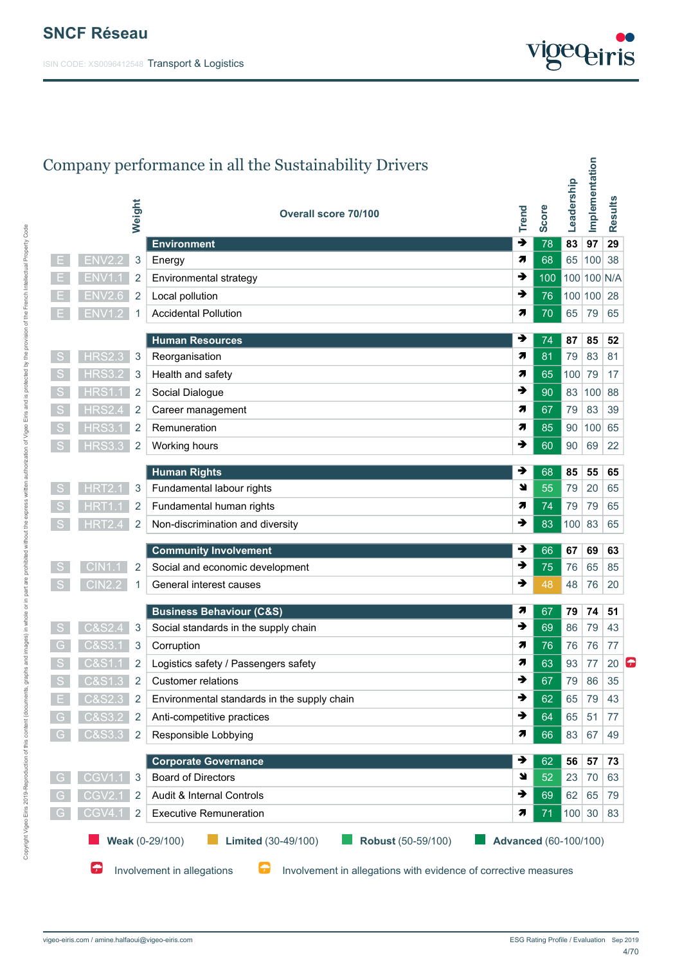ISIN CODE: XS0096412548 Transport & Logistics



## Company performance in all the Sustainability Drivers

Copyright Vigeo Eris 2019-Reproduction of this content (documents, graphs and images) in whole or in part are prohibited with our the express written authorization of Vigeo Eris and is proteed by the provision of the Frenc Copyright Vigeo Erins content (documents, graphs, and images) in whole or in part are prohibited without the express wittlen authorated on Vigeo Erins and is probeded by the provision of the Fench Indellectual Property Cod

| ompany performance in all the Sustainability Drivers<br>Weight<br><b>Overall score 70/100</b> |                    |                |                                                                     | <b>Trend</b> | Score                        | Leadership | Implementation | <b>Results</b> |   |
|-----------------------------------------------------------------------------------------------|--------------------|----------------|---------------------------------------------------------------------|--------------|------------------------------|------------|----------------|----------------|---|
|                                                                                               |                    |                | <b>Environment</b>                                                  | ₹            | 78                           | 83         | 97             | 29             |   |
|                                                                                               | ENV2               | 3              | Energy                                                              | 7            | 68                           | 65         | 100            | 38             |   |
|                                                                                               |                    | 2              | Environmental strategy                                              | →            | 100                          |            | 100 100 N/A    |                |   |
|                                                                                               | ENV2.6             | 2              | Local pollution                                                     | →            | 76                           | 100 100    |                | 28             |   |
| E                                                                                             | ENV1.2             | 1              | <b>Accidental Pollution</b>                                         | 7            | 70                           | 65         | 79             | 65             |   |
|                                                                                               |                    |                | <b>Human Resources</b>                                              | →            | 74                           | 87         | 85             | 52             |   |
| S                                                                                             | HRS2.3             | 3              | Reorganisation                                                      | 71           | 81                           | 79         | 83             | 81             |   |
| S.                                                                                            | <b>HRS3.2</b>      | 3              | Health and safety                                                   | 71           | 65                           | 100        | 79             | 17             |   |
| S                                                                                             | HRS1.1             | $\overline{2}$ | Social Dialogue                                                     | →            | 90                           | 83         | 100            | 88             |   |
| S                                                                                             | HRS2.4             | $\overline{2}$ | Career management                                                   | 71           | 67                           | 79         | 83             | 39             |   |
| S                                                                                             | <b>HRS3.1</b>      | $\overline{2}$ | Remuneration                                                        | 71           | 85                           | 90         | 100            | 65             |   |
| S.                                                                                            | <b>HRS3.3</b>      | 2              | Working hours                                                       | →            | 60                           | 90         | 69             | 22             |   |
|                                                                                               |                    |                | <b>Human Rights</b>                                                 | →            | 68                           | 85         | 55             | 65             |   |
| S                                                                                             | HRT2.1             | 3              | Fundamental labour rights                                           | Y            | 55                           | 79         | 20             | 65             |   |
| S                                                                                             | HRT1.1             | $\overline{2}$ | Fundamental human rights                                            | 7            | 74                           | 79         | 79             | 65             |   |
| S.                                                                                            | <b>HRT2.4</b>      | $\overline{2}$ | Non-discrimination and diversity                                    | →            | 83                           | 100        | 83             | 65             |   |
|                                                                                               |                    |                | <b>Community Involvement</b>                                        | →            | 66                           | 67         | 69             | 63             |   |
| S.                                                                                            | CIN1.1             | 2              | Social and economic development                                     | →            | 75                           | 76         | 65             | 85             |   |
| S                                                                                             | C <sub>IN2.2</sub> | 1              | General interest causes                                             | →            | 48                           | 48         | 76             | 20             |   |
|                                                                                               |                    |                | <b>Business Behaviour (C&amp;S)</b>                                 | 71           | 67                           | 79         | 74             | 51             |   |
| S                                                                                             | C&S2               | 3              | Social standards in the supply chain                                | →            | 69                           | 86         | 79             | 43             |   |
| G                                                                                             | 8S3                | 3              | Corruption                                                          | 71           | 76                           | 76         | 76             | 77             |   |
| S.                                                                                            | C&S1.1             | $\overline{2}$ | Logistics safety / Passengers safety                                | 71           | 63                           | 93         | 77             | 20             | 6 |
| S                                                                                             | C&S1.3             | $\overline{2}$ | <b>Customer relations</b>                                           | →            | 67                           | 79         | 86             | 35             |   |
| Е.                                                                                            | C&S2.3             | $\overline{2}$ | Environmental standards in the supply chain                         | →            | 62                           | 65         | 79             | 43             |   |
| G                                                                                             | C&S3.2             | $\overline{2}$ | Anti-competitive practices                                          | →            | 64                           | 65         | 51             | 77             |   |
| G                                                                                             | C&S3.3             | $\overline{2}$ | Responsible Lobbying                                                | 7            | 66                           | 83         | 67             | 49             |   |
|                                                                                               |                    |                | <b>Corporate Governance</b>                                         | →            | 62                           | 56         | 57             | 73             |   |
| G                                                                                             | CGV1               | 3              | <b>Board of Directors</b>                                           | Y            | 52                           | 23         | 70             | 63             |   |
| G                                                                                             | CGV2.1             | $\overline{2}$ | →<br>Audit & Internal Controls<br>69<br>62                          |              |                              |            |                |                |   |
| G                                                                                             | <b>CGV4.1</b>      | $\overline{2}$ | <b>Executive Remuneration</b>                                       | 7            | 71                           | 100        | 30             | 83             |   |
|                                                                                               |                    |                | Limited (30-49/100)<br><b>Robust</b> (50-59/100)<br>Weak (0-29/100) |              | <b>Advanced</b> (60-100/100) |            |                |                |   |

Involvement in allegations  $\Box$  Involvement in allegations with evidence of corrective measures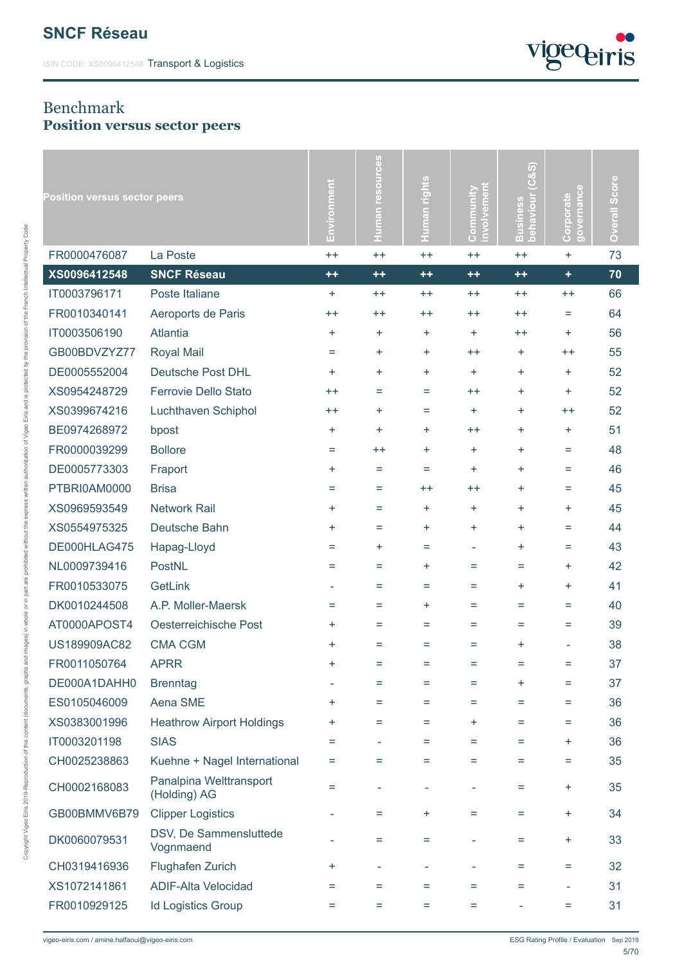

### Benchmark **Position versus sector peers**

| Position versus sector peers |                                         |                | resources<br>Human | Human rights | ement<br>$\overline{\circ}$<br>Com | C&S<br>Business<br>behaviour | ernance<br>Corporate<br>governanc | Overall Score |
|------------------------------|-----------------------------------------|----------------|--------------------|--------------|------------------------------------|------------------------------|-----------------------------------|---------------|
| FR0000476087                 | La Poste                                | $++$           | $++$               | $^{++}$      | $++$                               | $^{++}$                      | $\ddot{}$                         | 73            |
| XS0096412548                 | <b>SNCF Réseau</b>                      | $^{\tiny{++}}$ | $^{\tiny{++}}$     | ++           | $^{\tiny{++}}$                     | $^{\tiny{++}}$               | ٠                                 | 70            |
| IT0003796171                 | Poste Italiane                          | $\ddot{}$      | $++$               | $++$         | $++$                               | $++$                         | $++$                              | 66            |
| FR0010340141                 | Aeroports de Paris                      | $^{++}$        | $^{++}$            | $^{++}$      | $^{\mathrm{+}}$                    | $^{++}$                      | Ξ                                 | 64            |
| IT0003506190                 | Atlantia                                | ÷              | ÷                  | ÷            | ÷                                  | $^{++}$                      | $\pm$                             | 56            |
| GB00BDVZYZ77                 | Royal Mail                              | Ξ              | ÷                  | ÷            | $^{++}$                            | ÷                            | $^{++}$                           | 55            |
| DE0005552004                 | <b>Deutsche Post DHL</b>                | ÷              | ÷                  | ÷            | ÷                                  | ÷                            | $\ddot{}$                         | 52            |
| XS0954248729                 | Ferrovie Dello Stato                    | $++$           | Ξ                  | Ξ            | $^{++}$                            | +                            | +                                 | 52            |
| XS0399674216                 | Luchthaven Schiphol                     | $^{++}$        | ÷                  | Ξ            | $\ddot{}$                          | ÷                            | $++$                              | 52            |
| BE0974268972                 | bpost                                   | ÷              | $\ddot{}$          | ÷            | $^{++}$                            | ÷                            | $\ddot{}$                         | 51            |
| FR0000039299                 | <b>Bollore</b>                          | Ξ              | $^{++}$            | ÷            | ÷                                  | +                            | Ξ                                 | 48            |
| DE0005773303                 | Fraport                                 | ÷              | Ξ                  | Ξ            | ÷                                  | ÷                            | Ξ                                 | 46            |
| PTBRI0AM0000                 | <b>Brisa</b>                            | Ξ              | Ξ                  | $++$         | $^{++}$                            | ÷                            | Ξ                                 | 45            |
| XS0969593549                 | <b>Network Rail</b>                     | ÷              | Ξ                  | ÷            | ÷                                  | +                            | +                                 | 45            |
| XS0554975325                 | Deutsche Bahn                           | ÷              | Ξ                  | ÷            | ÷                                  | ÷                            | Ξ                                 | 44            |
| DE000HLAG475                 | Hapag-Lloyd                             | Ξ              | ÷                  | $=$          | $\overline{\phantom{a}}$           | ÷                            | $=$                               | 43            |
| NL0009739416                 | PostNL                                  | $=$            | Ξ                  | ÷            | Ξ                                  | Ξ                            | +                                 | 42            |
| FR0010533075                 | GetLink                                 |                | Ξ                  | Ξ            | Ξ                                  | ÷                            | +                                 | 41            |
| DK0010244508                 | A.P. Moller-Maersk                      | $=$            | Ξ                  | ÷            | Ξ                                  | Ξ                            | Ξ                                 | 40            |
| AT0000APOST4                 | Oesterreichische Post                   | +              | Ξ                  | Ξ            | Ξ                                  | Ξ                            | Ξ                                 | 39            |
| US189909AC82                 | <b>CMA CGM</b>                          | +              | Ξ                  | Ξ            | Ξ                                  | $\pmb{+}$                    |                                   | 38            |
| FR0011050764                 | <b>APRR</b>                             |                |                    |              |                                    |                              |                                   | 37            |
| DE000A1DAHH0                 | <b>Brenntag</b>                         |                | Ξ                  | Ξ            | Ξ                                  | ÷                            | Ξ                                 | 37            |
| ES0105046009                 | Aena SME                                | $\ddot{}$      | ÷.                 | ÷.           | Ξ                                  | Ξ                            | Ξ                                 | 36            |
| XS0383001996                 | <b>Heathrow Airport Holdings</b>        | ÷              | Ξ                  | ÷.           | ÷                                  | Ξ                            | Ξ                                 | 36            |
| IT0003201198                 | <b>SIAS</b>                             | Ξ              |                    | Ξ            | $=$                                | Ξ                            | +                                 | 36            |
| CH0025238863                 | Kuehne + Nagel International            | Ξ              | Ξ                  | Ξ            | Ξ                                  | Ξ                            | Ξ                                 | 35            |
| CH0002168083                 | Panalpina Welttransport<br>(Holding) AG | Ξ              |                    |              | ÷                                  | Ξ                            | +                                 | 35            |
| GB00BMMV6B79                 | <b>Clipper Logistics</b>                |                | Ξ                  | ÷            | Ξ                                  | Ξ                            | +                                 | 34            |
| DK0060079531                 | DSV, De Sammensluttede<br>Vognmaend     |                | Ξ                  | Ξ            | ä,                                 | Ξ                            | +                                 | 33            |
| CH0319416936                 | Flughafen Zurich                        | ÷              |                    |              |                                    | Ξ                            | Ξ                                 | 32            |
| XS1072141861                 | <b>ADIF-Alta Velocidad</b>              | Ξ              | Ξ                  | Ξ            | Ξ                                  | Ξ                            | ۰                                 | 31            |
| FR0010929125                 | <b>Id Logistics Group</b>               | Ξ              | Ξ                  | Ξ            | Ξ                                  |                              | Ξ                                 | 31            |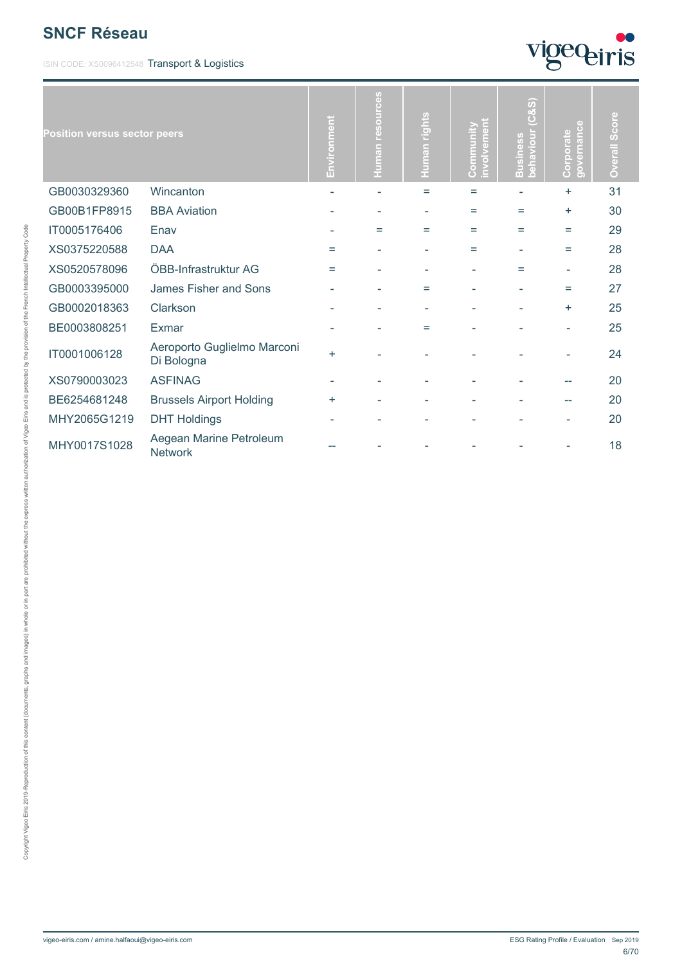ISIN CODE: XS0096412548 Transport & Logistics



| <b>Position versus sector peers</b> |                                           | onment<br>Enviro | resources<br>man<br>로 | man rights<br>로 | emer<br>$\overline{\circ}$<br>ပိ<br>E | $\omega$<br>7Ś<br><b>Business</b><br>behaviour | ernance<br>rporate<br>ပြွ<br>$rac{6}{9}$ | Overall Score |
|-------------------------------------|-------------------------------------------|------------------|-----------------------|-----------------|---------------------------------------|------------------------------------------------|------------------------------------------|---------------|
| GB0030329360                        | Wincanton                                 | ۰                | ٠                     | $=$             | $=$                                   |                                                | ÷                                        | 31            |
| GB00B1FP8915                        | <b>BBA Aviation</b>                       |                  |                       |                 | Ξ                                     | $=$                                            | ÷                                        | 30            |
| IT0005176406                        | Enav                                      |                  | Ξ                     | Ξ               | Ξ                                     | Ξ                                              | $=$                                      | 29            |
| XS0375220588                        | <b>DAA</b>                                | $\equiv$         |                       |                 | Ξ                                     |                                                | $=$                                      | 28            |
| XS0520578096                        | ÖBB-Infrastruktur AG                      | Ξ                |                       |                 |                                       | Ξ                                              |                                          | 28            |
| GB0003395000                        | James Fisher and Sons                     |                  | ٠                     | $=$             |                                       |                                                | $=$                                      | 27            |
| GB0002018363                        | Clarkson                                  |                  |                       |                 |                                       |                                                | ÷                                        | 25            |
| BE0003808251                        | <b>Exmar</b>                              |                  |                       | Ξ               |                                       |                                                |                                          | 25            |
| IT0001006128                        | Aeroporto Guglielmo Marconi<br>Di Bologna | $\ddot{}$        |                       |                 |                                       |                                                |                                          | 24            |
| XS0790003023                        | <b>ASFINAG</b>                            |                  |                       |                 |                                       |                                                |                                          | 20            |
| BE6254681248                        | <b>Brussels Airport Holding</b>           | ÷                |                       |                 |                                       |                                                |                                          | 20            |
| MHY2065G1219                        | <b>DHT Holdings</b>                       |                  |                       |                 |                                       |                                                |                                          | 20            |
| MHY0017S1028                        | Aegean Marine Petroleum<br><b>Network</b> |                  |                       |                 |                                       |                                                |                                          | 18            |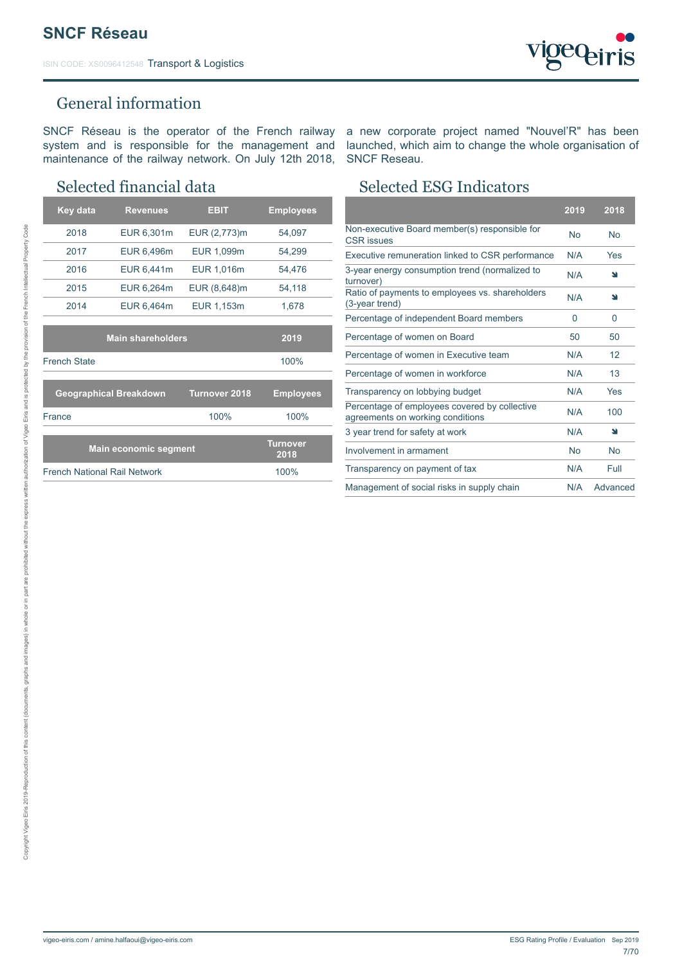### General information

maintenance of the railway network. On July 12th 2018, SNCF Reseau.

### Selected financial data

| Key data                            | <b>Revenues</b>               | <b>EBIT</b>          | <b>Employees</b>        |
|-------------------------------------|-------------------------------|----------------------|-------------------------|
| 2018                                | EUR 6,301m                    | EUR (2,773)m         | 54,097                  |
| 2017                                | EUR 6,496m                    | EUR 1,099m           | 54,299                  |
| 2016                                | EUR 6,441m                    | EUR 1,016m           | 54,476                  |
| 2015                                | EUR 6,264m                    | EUR (8,648)m         | 54,118                  |
| 2014                                | EUR 6,464m                    | EUR 1,153m           | 1,678                   |
|                                     |                               |                      |                         |
|                                     | <b>Main shareholders</b>      |                      | 2019                    |
| <b>French State</b>                 |                               |                      | 100%                    |
|                                     |                               |                      |                         |
|                                     | <b>Geographical Breakdown</b> | <b>Turnover 2018</b> | <b>Employees</b>        |
| France                              |                               | 100%                 | 100%                    |
|                                     |                               |                      |                         |
|                                     | <b>Main economic segment</b>  |                      | <b>Turnover</b><br>2018 |
| <b>French National Rail Network</b> |                               |                      | 100%                    |

SNCF Réseau is the operator of the French railway a new corporate project named "Nouvel'R" has been system and is responsible for the management and launched, which aim to change the whole organisation of

### Selected ESG Indicators

|                                                                                   | 2019      | 2018      |
|-----------------------------------------------------------------------------------|-----------|-----------|
| Non-executive Board member(s) responsible for<br><b>CSR</b> issues                | <b>No</b> | <b>No</b> |
| Executive remuneration linked to CSR performance                                  | N/A       | Yes       |
| 3-year energy consumption trend (normalized to<br>turnover)                       | N/A       | <b>SI</b> |
| Ratio of payments to employees vs. shareholders<br>(3-year trend)                 | N/A       | S.        |
| Percentage of independent Board members                                           | $\Omega$  | $\Omega$  |
| Percentage of women on Board                                                      | 50        | 50        |
| Percentage of women in Executive team                                             | N/A       | 12        |
| Percentage of women in workforce                                                  | N/A       | 13        |
| Transparency on lobbying budget                                                   | N/A       | Yes       |
| Percentage of employees covered by collective<br>agreements on working conditions | N/A       | 100       |
| 3 year trend for safety at work                                                   | N/A       | ¥         |
| Involvement in armament                                                           | <b>No</b> | <b>No</b> |
| Transparency on payment of tax                                                    | N/A       | Full      |
| Management of social risks in supply chain                                        | N/A       | Advanced  |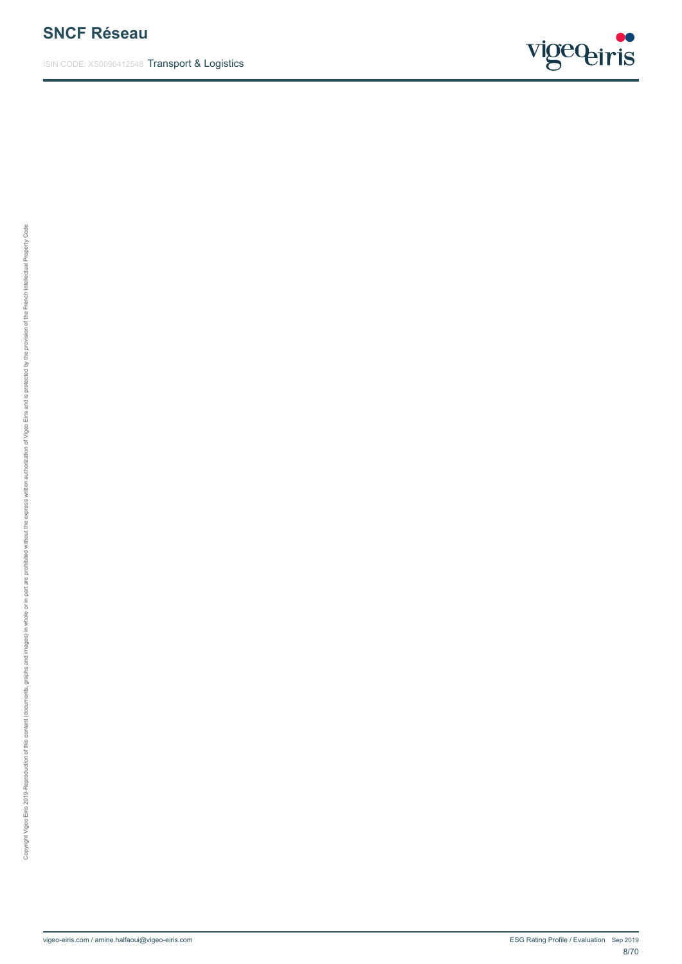ISIN CODE: XS0096412548 Transport & Logistics

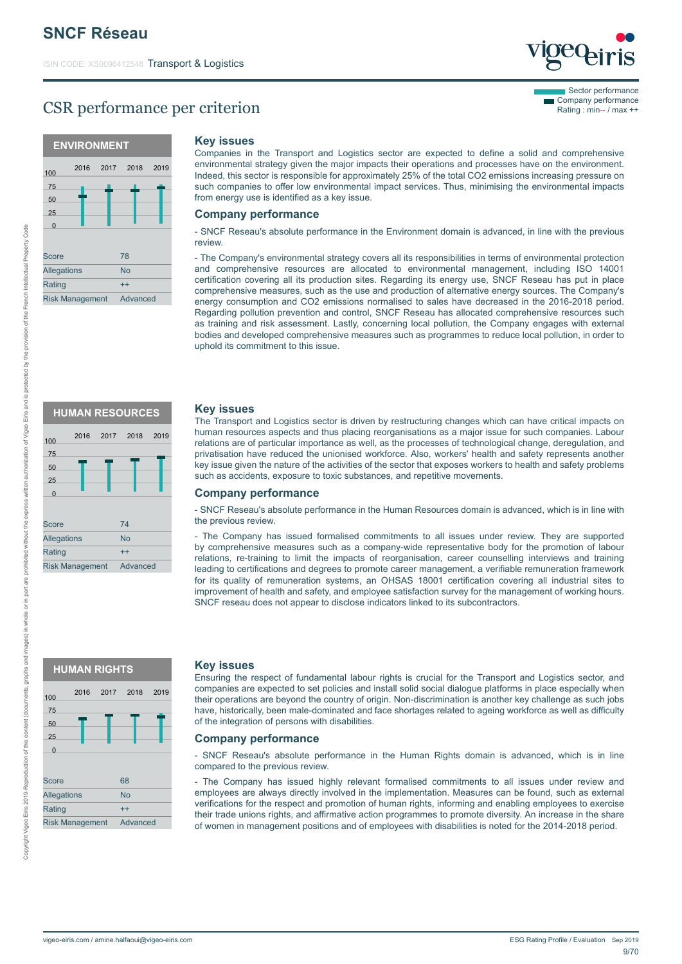



### CSR performance per criterion



**HUMAN RESOURCES**

Score 74 Allegations No

Risk Management Advanced

2016 2017 2018 2019

#### **Key issues**

Companies in the Transport and Logistics sector are expected to define a solid and comprehensive environmental strategy given the major impacts their operations and processes have on the environment. Indeed, this sector is responsible for approximately 25% of the total CO2 emissions increasing pressure on such companies to offer low environmental impact services. Thus, minimising the environmental impacts from energy use is identified as a key issue.

#### **Company performance**

- SNCF Reseau's absolute performance in the Environment domain is advanced, in line with the previous review.

- The Company's environmental strategy covers all its responsibilities in terms of environmental protection and comprehensive resources are allocated to environmental management, including ISO 14001 certification covering all its production sites. Regarding its energy use, SNCF Reseau has put in place comprehensive measures, such as the use and production of alternative energy sources. The Company's energy consumption and CO2 emissions normalised to sales have decreased in the 2016-2018 period. Regarding pollution prevention and control, SNCF Reseau has allocated comprehensive resources such as training and risk assessment. Lastly, concerning local pollution, the Company engages with external bodies and developed comprehensive measures such as programmes to reduce local pollution, in order to uphold its commitment to this issue.

#### **Key issues**

The Transport and Logistics sector is driven by restructuring changes which can have critical impacts on human resources aspects and thus placing reorganisations as a major issue for such companies. Labour relations are of particular importance as well, as the processes of technological change, deregulation, and privatisation have reduced the unionised workforce. Also, workers' health and safety represents another key issue given the nature of the activities of the sector that exposes workers to health and safety problems such as accidents, exposure to toxic substances, and repetitive movements.

#### **Company performance**

- SNCF Reseau's absolute performance in the Human Resources domain is advanced, which is in line with the previous review.

- The Company has issued formalised commitments to all issues under review. They are supported by comprehensive measures such as a company-wide representative body for the promotion of labour relations, re-training to limit the impacts of reorganisation, career counselling interviews and training leading to certifications and degrees to promote career management, a verifiable remuneration framework for its quality of remuneration systems, an OHSAS 18001 certification covering all industrial sites to improvement of health and safety, and employee satisfaction survey for the management of working hours. SNCF reseau does not appear to disclose indicators linked to its subcontractors.

### **HUMAN RIGHTS** 100 75 50  $25$  $\Omega$ 2016 2017 2018 2019 Score 68 Allegations No Rating Risk Management Advanced

#### **Key issues**

Ensuring the respect of fundamental labour rights is crucial for the Transport and Logistics sector, and companies are expected to set policies and install solid social dialogue platforms in place especially when their operations are beyond the country of origin. Non-discrimination is another key challenge as such jobs have, historically, been male-dominated and face shortages related to ageing workforce as well as difficulty of the integration of persons with disabilities.

#### **Company performance**

- SNCF Reseau's absolute performance in the Human Rights domain is advanced, which is in line compared to the previous review.

- The Company has issued highly relevant formalised commitments to all issues under review and employees are always directly involved in the implementation. Measures can be found, such as external verifications for the respect and promotion of human rights, informing and enabling employees to exercise their trade unions rights, and affirmative action programmes to promote diversity. An increase in the share of women in management positions and of employees with disabilities is noted for the 2014-2018 period.

Rating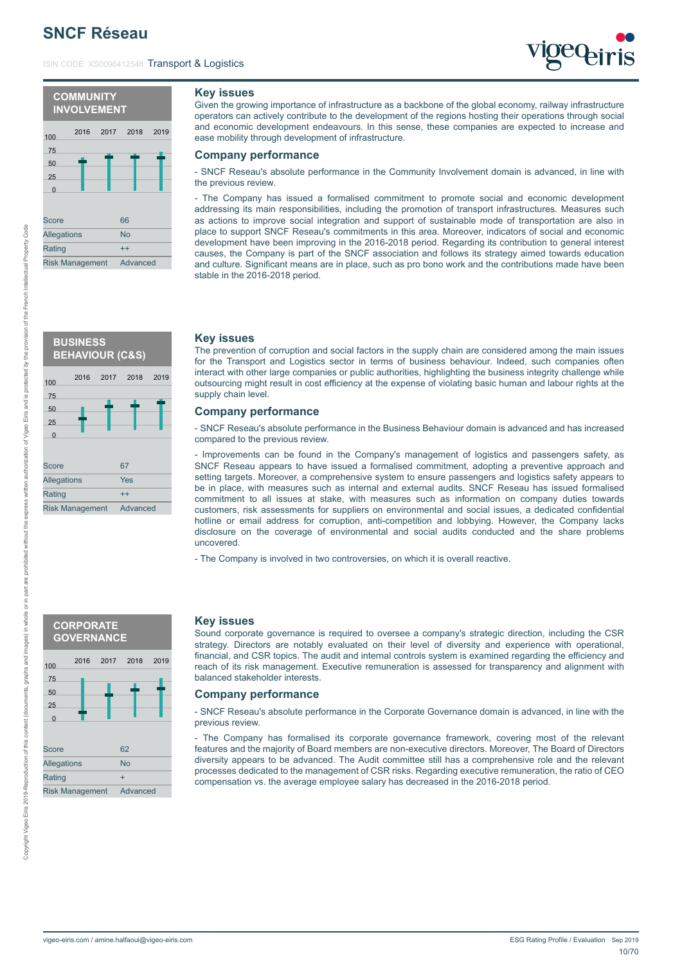ISIN CODE: XS0096412548 Transport & Logistics





Risk Management Advanced

|                    | <b>BUSINESS</b><br><b>BEHAVIOUR (C&amp;S)</b> |          |      |      |  |
|--------------------|-----------------------------------------------|----------|------|------|--|
| 100                | 2016                                          | 2017     | 2018 | 2019 |  |
| 75                 |                                               |          |      |      |  |
| 50                 |                                               |          |      |      |  |
| 25                 |                                               |          |      |      |  |
| $\Omega$           |                                               |          |      |      |  |
| Score              |                                               |          | 67   |      |  |
| <b>Allegations</b> |                                               |          | Yes  |      |  |
| Rating             |                                               |          | $++$ |      |  |
|                    | <b>Risk Management</b>                        | Advanced |      |      |  |

#### **Key issues**

Given the growing importance of infrastructure as a backbone of the global economy, railway infrastructure operators can actively contribute to the development of the regions hosting their operations through social and economic development endeavours. In this sense, these companies are expected to increase and ease mobility through development of infrastructure.

#### **Company performance**

- SNCF Reseau's absolute performance in the Community Involvement domain is advanced, in line with the previous review.

The Company has issued a formalised commitment to promote social and economic development addressing its main responsibilities, including the promotion of transport infrastructures. Measures such as actions to improve social integration and support of sustainable mode of transportation are also in place to support SNCF Reseau's commitments in this area. Moreover, indicators of social and economic development have been improving in the 2016-2018 period. Regarding its contribution to general interest causes, the Company is part of the SNCF association and follows its strategy aimed towards education and culture. Significant means are in place, such as pro bono work and the contributions made have been stable in the 2016-2018 period.

#### **Key issues**

The prevention of corruption and social factors in the supply chain are considered among the main issues for the Transport and Logistics sector in terms of business behaviour. Indeed, such companies often interact with other large companies or public authorities, highlighting the business integrity challenge while outsourcing might result in cost efficiency at the expense of violating basic human and labour rights at the supply chain level.

#### **Company performance**

- SNCF Reseau's absolute performance in the Business Behaviour domain is advanced and has increased compared to the previous review.

- Improvements can be found in the Company's management of logistics and passengers safety, as SNCF Reseau appears to have issued a formalised commitment, adopting a preventive approach and setting targets. Moreover, a comprehensive system to ensure passengers and logistics safety appears to be in place, with measures such as internal and external audits. SNCF Reseau has issued formalised commitment to all issues at stake, with measures such as information on company duties towards customers, risk assessments for suppliers on environmental and social issues, a dedicated confidential hotline or email address for corruption, anti-competition and lobbying. However, the Company lacks disclosure on the coverage of environmental and social audits conducted and the share problems uncovered.

- The Company is involved in two controversies, on which it is overall reactive.

| <b>CORPORATE</b><br><b>GOVERNANCE</b> |      |          |           |      |  |  |  |  |
|---------------------------------------|------|----------|-----------|------|--|--|--|--|
| 100                                   | 2016 | 2017     | 2018      | 2019 |  |  |  |  |
| 75                                    |      |          |           |      |  |  |  |  |
| 50                                    |      |          |           |      |  |  |  |  |
| 25                                    |      |          |           |      |  |  |  |  |
| $\Omega$                              |      |          |           |      |  |  |  |  |
|                                       |      |          |           |      |  |  |  |  |
| <b>Score</b>                          |      |          | 62        |      |  |  |  |  |
| <b>Allegations</b>                    |      |          | <b>No</b> |      |  |  |  |  |
| Rating                                |      |          | $+$       |      |  |  |  |  |
| <b>Risk Management</b>                |      | Advanced |           |      |  |  |  |  |

#### **Key issues**

Sound corporate governance is required to oversee a company's strategic direction, including the CSR strategy. Directors are notably evaluated on their level of diversity and experience with operational, financial, and CSR topics. The audit and internal controls system is examined regarding the efficiency and reach of its risk management. Executive remuneration is assessed for transparency and alignment with balanced stakeholder interests.

#### **Company performance**

- SNCF Reseau's absolute performance in the Corporate Governance domain is advanced, in line with the previous review.

The Company has formalised its corporate governance framework, covering most of the relevant features and the majority of Board members are non-executive directors. Moreover, The Board of Directors diversity appears to be advanced. The Audit committee still has a comprehensive role and the relevant processes dedicated to the management of CSR risks. Regarding executive remuneration, the ratio of CEO compensation vs. the average employee salary has decreased in the 2016-2018 period.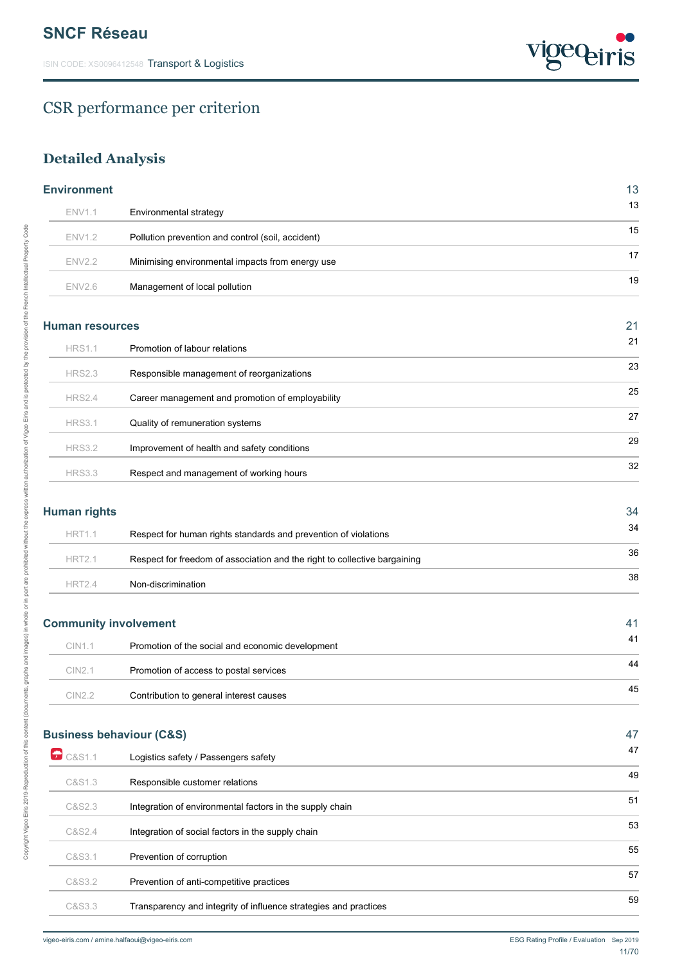

### CSR performance per criterion

### **Detailed Analysis**

#### **[Environment](#page-12-0)** 13

| ENV1.1        | Environmental strategy                            | 13 |
|---------------|---------------------------------------------------|----|
| <b>ENV1.2</b> | Pollution prevention and control (soil, accident) | 15 |
| <b>ENV2.2</b> | Minimising environmental impacts from energy use  | 17 |
| <b>ENV2.6</b> | Management of local pollution                     | 19 |

### **[Human resources](#page-20-0)** 21

| <b>HRS1.1</b> | Promotion of labour relations                    | 21 |
|---------------|--------------------------------------------------|----|
| <b>HRS2.3</b> | Responsible management of reorganizations        | 23 |
| <b>HRS2.4</b> | Career management and promotion of employability | 25 |
| <b>HRS3.1</b> | Quality of remuneration systems                  | 27 |
| <b>HRS3.2</b> | Improvement of health and safety conditions      | 29 |
| <b>HRS333</b> | Respect and management of working hours          | 32 |

#### **[Human rights](#page-33-0)** 34

| <b>HRT1.1</b>     | Respect for human rights standards and prevention of violations           | 34 |
|-------------------|---------------------------------------------------------------------------|----|
| <b>HRT2.1</b>     | Respect for freedom of association and the right to collective bargaining | 36 |
| HRT <sub>24</sub> | Non-discrimination                                                        | 38 |

#### **[Community involvement](#page-40-0)** 41

| CIN1.1 | Promotion of the social and economic development | 41 |
|--------|--------------------------------------------------|----|
| CIN2.1 | Promotion of access to postal services           | 44 |
| CIN22  | Contribution to general interest causes          | 45 |

### **[Business behaviour \(C&S\)](#page-46-0)** 47

| Logistics safety / Passengers safety                             | 47 |
|------------------------------------------------------------------|----|
| Responsible customer relations                                   | 49 |
| Integration of environmental factors in the supply chain         | 51 |
| Integration of social factors in the supply chain                | 53 |
| Prevention of corruption                                         | 55 |
| Prevention of anti-competitive practices                         | 57 |
| Transparency and integrity of influence strategies and practices | 59 |
|                                                                  |    |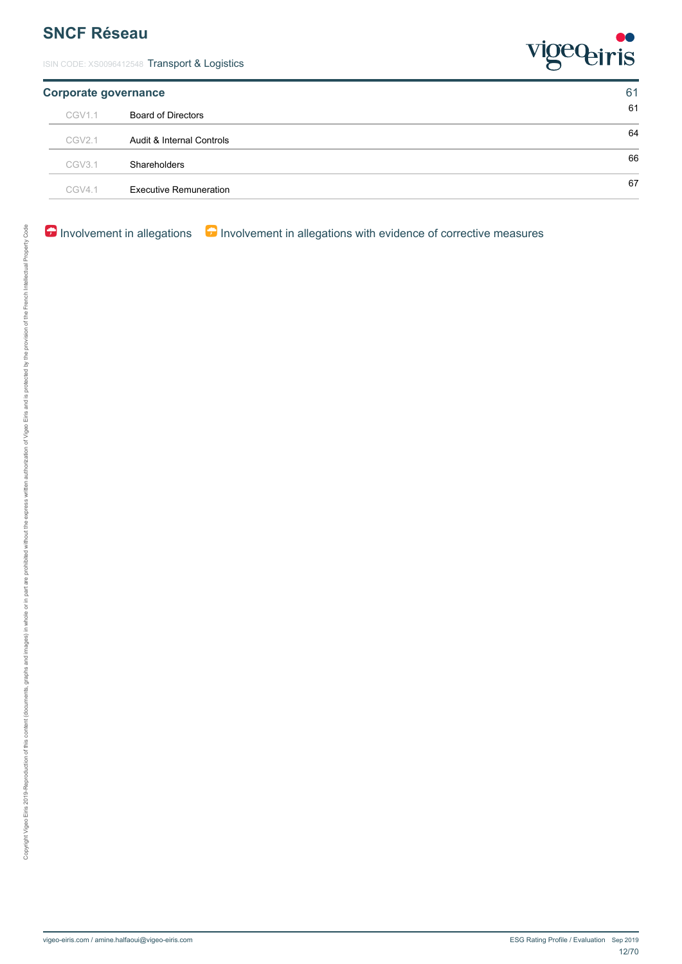ISIN CODE: XS0096412548 Transport & Logistics



# **[Corporate governance](#page-60-0)** 61

| $\sim$ |                               |    |
|--------|-------------------------------|----|
| CGV1.1 | <b>Board of Directors</b>     | 61 |
| CGV2.1 | Audit & Internal Controls     | 64 |
| CGV3.1 | Shareholders                  | 66 |
| CGV4.1 | <b>Executive Remuneration</b> | 67 |

**D** Involvement in allegations **D** Involvement in allegations with evidence of corrective measures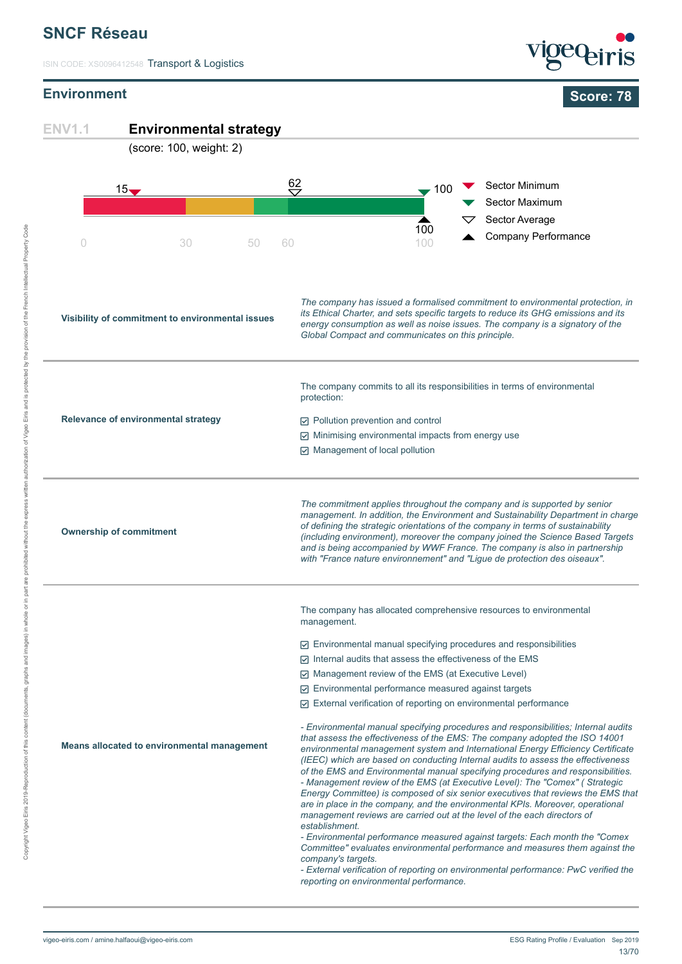ISIN CODE: XS0096412548 Transport & Logistics

### **Environment Score: 78**



<span id="page-12-1"></span><span id="page-12-0"></span>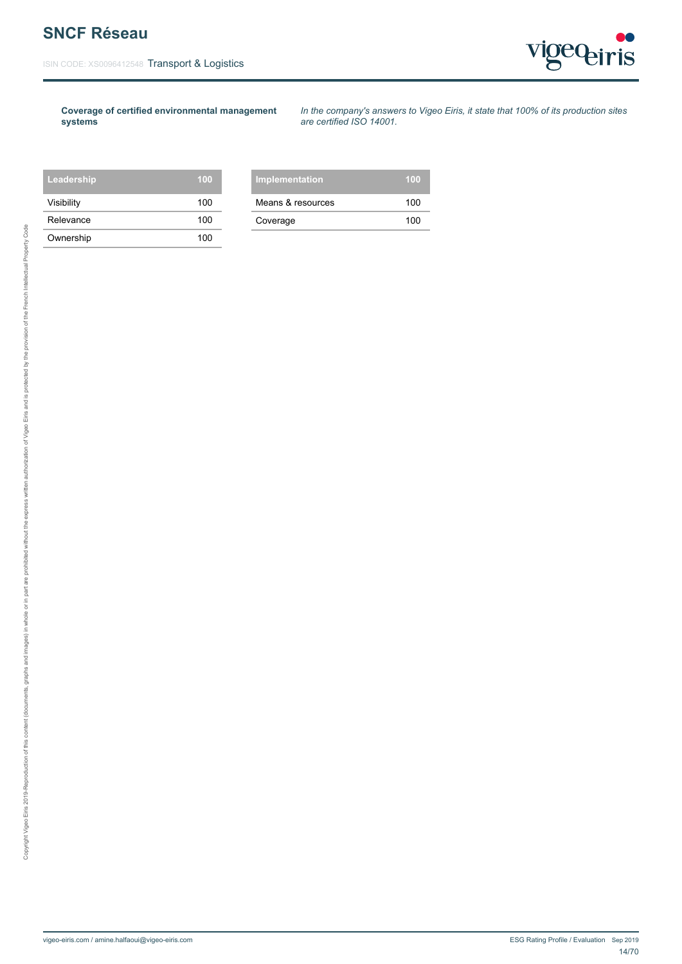

**Coverage of certified environmental management systems**

*In the company's answers to Vigeo Eiris, it state that 100% of its production sites are certified ISO 14001.*

| 100 |
|-----|
| 100 |
| 100 |
| 100 |
|     |

| Implementation    | 100 |
|-------------------|-----|
| Means & resources | 100 |
| Coverage          | 100 |

l.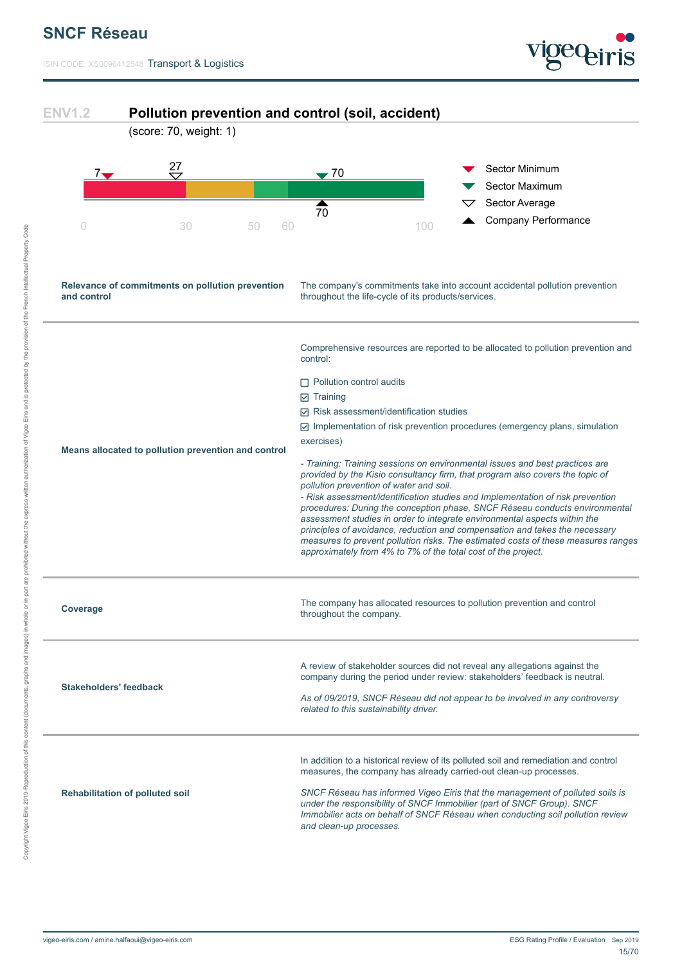<span id="page-14-0"></span>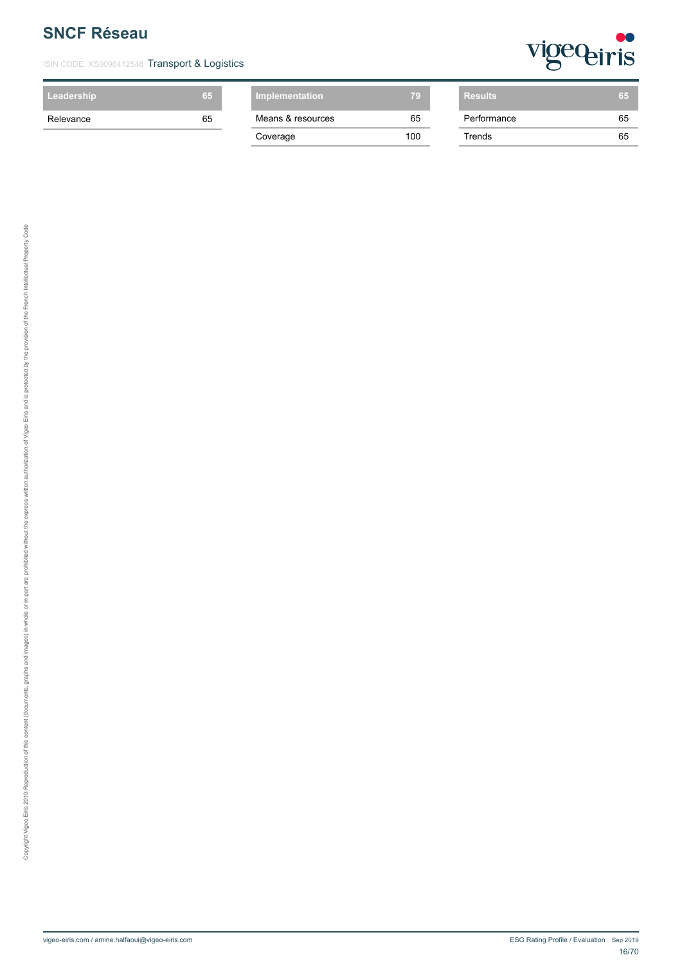#### ISIN CODE: XS0096412548 Transport & Logistics

![](_page_15_Picture_2.jpeg)

| Leadership | 65 |  |
|------------|----|--|
| Relevance  | 65 |  |
|            |    |  |

| <b>Implementation</b> | 79  |
|-----------------------|-----|
| Means & resources     | 65  |
| Coverage              | 100 |

I

| <b>Results</b> | GU: |
|----------------|-----|
| Performance    | 65  |
| Trends         | 65  |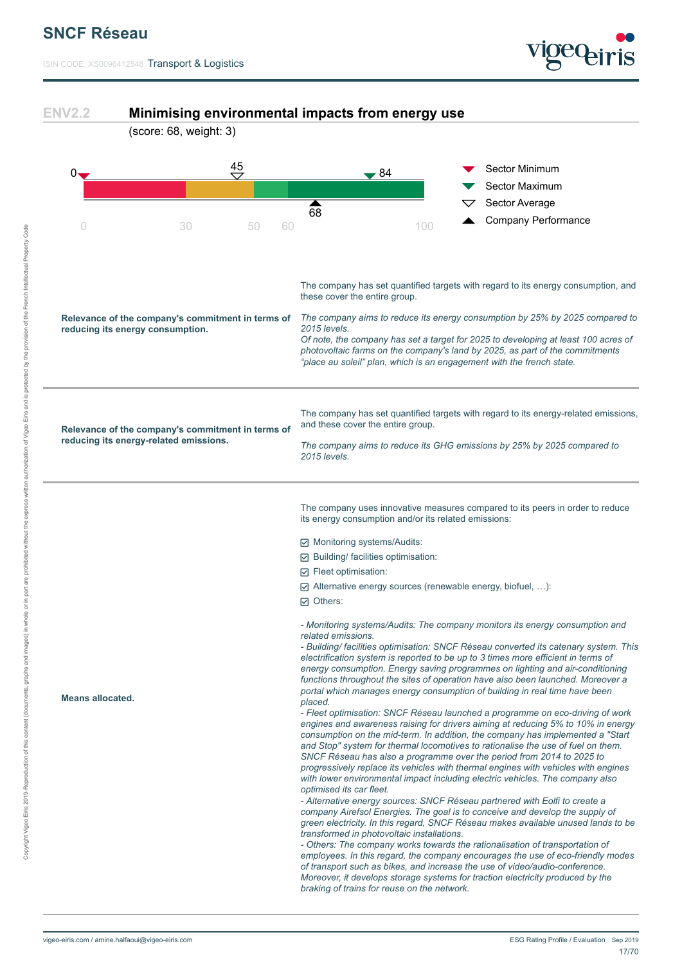<span id="page-16-0"></span>![](_page_16_Figure_3.jpeg)

Copyright Vigeo Eris 2019-Reproduction of this content (documents, graphs and images) in whole or in part are prohibited without the asympters written authorization of Vigeo Eris and is proteded by the provision of the Fre Copyright Vigeo Eries 2010 of this content (documents, graphs, graphs, and images) in whole or in part are prohibited without the express wittlen authorization of Vigeo Eries and is probeded by the provision of the Fench I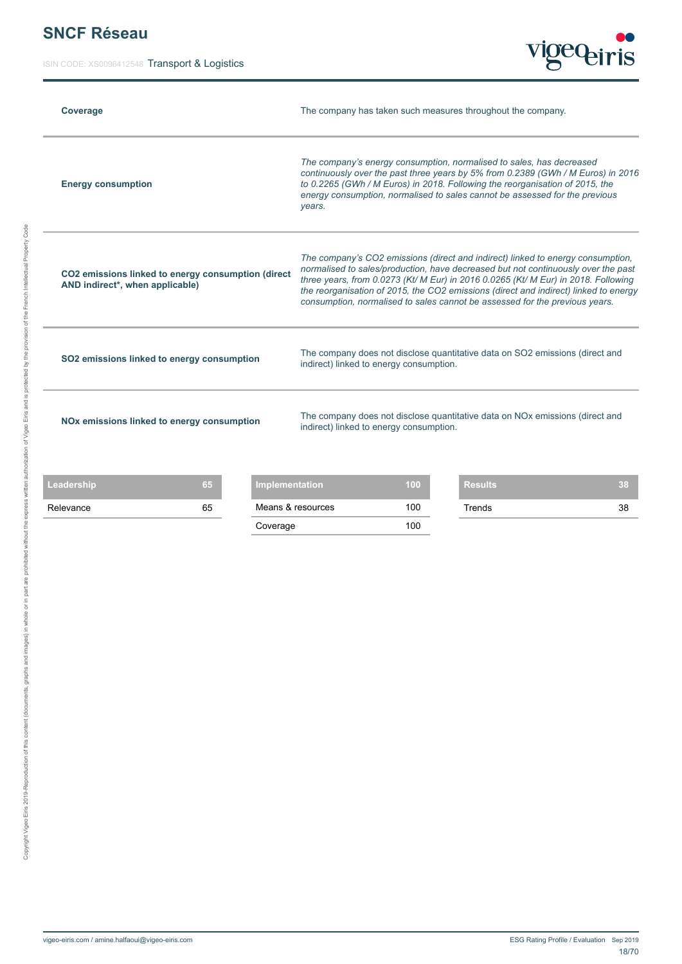÷

 $\overline{\phantom{a}}$ 

 $\overline{\phantom{a}}$ 

 $\sim$ 

ISIN CODE: XS0096412548 Transport & Logistics

![](_page_17_Picture_2.jpeg)

| Coverage                                                                              |    |                                                                                                                                                                                                                                                                                                                                                                                                                                   | The company has taken such measures throughout the company.                                                                                                                                                                                                                                                                       |     |                |    |
|---------------------------------------------------------------------------------------|----|-----------------------------------------------------------------------------------------------------------------------------------------------------------------------------------------------------------------------------------------------------------------------------------------------------------------------------------------------------------------------------------------------------------------------------------|-----------------------------------------------------------------------------------------------------------------------------------------------------------------------------------------------------------------------------------------------------------------------------------------------------------------------------------|-----|----------------|----|
| <b>Energy consumption</b>                                                             |    |                                                                                                                                                                                                                                                                                                                                                                                                                                   | The company's energy consumption, normalised to sales, has decreased<br>continuously over the past three years by 5% from 0.2389 (GWh / M Euros) in 2016<br>to 0.2265 (GWh / M Euros) in 2018. Following the reorganisation of 2015, the<br>energy consumption, normalised to sales cannot be assessed for the previous<br>years. |     |                |    |
| CO2 emissions linked to energy consumption (direct<br>AND indirect*, when applicable) |    | The company's CO2 emissions (direct and indirect) linked to energy consumption,<br>normalised to sales/production, have decreased but not continuously over the past<br>three years, from 0.0273 (Kt/ M Eur) in 2016 0.0265 (Kt/ M Eur) in 2018. Following<br>the reorganisation of 2015, the CO2 emissions (direct and indirect) linked to energy<br>consumption, normalised to sales cannot be assessed for the previous years. |                                                                                                                                                                                                                                                                                                                                   |     |                |    |
| SO2 emissions linked to energy consumption                                            |    |                                                                                                                                                                                                                                                                                                                                                                                                                                   | The company does not disclose quantitative data on SO2 emissions (direct and<br>indirect) linked to energy consumption.                                                                                                                                                                                                           |     |                |    |
| NOx emissions linked to energy consumption                                            |    | The company does not disclose quantitative data on NO <sub>x</sub> emissions (direct and<br>indirect) linked to energy consumption.                                                                                                                                                                                                                                                                                               |                                                                                                                                                                                                                                                                                                                                   |     |                |    |
| Leadership                                                                            | 65 | Implementation                                                                                                                                                                                                                                                                                                                                                                                                                    |                                                                                                                                                                                                                                                                                                                                   | 100 | <b>Results</b> | 38 |
| Relevance                                                                             | 65 | Means & resources                                                                                                                                                                                                                                                                                                                                                                                                                 |                                                                                                                                                                                                                                                                                                                                   | 100 | Trends         | 38 |

Coverage 100

[vigeo-eiris.com](http://www.vigeo-eiris.com/) / amine.halfaoui@vigeo-eiris.com ESG Rating Profile / Evaluation Sep 2019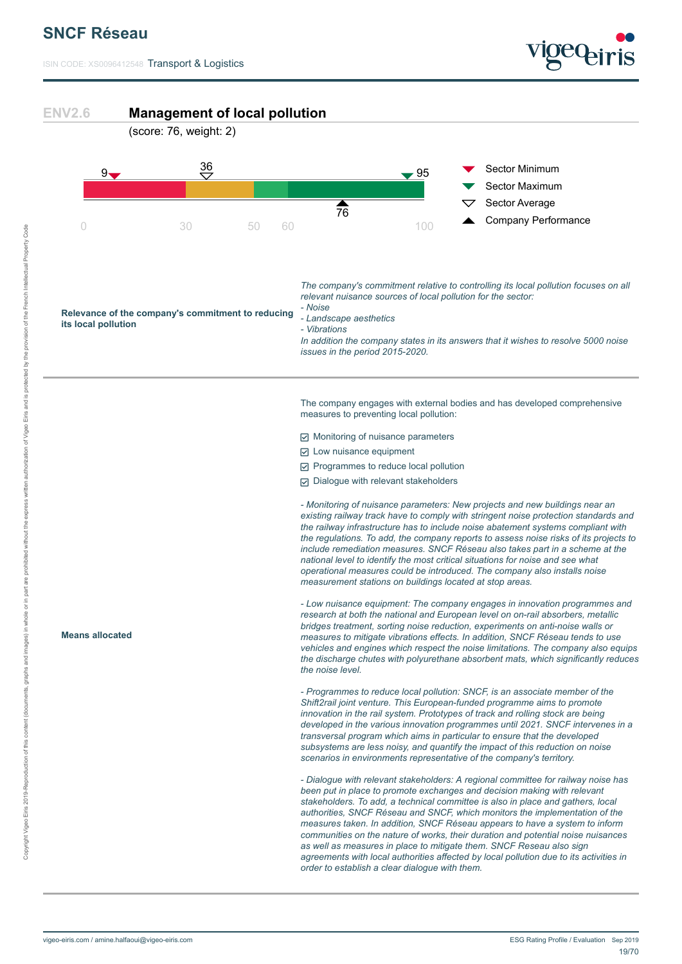![](_page_18_Picture_2.jpeg)

![](_page_18_Figure_3.jpeg)

<span id="page-18-0"></span>![](_page_18_Figure_4.jpeg)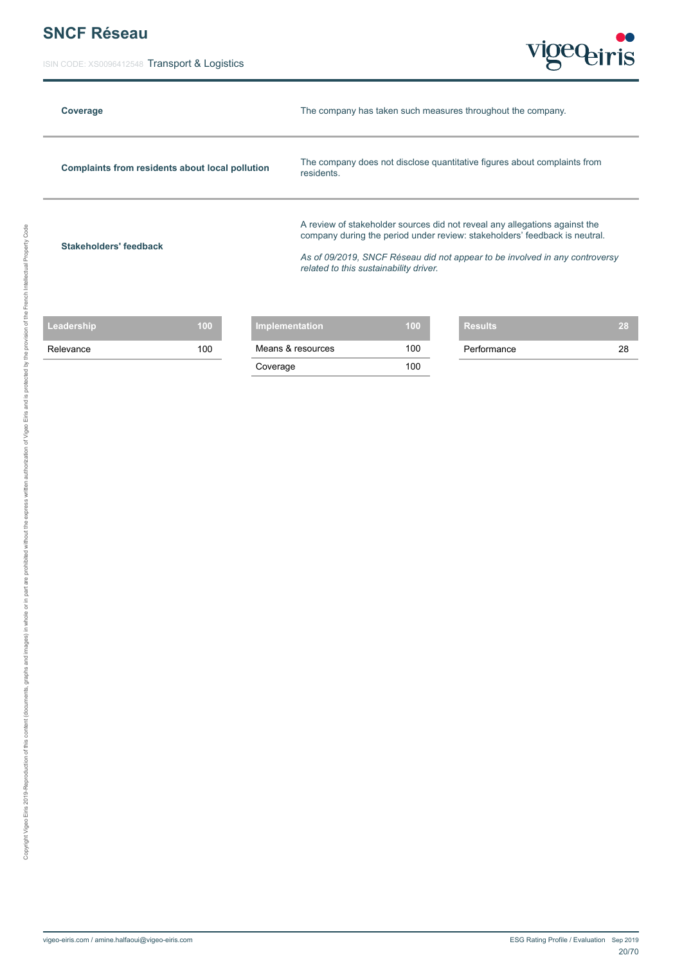ISIN CODE: XS0096412548 Transport & Logistics

![](_page_19_Picture_2.jpeg)

| Coverage                                        |     |                |                   |                                        | The company has taken such measures throughout the company.                                                                                                                                                                             |    |
|-------------------------------------------------|-----|----------------|-------------------|----------------------------------------|-----------------------------------------------------------------------------------------------------------------------------------------------------------------------------------------------------------------------------------------|----|
| Complaints from residents about local pollution |     |                | residents         |                                        | The company does not disclose quantitative figures about complaints from                                                                                                                                                                |    |
| Stakeholders' feedback                          |     |                |                   | related to this sustainability driver. | A review of stakeholder sources did not reveal any allegations against the<br>company during the period under review: stakeholders' feedback is neutral.<br>As of 09/2019, SNCF Réseau did not appear to be involved in any controversy |    |
| Leadership                                      | 100 | Implementation |                   | 100                                    | <b>Results</b>                                                                                                                                                                                                                          | 28 |
| Relevance                                       | 100 |                | Means & resources | 100                                    | Performance                                                                                                                                                                                                                             | 28 |
|                                                 |     | Coverage       |                   | 100                                    |                                                                                                                                                                                                                                         |    |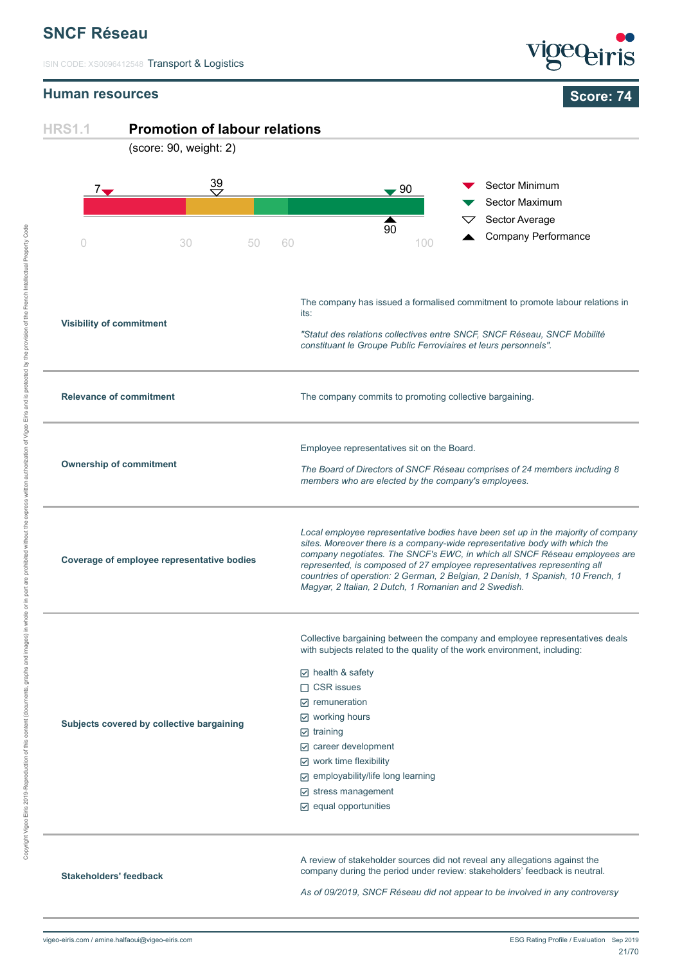ISIN CODE: XS0096412548 Transport & Logistics

#### <span id="page-20-0"></span>**Human resources Score: 74**

<span id="page-20-1"></span>**HRS1.1 Promotion of labour relations** (score: 90, weight: 2)  $7 \longrightarrow 90$ Sector Minimum Sector Maximum Sector Average  $\overline{90}$ ▽ Company Performance 0 30 50 60 100 The company has issued a formalised commitment to promote labour relations in its: **Visibility of commitment** *"Statut des relations collectives entre SNCF, SNCF Réseau, SNCF Mobilité constituant le Groupe Public Ferroviaires et leurs personnels".* **Relevance of commitment** The company commits to promoting collective bargaining. Employee representatives sit on the Board. **Ownership of commitment** *The Board of Directors of SNCF Réseau comprises of 24 members including 8 members who are elected by the company's employees. Local employee representative bodies have been set up in the majority of company sites. Moreover there is a company-wide representative body with which the company negotiates. The SNCF's EWC, in which all SNCF Réseau employees are* **Coverage of employee representative bodies** *represented, is composed of 27 employee representatives representing all countries of operation: 2 German, 2 Belgian, 2 Danish, 1 Spanish, 10 French, 1 Magyar, 2 Italian, 2 Dutch, 1 Romanian and 2 Swedish.* Collective bargaining between the company and employee representatives deals with subjects related to the quality of the work environment, including:  $\boxed{}$  health & safety  $\Box$  CSR issues  $\nabla$  remuneration **Ø** working hours **Subjects covered by collective bargaining**  $\nabla$  training **⊘** career development work time flexibility  $\boxdot$  employability/life long learning **Ø** stress management  $\boxdot$  equal opportunities A review of stakeholder sources did not reveal any allegations against the company during the period under review: stakeholders' feedback is neutral. **Stakeholders' feedback** *As of 09/2019, SNCF Réseau did not appear to be involved in any controversy*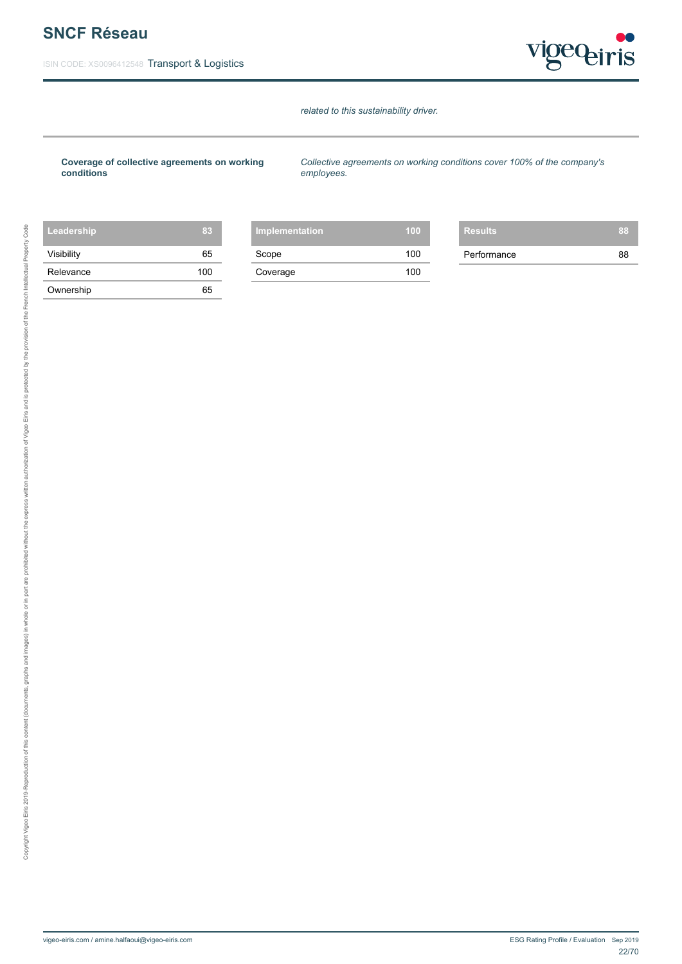*related to this sustainability driver.*

#### **Coverage of collective agreements on working conditions**

*Collective agreements on working conditions cover 100% of the company's employees.*

| Leadership | 83  |
|------------|-----|
| Visibility | 65  |
| Relevance  | 100 |
| Ownership  | 65  |

| <b>Implementation</b> | 100 |
|-----------------------|-----|
| Scope                 | 100 |
| Coverage              | 100 |

| <b>Results</b> |  |
|----------------|--|
| Performance    |  |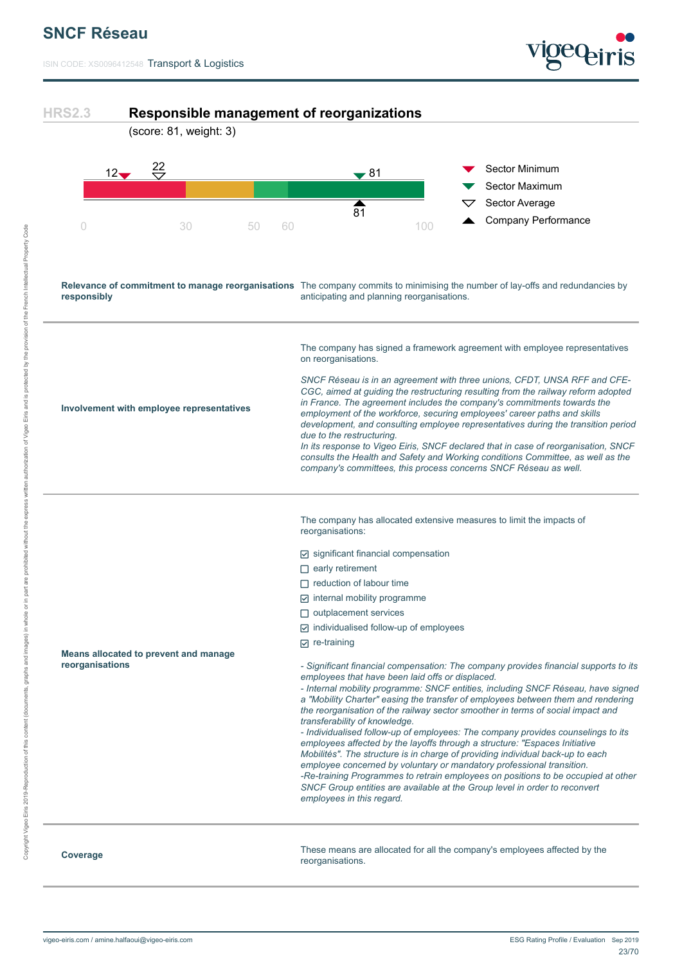### <span id="page-22-0"></span>**HRS2.3 Responsible management of reorganizations**

![](_page_22_Figure_4.jpeg)

Relevance of commitment to manage reorganisations The company commits to minimising the number of lay-offs and redundancies by anticipating and planning reorganisations. **responsibly**

The company has signed a framework agreement with employee representatives on reorganisations.

*SNCF Réseau is in an agreement with three unions, CFDT, UNSA RFF and CFE-CGC, aimed at guiding the restructuring resulting from the railway reform adopted in France. The agreement includes the company's commitments towards the employment of the workforce, securing employees' career paths and skills development, and consulting employee representatives during the transition period due to the restructuring. In its response to Vigeo Eiris, SNCF declared that in case of reorganisation, SNCF*

*consults the Health and Safety and Working conditions Committee, as well as the company's committees, this process concerns SNCF Réseau as well.*

The company has allocated extensive measures to limit the impacts of reorganisations:

- $\Box$  significant financial compensation
- $\Box$  early retirement
- $\Box$  reduction of labour time
- $\nabla$  internal mobility programme
- $\Box$  outplacement services
- $\boxdot$  individualised follow-up of employees
- $\nabla$  re-training

#### **Means allocated to prevent and manage reorganisations**

**Involvement with employee representatives**

*- Significant financial compensation: The company provides financial supports to its employees that have been laid offs or displaced. - Internal mobility programme: SNCF entities, including SNCF Réseau, have signed*

*a "Mobility Charter" easing the transfer of employees between them and rendering the reorganisation of the railway sector smoother in terms of social impact and transferability of knowledge. - Individualised follow-up of employees: The company provides counselings to its*

*employees affected by the layoffs through a structure: "Espaces Initiative Mobilités". The structure is in charge of providing individual back-up to each employee concerned by voluntary or mandatory professional transition. -Re-training Programmes to retrain employees on positions to be occupied at other SNCF Group entities are available at the Group level in order to reconvert employees in this regard.*

These means are allocated for all the company's employees affected by the **Coverage**<br> **Coverage**<br> **Coverage**<br> **Coverage**<br> **Coverage**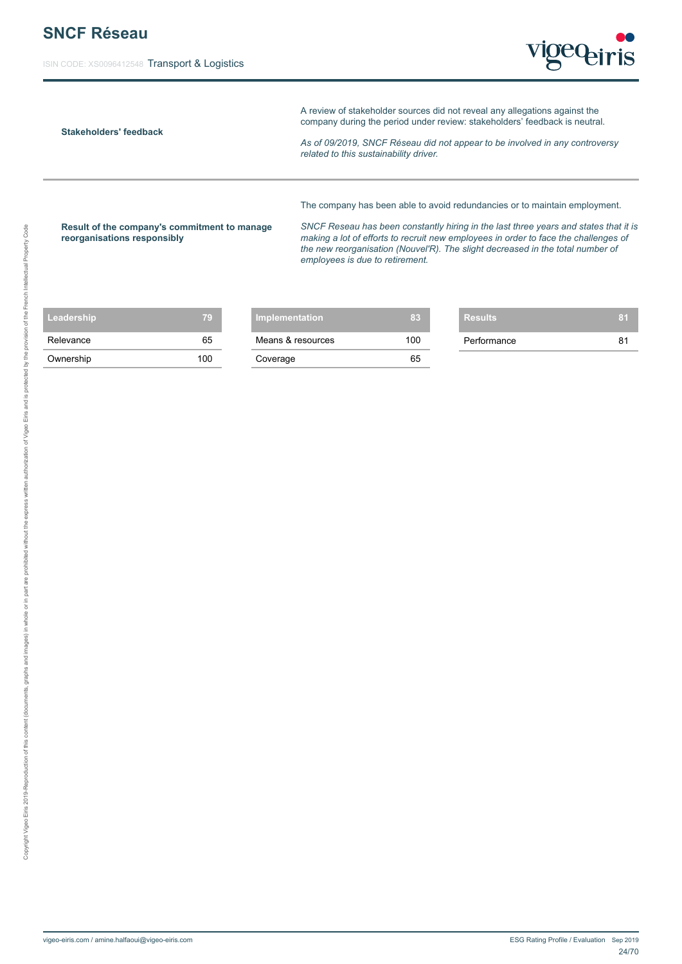**Stakeholders' feedback**

ISIN CODE: XS0096412548 Transport & Logistics

![](_page_23_Picture_2.jpeg)

A review of stakeholder sources did not reveal any allegations against the company during the period under review: stakeholders' feedback is neutral.

*As of 09/2019, SNCF Réseau did not appear to be involved in any controversy related to this sustainability driver.*

The company has been able to avoid redundancies or to maintain employment.

**Result of the company's commitment to manage reorganisations responsibly**

*SNCF Reseau has been constantly hiring in the last three years and states that it is making a lot of efforts to recruit new employees in order to face the challenges of the new reorganisation (Nouvel'R). The slight decreased in the total number of employees is due to retirement.*

| Leadership | 79  |
|------------|-----|
| Relevance  | 65  |
| Ownership  | 100 |
|            |     |

| <b>Implementation</b> | 83  |
|-----------------------|-----|
| Means & resources     | 100 |
| Coverage              | 65  |

| <b>Results</b> |  |
|----------------|--|
| Performance    |  |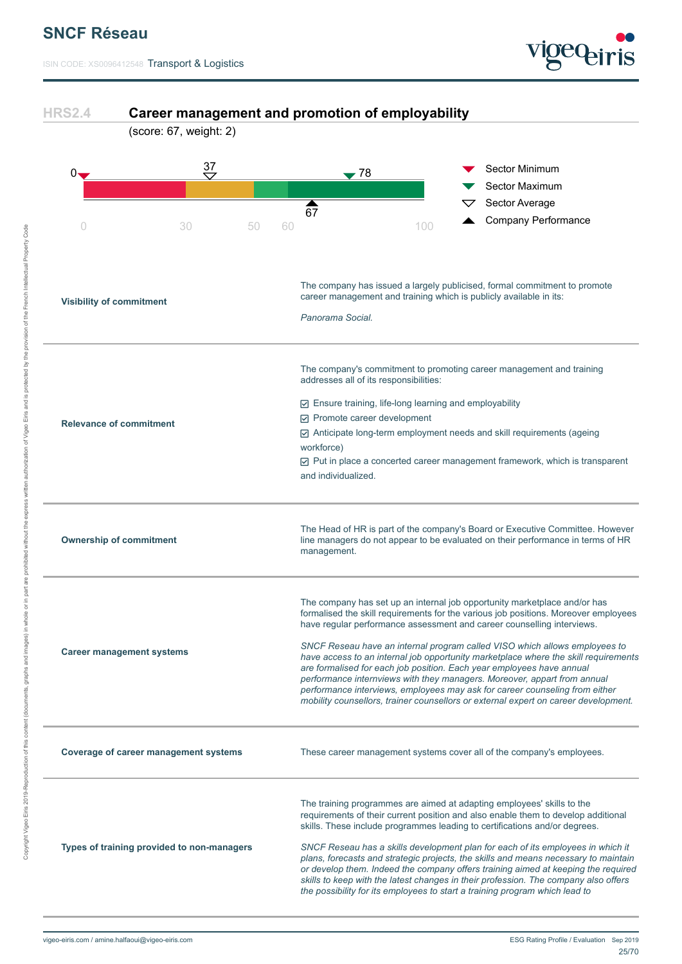<span id="page-24-0"></span>![](_page_24_Figure_3.jpeg)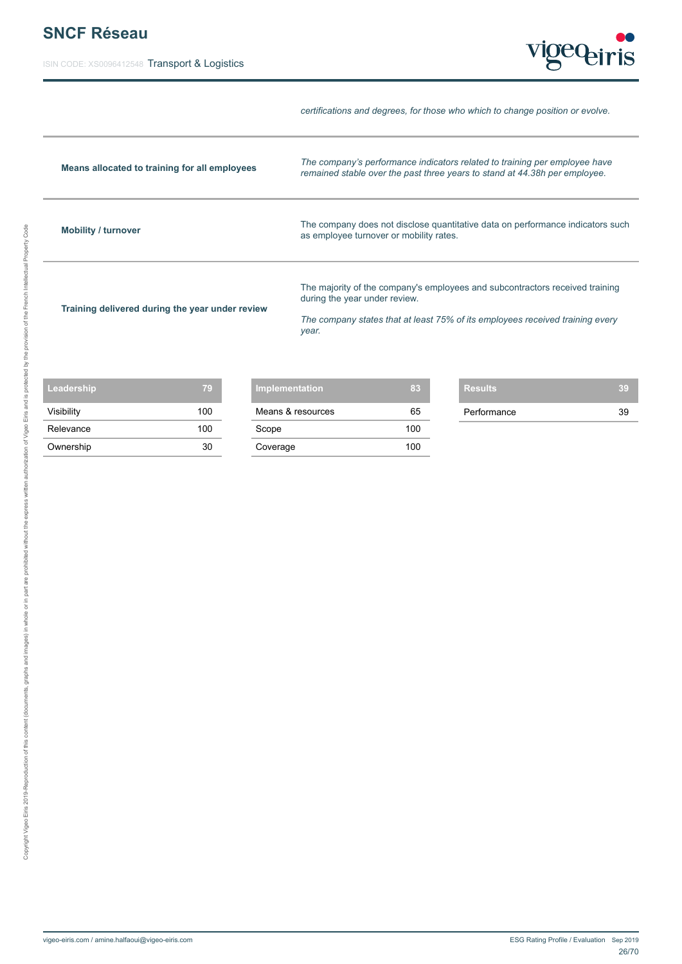l.

l.

l.

j.

ISIN CODE: XS0096412548 Transport & Logistics

![](_page_25_Picture_2.jpeg)

*certifications and degrees, for those who which to change position or evolve.*

| Means allocated to training for all employees   | The company's performance indicators related to training per employee have<br>remained stable over the past three years to stand at 44.38h per employee.                                                |
|-------------------------------------------------|---------------------------------------------------------------------------------------------------------------------------------------------------------------------------------------------------------|
| <b>Mobility / turnover</b>                      | The company does not disclose quantitative data on performance indicators such<br>as employee turnover or mobility rates.                                                                               |
| Training delivered during the year under review | The majority of the company's employees and subcontractors received training<br>during the year under review.<br>The company states that at least 75% of its employees received training every<br>year. |

| Leadership | 79  |
|------------|-----|
| Visibility | 100 |
| Relevance  | 100 |
| Ownership  | 30  |

| Implementation    | 83  |
|-------------------|-----|
| Means & resources | 65  |
| Scope             | 100 |
| Coverage          | 100 |

| <b>Results</b> |  |
|----------------|--|
| Performance    |  |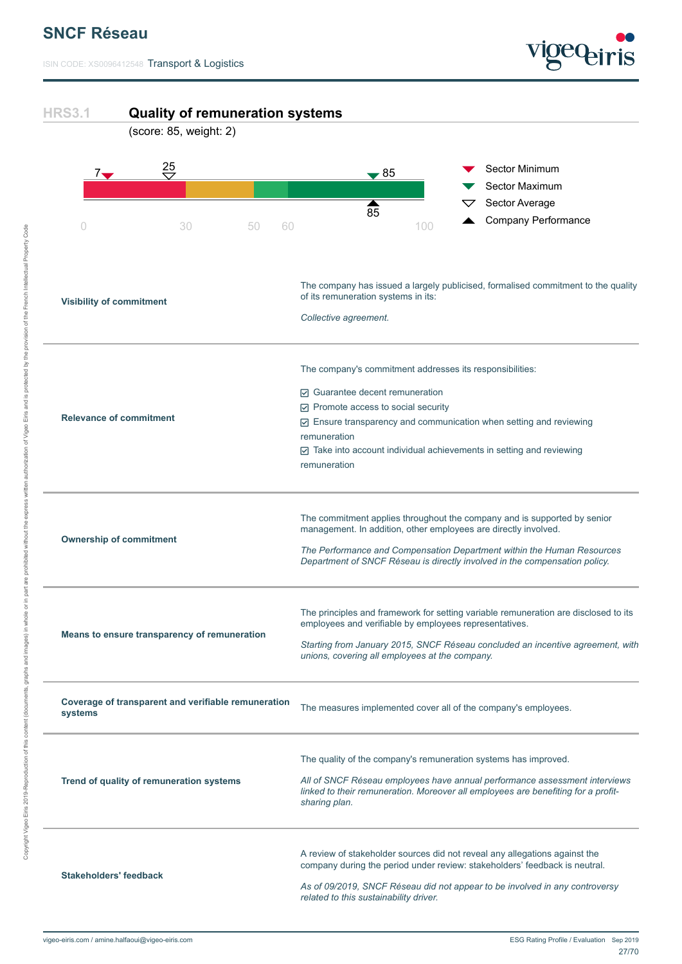![](_page_26_Picture_2.jpeg)

<span id="page-26-0"></span>

**HRS3.1 Quality of remuneration systems**

![](_page_26_Figure_5.jpeg)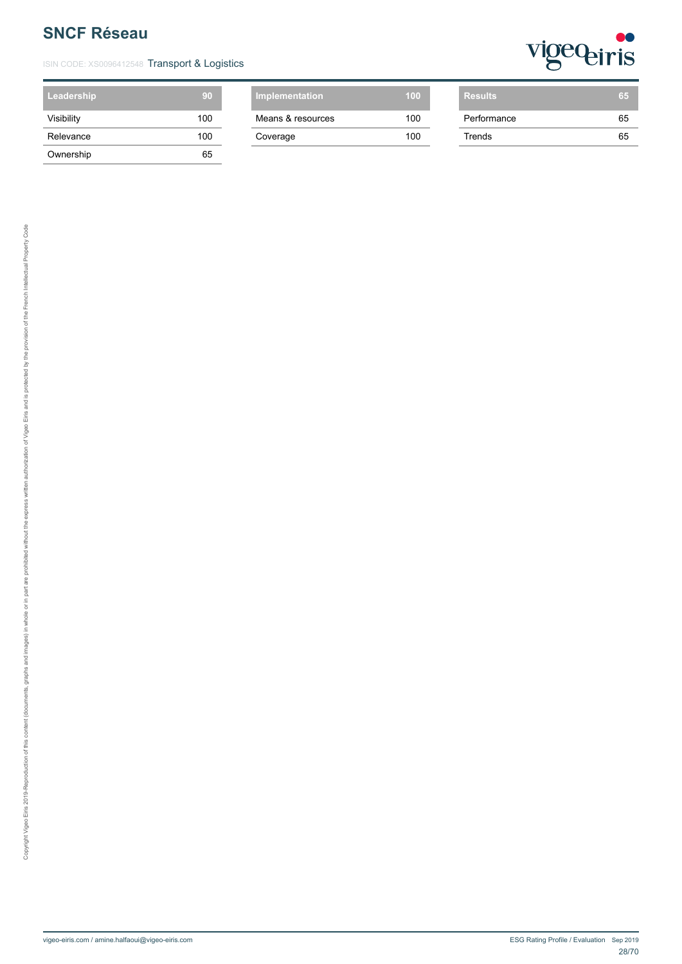#### ISIN CODE: XS0096412548 Transport & Logistics

![](_page_27_Picture_2.jpeg)

| Leadership | 90  |
|------------|-----|
| Visibility | 100 |
| Relevance  | 100 |
| Ownership  | 65  |

| <b>Implementation</b> | 100 |
|-----------------------|-----|
| Means & resources     | 100 |
| Coverage              | 100 |
|                       |     |

ı

| <b>Results</b> | 65 |
|----------------|----|
| Performance    | 65 |
| Trends         | 65 |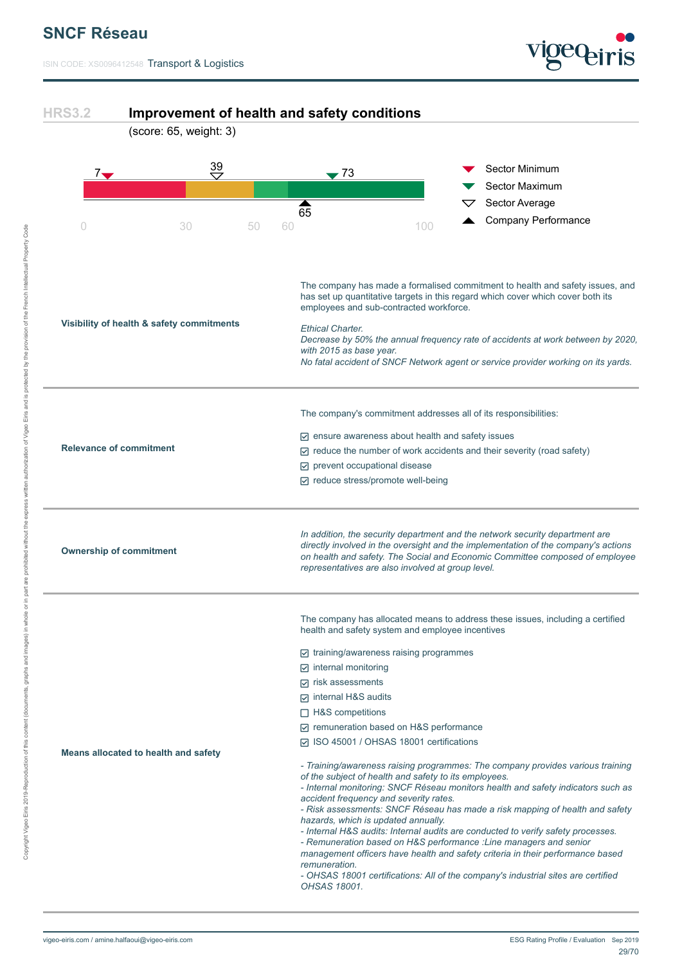<span id="page-28-0"></span>![](_page_28_Figure_3.jpeg)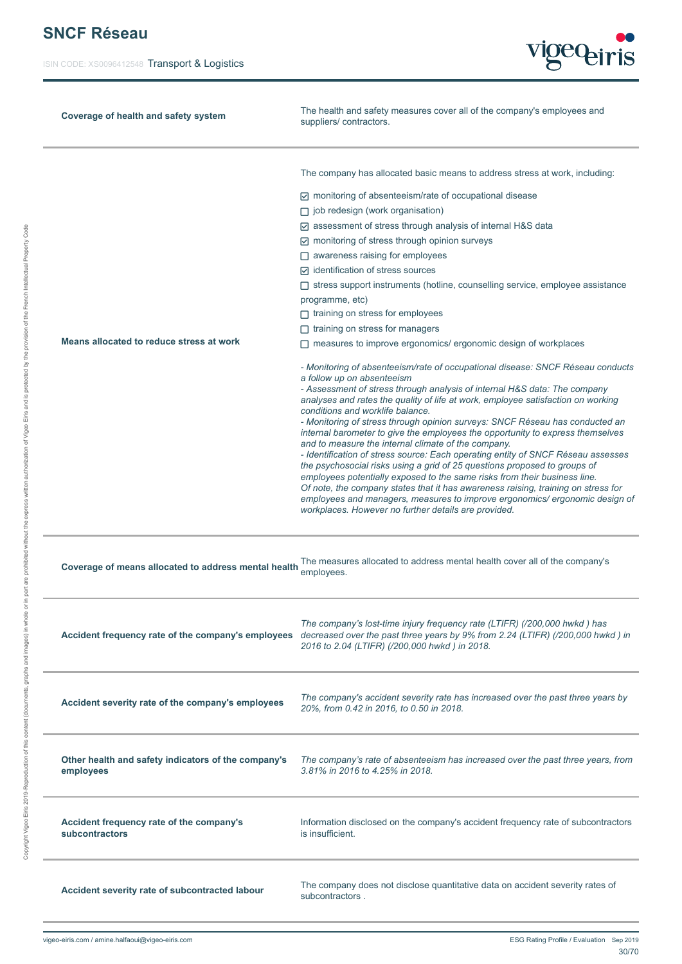![](_page_29_Picture_2.jpeg)

| Coverage of health and safety system                             | The health and safety measures cover all of the company's employees and<br>suppliers/contractors.                                                                                                                                                                                                                                                                                                                                                                                                                                                                                                                                                                                                                                                                                                                                                                                                                                                                                                                    |
|------------------------------------------------------------------|----------------------------------------------------------------------------------------------------------------------------------------------------------------------------------------------------------------------------------------------------------------------------------------------------------------------------------------------------------------------------------------------------------------------------------------------------------------------------------------------------------------------------------------------------------------------------------------------------------------------------------------------------------------------------------------------------------------------------------------------------------------------------------------------------------------------------------------------------------------------------------------------------------------------------------------------------------------------------------------------------------------------|
|                                                                  | The company has allocated basic means to address stress at work, including:                                                                                                                                                                                                                                                                                                                                                                                                                                                                                                                                                                                                                                                                                                                                                                                                                                                                                                                                          |
|                                                                  | $\boxdot$ monitoring of absenteeism/rate of occupational disease                                                                                                                                                                                                                                                                                                                                                                                                                                                                                                                                                                                                                                                                                                                                                                                                                                                                                                                                                     |
|                                                                  | $\Box$ job redesign (work organisation)                                                                                                                                                                                                                                                                                                                                                                                                                                                                                                                                                                                                                                                                                                                                                                                                                                                                                                                                                                              |
|                                                                  | ☑ assessment of stress through analysis of internal H&S data                                                                                                                                                                                                                                                                                                                                                                                                                                                                                                                                                                                                                                                                                                                                                                                                                                                                                                                                                         |
|                                                                  | $\nabla$ monitoring of stress through opinion surveys                                                                                                                                                                                                                                                                                                                                                                                                                                                                                                                                                                                                                                                                                                                                                                                                                                                                                                                                                                |
|                                                                  | $\Box$ awareness raising for employees                                                                                                                                                                                                                                                                                                                                                                                                                                                                                                                                                                                                                                                                                                                                                                                                                                                                                                                                                                               |
|                                                                  | $\nabla$ identification of stress sources                                                                                                                                                                                                                                                                                                                                                                                                                                                                                                                                                                                                                                                                                                                                                                                                                                                                                                                                                                            |
|                                                                  | □ stress support instruments (hotline, counselling service, employee assistance                                                                                                                                                                                                                                                                                                                                                                                                                                                                                                                                                                                                                                                                                                                                                                                                                                                                                                                                      |
|                                                                  | programme, etc)                                                                                                                                                                                                                                                                                                                                                                                                                                                                                                                                                                                                                                                                                                                                                                                                                                                                                                                                                                                                      |
|                                                                  | $\Box$ training on stress for employees                                                                                                                                                                                                                                                                                                                                                                                                                                                                                                                                                                                                                                                                                                                                                                                                                                                                                                                                                                              |
|                                                                  | $\Box$ training on stress for managers                                                                                                                                                                                                                                                                                                                                                                                                                                                                                                                                                                                                                                                                                                                                                                                                                                                                                                                                                                               |
| Means allocated to reduce stress at work                         | □ measures to improve ergonomics/ ergonomic design of workplaces                                                                                                                                                                                                                                                                                                                                                                                                                                                                                                                                                                                                                                                                                                                                                                                                                                                                                                                                                     |
|                                                                  | - Monitoring of absenteeism/rate of occupational disease: SNCF Réseau conducts<br>a follow up on absenteeism<br>- Assessment of stress through analysis of internal H&S data: The company<br>analyses and rates the quality of life at work, employee satisfaction on working<br>conditions and worklife balance.<br>- Monitoring of stress through opinion surveys: SNCF Réseau has conducted an<br>internal barometer to give the employees the opportunity to express themselves<br>and to measure the internal climate of the company.<br>- Identification of stress source: Each operating entity of SNCF Réseau assesses<br>the psychosocial risks using a grid of 25 questions proposed to groups of<br>employees potentially exposed to the same risks from their business line.<br>Of note, the company states that it has awareness raising, training on stress for<br>employees and managers, measures to improve ergonomics/ ergonomic design of<br>workplaces. However no further details are provided. |
| Coverage of means allocated to address mental health             | The measures allocated to address mental health cover all of the company's<br>employees.                                                                                                                                                                                                                                                                                                                                                                                                                                                                                                                                                                                                                                                                                                                                                                                                                                                                                                                             |
| Accident frequency rate of the company's employees               | The company's lost-time injury frequency rate (LTIFR) (/200,000 hwkd) has<br>decreased over the past three years by 9% from 2.24 (LTIFR) (/200,000 hwkd) in<br>2016 to 2.04 (LTIFR) (/200,000 hwkd) in 2018.                                                                                                                                                                                                                                                                                                                                                                                                                                                                                                                                                                                                                                                                                                                                                                                                         |
| Accident severity rate of the company's employees                | The company's accident severity rate has increased over the past three years by<br>20%, from 0.42 in 2016, to 0.50 in 2018.                                                                                                                                                                                                                                                                                                                                                                                                                                                                                                                                                                                                                                                                                                                                                                                                                                                                                          |
| Other health and safety indicators of the company's<br>employees | The company's rate of absenteeism has increased over the past three years, from<br>3.81% in 2016 to 4.25% in 2018.                                                                                                                                                                                                                                                                                                                                                                                                                                                                                                                                                                                                                                                                                                                                                                                                                                                                                                   |
| Accident frequency rate of the company's<br>subcontractors       | Information disclosed on the company's accident frequency rate of subcontractors<br>is insufficient.                                                                                                                                                                                                                                                                                                                                                                                                                                                                                                                                                                                                                                                                                                                                                                                                                                                                                                                 |
| Accident severity rate of subcontracted labour                   | The company does not disclose quantitative data on accident severity rates of<br>subcontractors.                                                                                                                                                                                                                                                                                                                                                                                                                                                                                                                                                                                                                                                                                                                                                                                                                                                                                                                     |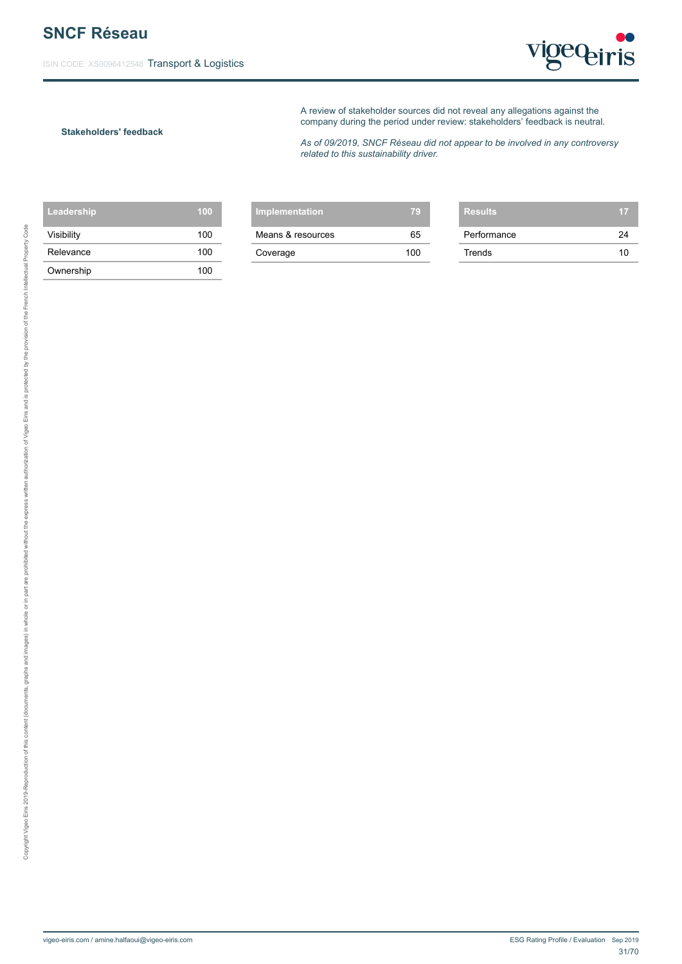![](_page_30_Picture_2.jpeg)

**Stakeholders' feedback**

A review of stakeholder sources did not reveal any allegations against the company during the period under review: stakeholders' feedback is neutral.

*As of 09/2019, SNCF Réseau did not appear to be involved in any controversy related to this sustainability driver.*

| Leadership | 100 |
|------------|-----|
| Visibility | 100 |
| Relevance  | 100 |
| Ownership  | 100 |

| Implementation    | 7 C I |
|-------------------|-------|
| Means & resources | 65    |
| Coverage          | 100   |

| <b>Results</b> | 6 Z |
|----------------|-----|
| Performance    | 24  |
| Trends         | 10  |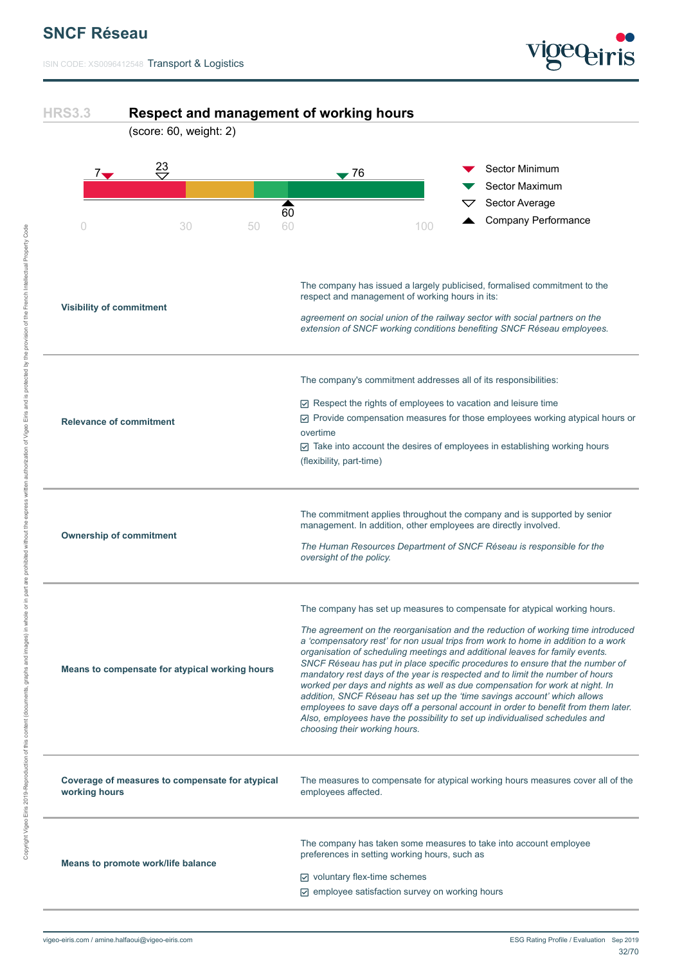![](_page_31_Picture_2.jpeg)

<span id="page-31-0"></span>![](_page_31_Figure_3.jpeg)

![](_page_31_Figure_4.jpeg)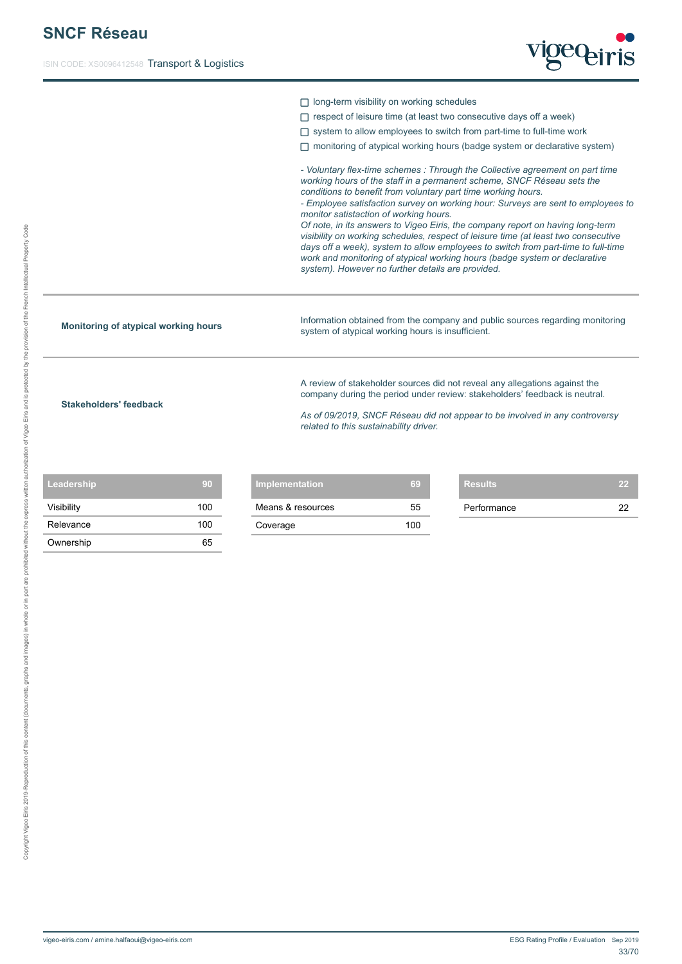ISIN CODE: XS0096412548 Transport & Logistics

![](_page_32_Picture_2.jpeg)

|                                      |     | $\Box$ long-term visibility on working schedules                                                                                                                                                                                                                                  |     |                                                                                                                                                                                                                                                                                                                                                                                                                                                                                                                                                                                                                                                         |    |
|--------------------------------------|-----|-----------------------------------------------------------------------------------------------------------------------------------------------------------------------------------------------------------------------------------------------------------------------------------|-----|---------------------------------------------------------------------------------------------------------------------------------------------------------------------------------------------------------------------------------------------------------------------------------------------------------------------------------------------------------------------------------------------------------------------------------------------------------------------------------------------------------------------------------------------------------------------------------------------------------------------------------------------------------|----|
|                                      |     |                                                                                                                                                                                                                                                                                   |     | $\Box$ respect of leisure time (at least two consecutive days off a week)                                                                                                                                                                                                                                                                                                                                                                                                                                                                                                                                                                               |    |
|                                      |     |                                                                                                                                                                                                                                                                                   |     | $\Box$ system to allow employees to switch from part-time to full-time work                                                                                                                                                                                                                                                                                                                                                                                                                                                                                                                                                                             |    |
|                                      |     |                                                                                                                                                                                                                                                                                   |     | $\Box$ monitoring of atypical working hours (badge system or declarative system)                                                                                                                                                                                                                                                                                                                                                                                                                                                                                                                                                                        |    |
|                                      |     | monitor satistaction of working hours.<br>system). However no further details are provided.                                                                                                                                                                                       |     | - Voluntary flex-time schemes : Through the Collective agreement on part time<br>working hours of the staff in a permanent scheme, SNCF Réseau sets the<br>conditions to benefit from voluntary part time working hours.<br>- Employee satisfaction survey on working hour: Surveys are sent to employees to<br>Of note, in its answers to Vigeo Eiris, the company report on having long-term<br>visibility on working schedules, respect of leisure time (at least two consecutive<br>days off a week), system to allow employees to switch from part-time to full-time<br>work and monitoring of atypical working hours (badge system or declarative |    |
| Monitoring of atypical working hours |     | Information obtained from the company and public sources regarding monitoring<br>system of atypical working hours is insufficient.                                                                                                                                                |     |                                                                                                                                                                                                                                                                                                                                                                                                                                                                                                                                                                                                                                                         |    |
| Stakeholders' feedback               |     | A review of stakeholder sources did not reveal any allegations against the<br>company during the period under review: stakeholders' feedback is neutral.<br>As of 09/2019, SNCF Réseau did not appear to be involved in any controversy<br>related to this sustainability driver. |     |                                                                                                                                                                                                                                                                                                                                                                                                                                                                                                                                                                                                                                                         |    |
| Leadership                           | 90  | Implementation                                                                                                                                                                                                                                                                    | 69  | <b>Results</b>                                                                                                                                                                                                                                                                                                                                                                                                                                                                                                                                                                                                                                          | 22 |
| Visibility                           | 100 | Means & resources                                                                                                                                                                                                                                                                 | 55  | Performance                                                                                                                                                                                                                                                                                                                                                                                                                                                                                                                                                                                                                                             | 22 |
| Relevance                            | 100 | Coverage                                                                                                                                                                                                                                                                          | 100 |                                                                                                                                                                                                                                                                                                                                                                                                                                                                                                                                                                                                                                                         |    |
| Ownership                            | 65  |                                                                                                                                                                                                                                                                                   |     |                                                                                                                                                                                                                                                                                                                                                                                                                                                                                                                                                                                                                                                         |    |
|                                      |     |                                                                                                                                                                                                                                                                                   |     |                                                                                                                                                                                                                                                                                                                                                                                                                                                                                                                                                                                                                                                         |    |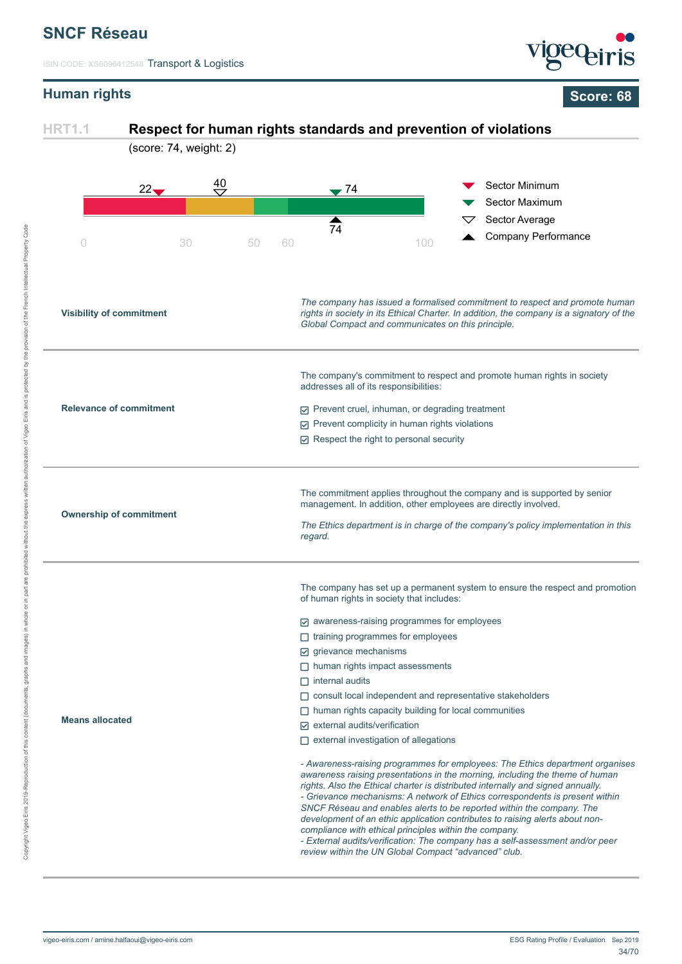ISIN CODE: XS0096412548 Transport & Logistics

![](_page_33_Picture_2.jpeg)

### **Human rights Score: 68**

<span id="page-33-1"></span><span id="page-33-0"></span>![](_page_33_Figure_5.jpeg)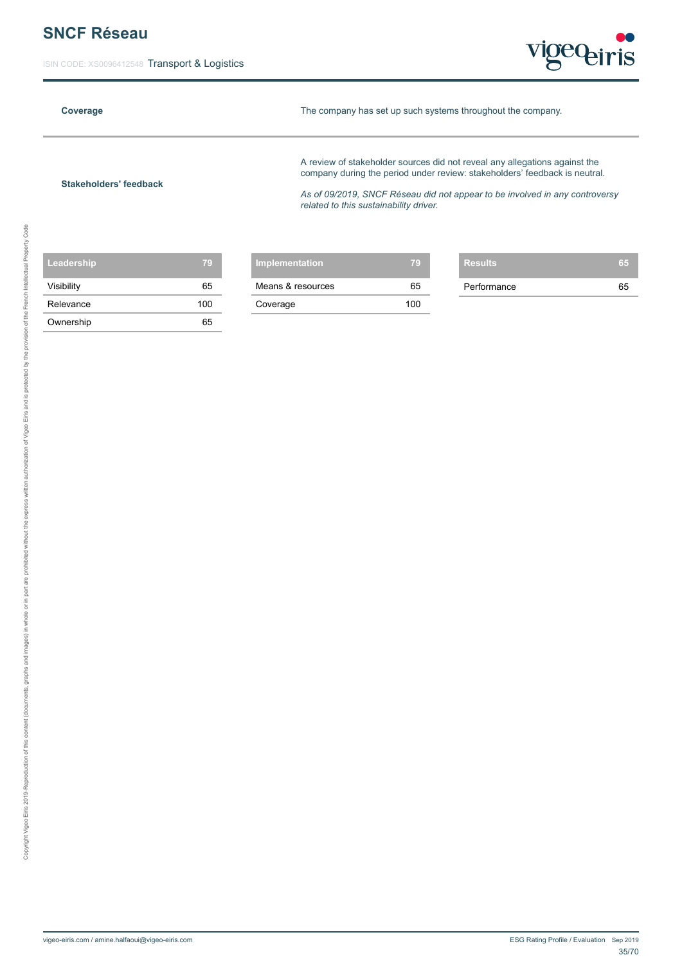ISIN CODE: XS0096412548 Transport & Logistics

![](_page_34_Picture_2.jpeg)

**Coverage** Coverage The company has set up such systems throughout the company.

A review of stakeholder sources did not reveal any allegations against the company during the period under review: stakeholders' feedback is neutral.

#### **Stakeholders' feedback**

*As of 09/2019, SNCF Réseau did not appear to be involved in any controversy related to this sustainability driver.*

| Leadership | 79  |
|------------|-----|
| Visibility | 65  |
| Relevance  | 100 |
| Ownership  | 65  |

| <b>Implementation</b> | 17 G) |
|-----------------------|-------|
| Means & resources     | 65    |
| Coverage              | 100   |
|                       |       |

| <b>Results</b> |  |
|----------------|--|
| Performance    |  |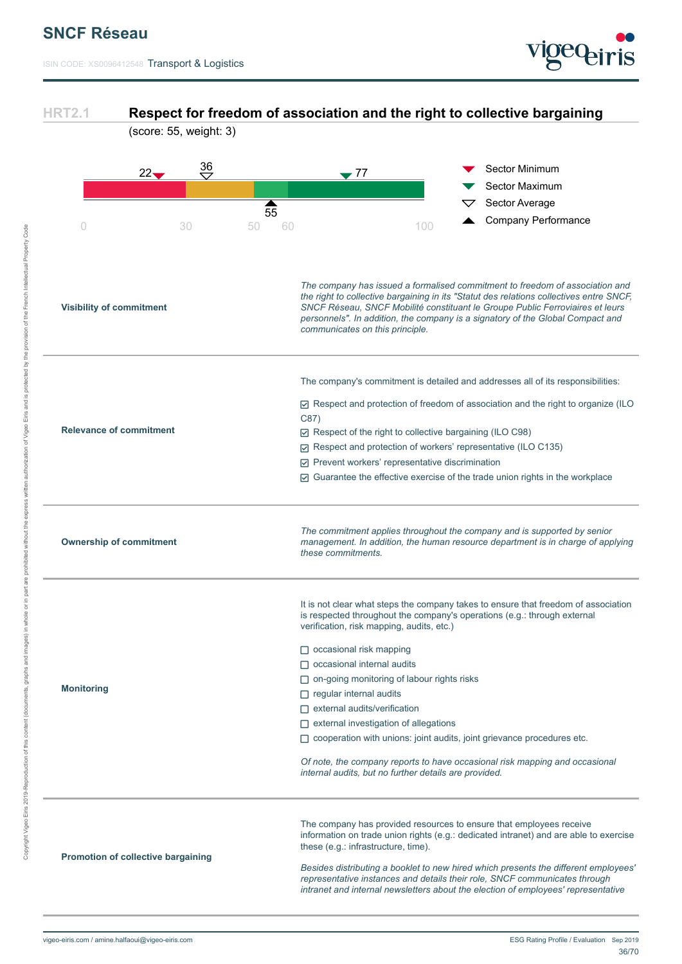![](_page_35_Picture_2.jpeg)

<span id="page-35-0"></span>![](_page_35_Figure_3.jpeg)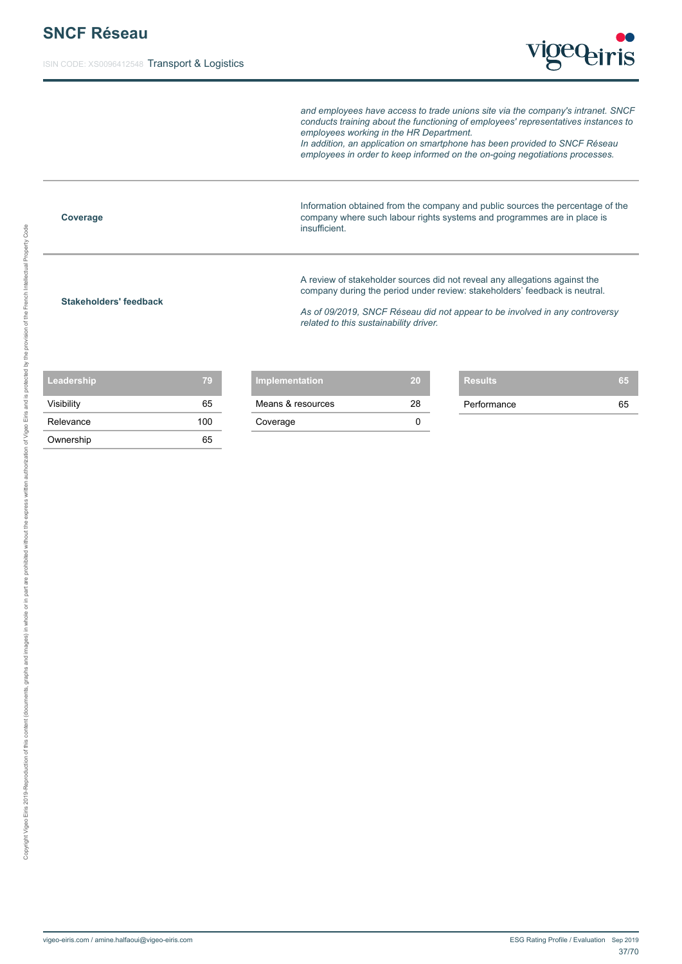![](_page_36_Picture_2.jpeg)

*and employees have access to trade unions site via the company's intranet. SNCF conducts training about the functioning of employees' representatives instances to employees working in the HR Department.*

*In addition, an application on smartphone has been provided to SNCF Réseau employees in order to keep informed on the on-going negotiations processes.*

#### **Coverage**

Information obtained from the company and public sources the percentage of the company where such labour rights systems and programmes are in place is insufficient.

A review of stakeholder sources did not reveal any allegations against the company during the period under review: stakeholders' feedback is neutral.

*As of 09/2019, SNCF Réseau did not appear to be involved in any controversy related to this sustainability driver.*

| Leadership | 79  |
|------------|-----|
| Visibility | 65  |
| Relevance  | 100 |
| Ownership  | 65  |
|            |     |

**Stakeholders' feedback**

| <b>Implementation</b> | 20 |
|-----------------------|----|
| Means & resources     | 28 |
| Coverage              |    |

| <b>Results</b> | 'NG |
|----------------|-----|
| Performance    |     |
|                |     |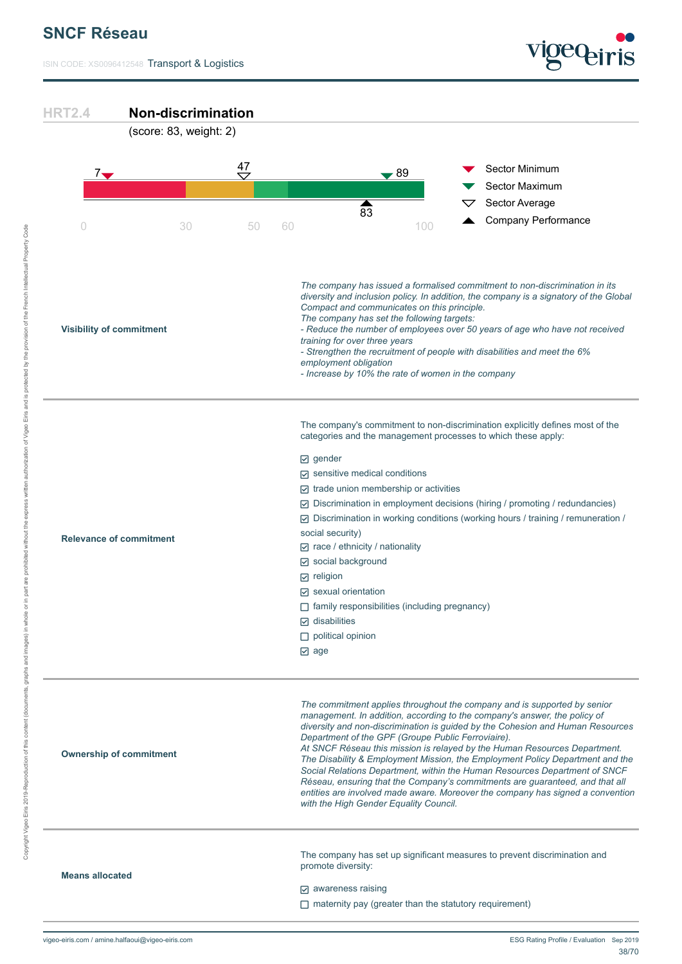<span id="page-37-0"></span>![](_page_37_Figure_3.jpeg)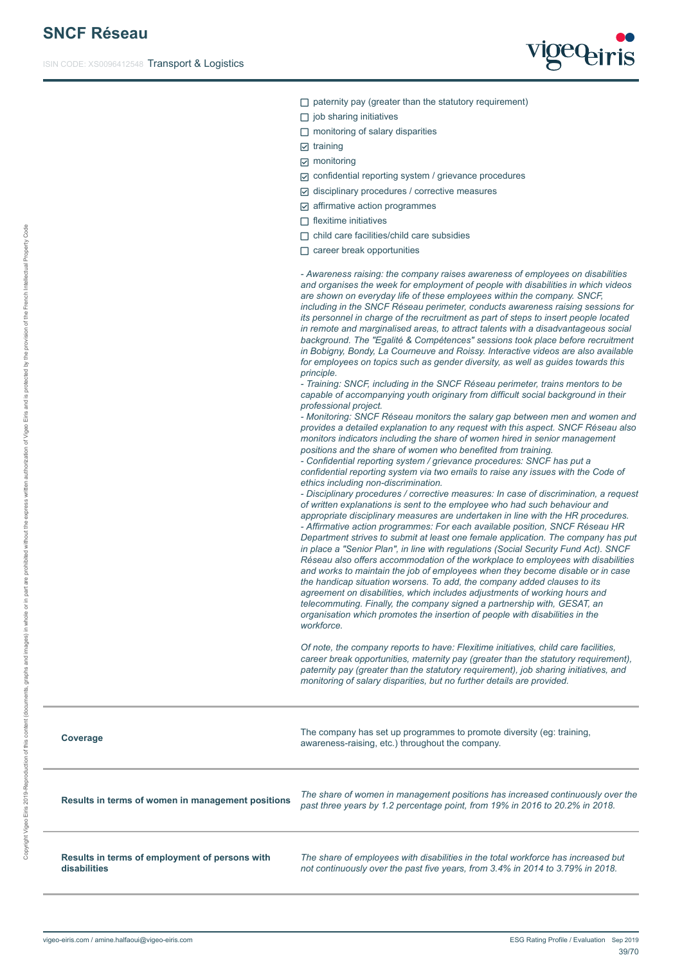ISIN CODE: XS0096412548 Transport & Logistics

![](_page_38_Picture_2.jpeg)

|  |  |  | $\Box$ paternity pay (greater than the statutory requirement) |  |
|--|--|--|---------------------------------------------------------------|--|
|  |  |  |                                                               |  |

- $\Box$  job sharing initiatives
- $\Box$  monitoring of salary disparities
- $\nabla$  training
- $\boxed{}$  monitoring
- confidential reporting system / grievance procedures
- disciplinary procedures / corrective measures
- affirmative action programmes
- $\Box$  flexitime initiatives
- □ child care facilities/child care subsidies
- $\Box$  career break opportunities

*- Awareness raising: the company raises awareness of employees on disabilities and organises the week for employment of people with disabilities in which videos are shown on everyday life of these employees within the company. SNCF, including in the SNCF Réseau perimeter, conducts awareness raising sessions for its personnel in charge of the recruitment as part of steps to insert people located in remote and marginalised areas, to attract talents with a disadvantageous social background. The "Egalité & Compétences" sessions took place before recruitment in Bobigny, Bondy, La Courneuve and Roissy. Interactive videos are also available for employees on topics such as gender diversity, as well as guides towards this principle.*

*- Training: SNCF, including in the SNCF Réseau perimeter, trains mentors to be capable of accompanying youth originary from difficult social background in their professional project.*

*- Monitoring: SNCF Réseau monitors the salary gap between men and women and provides a detailed explanation to any request with this aspect. SNCF Réseau also monitors indicators including the share of women hired in senior management positions and the share of women who benefited from training.*

*- Confidential reporting system / grievance procedures: SNCF has put a confidential reporting system via two emails to raise any issues with the Code of ethics including non-discrimination.*

*- Disciplinary procedures / corrective measures: In case of discrimination, a request of written explanations is sent to the employee who had such behaviour and appropriate disciplinary measures are undertaken in line with the HR procedures. - Affirmative action programmes: For each available position, SNCF Réseau HR Department strives to submit at least one female application. The company has put in place a "Senior Plan", in line with regulations (Social Security Fund Act). SNCF Réseau also offers accommodation of the workplace to employees with disabilities and works to maintain the job of employees when they become disable or in case the handicap situation worsens. To add, the company added clauses to its agreement on disabilities, which includes adjustments of working hours and telecommuting. Finally, the company signed a partnership with, GESAT, an organisation which promotes the insertion of people with disabilities in the workforce.*

*Of note, the company reports to have: Flexitime initiatives, child care facilities, career break opportunities, maternity pay (greater than the statutory requirement), paternity pay (greater than the statutory requirement), job sharing initiatives, and monitoring of salary disparities, but no further details are provided.*

The company has set up programmes to promote diversity (eg: training, awareness-raising, etc.) throughout the company. **Coverage** *The share of women in management positions has increased continuously over the past three years by 1.2 percentage point, from 19% in 2016 to 20.2% in 2018.* **Results in terms of women in management positions** *The share of employees with disabilities in the total workforce has increased but not continuously over the past five years, from 3.4% in 2014 to 3.79% in 2018.* **Results in terms of employment of persons with disabilities**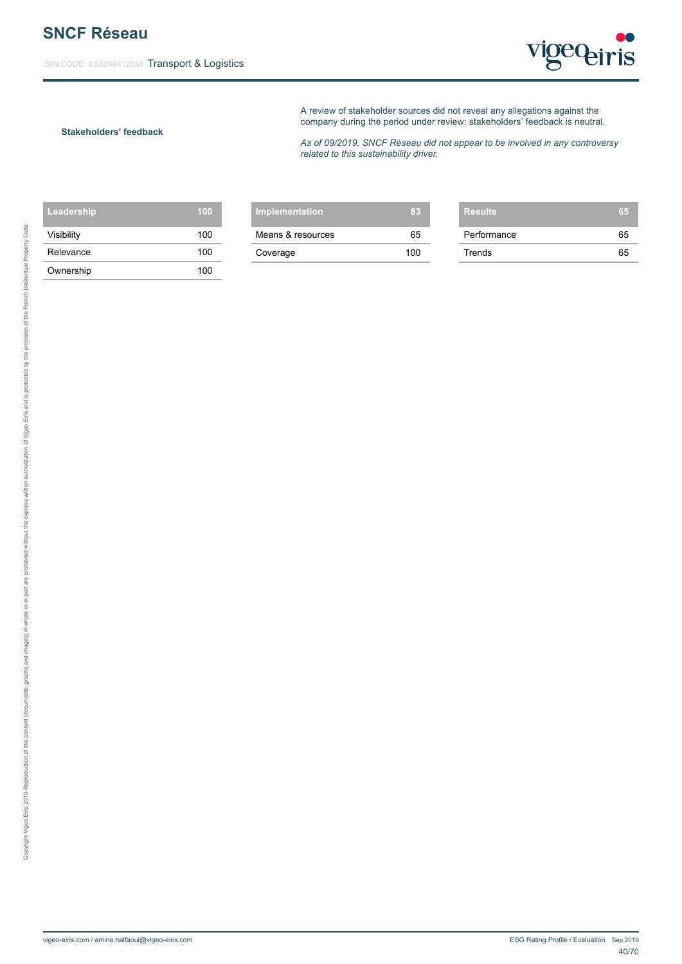![](_page_39_Picture_2.jpeg)

**Stakeholders' feedback**

A review of stakeholder sources did not reveal any allegations against the company during the period under review: stakeholders' feedback is neutral.

*As of 09/2019, SNCF Réseau did not appear to be involved in any controversy related to this sustainability driver.*

| Leadership | 100 |
|------------|-----|
| Visibility | 100 |
| Relevance  | 100 |
| Ownership  | 100 |
|            |     |

| Implementation    | 83  |
|-------------------|-----|
| Means & resources | 65  |
| Coverage          | 100 |

| <b>Results</b> | 'da |
|----------------|-----|
| Performance    | 65  |
| Trends         | 65  |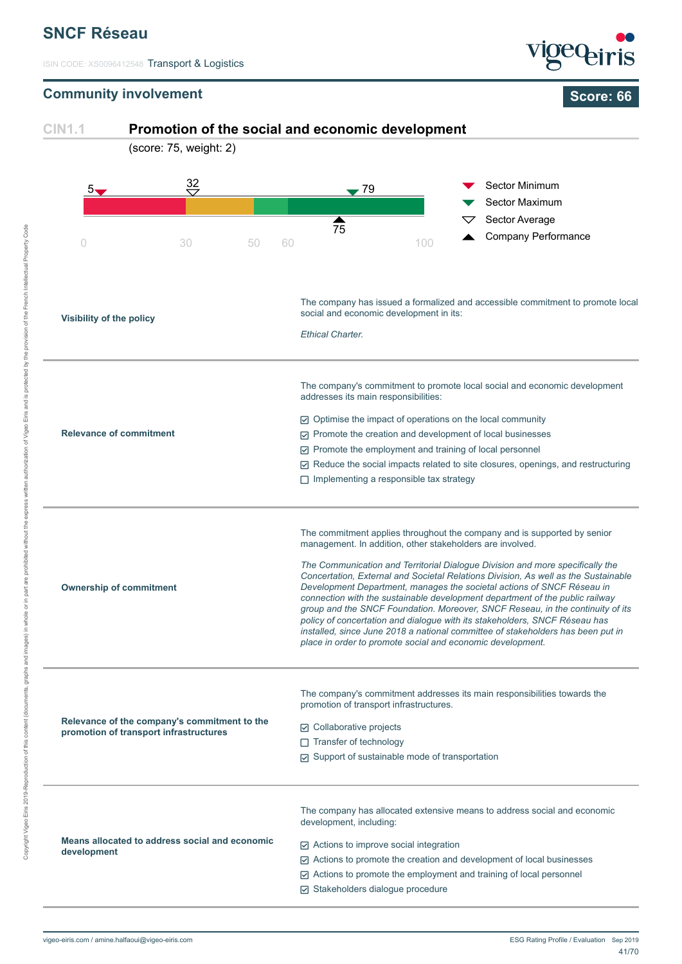ISIN CODE: XS0096412548 Transport & Logistics

<span id="page-40-1"></span>**CIN1.1 Promotion of the social and economic development**

![](_page_40_Picture_2.jpeg)

# <span id="page-40-0"></span>**Community involvement Score: 66**

j.

 $\overline{\phantom{a}}$ 

i.

| (score: 75, weight: 2)                                                                 |          |                                                                                                                                                                                                                                                                                                                                                                                                                                                                                                                                                                                                                                                                                                                                                                                         |  |
|----------------------------------------------------------------------------------------|----------|-----------------------------------------------------------------------------------------------------------------------------------------------------------------------------------------------------------------------------------------------------------------------------------------------------------------------------------------------------------------------------------------------------------------------------------------------------------------------------------------------------------------------------------------------------------------------------------------------------------------------------------------------------------------------------------------------------------------------------------------------------------------------------------------|--|
| $\frac{32}{5}$<br>$5\blacktriangledown$<br>30<br>0                                     | 50<br>60 | Sector Minimum<br>79<br>Sector Maximum<br>Sector Average<br>$rac{1}{75}$<br><b>Company Performance</b><br>100                                                                                                                                                                                                                                                                                                                                                                                                                                                                                                                                                                                                                                                                           |  |
| Visibility of the policy                                                               |          | The company has issued a formalized and accessible commitment to promote local<br>social and economic development in its:<br><b>Ethical Charter.</b>                                                                                                                                                                                                                                                                                                                                                                                                                                                                                                                                                                                                                                    |  |
| <b>Relevance of commitment</b>                                                         |          | The company's commitment to promote local social and economic development<br>addresses its main responsibilities:<br>$\boxdot$ Optimise the impact of operations on the local community<br>☑ Promote the creation and development of local businesses<br>☑ Promote the employment and training of local personnel<br>☑ Reduce the social impacts related to site closures, openings, and restructuring<br>$\Box$ Implementing a responsible tax strategy                                                                                                                                                                                                                                                                                                                                |  |
| <b>Ownership of commitment</b>                                                         |          | The commitment applies throughout the company and is supported by senior<br>management. In addition, other stakeholders are involved.<br>The Communication and Territorial Dialogue Division and more specifically the<br>Concertation, External and Societal Relations Division, As well as the Sustainable<br>Development Department, manages the societal actions of SNCF Réseau in<br>connection with the sustainable development department of the public railway<br>group and the SNCF Foundation. Moreover, SNCF Reseau, in the continuity of its<br>policy of concertation and dialogue with its stakeholders, SNCF Réseau has<br>installed, since June 2018 a national committee of stakeholders has been put in<br>place in order to promote social and economic development. |  |
| Relevance of the company's commitment to the<br>promotion of transport infrastructures |          | The company's commitment addresses its main responsibilities towards the<br>promotion of transport infrastructures.<br>☑ Collaborative projects<br>□ Transfer of technology<br>☑ Support of sustainable mode of transportation                                                                                                                                                                                                                                                                                                                                                                                                                                                                                                                                                          |  |
| Means allocated to address social and economic<br>development                          |          | The company has allocated extensive means to address social and economic<br>development, including:<br>□ Actions to improve social integration<br>☑ Actions to promote the creation and development of local businesses<br>☑ Actions to promote the employment and training of local personnel<br>☑ Stakeholders dialogue procedure                                                                                                                                                                                                                                                                                                                                                                                                                                                     |  |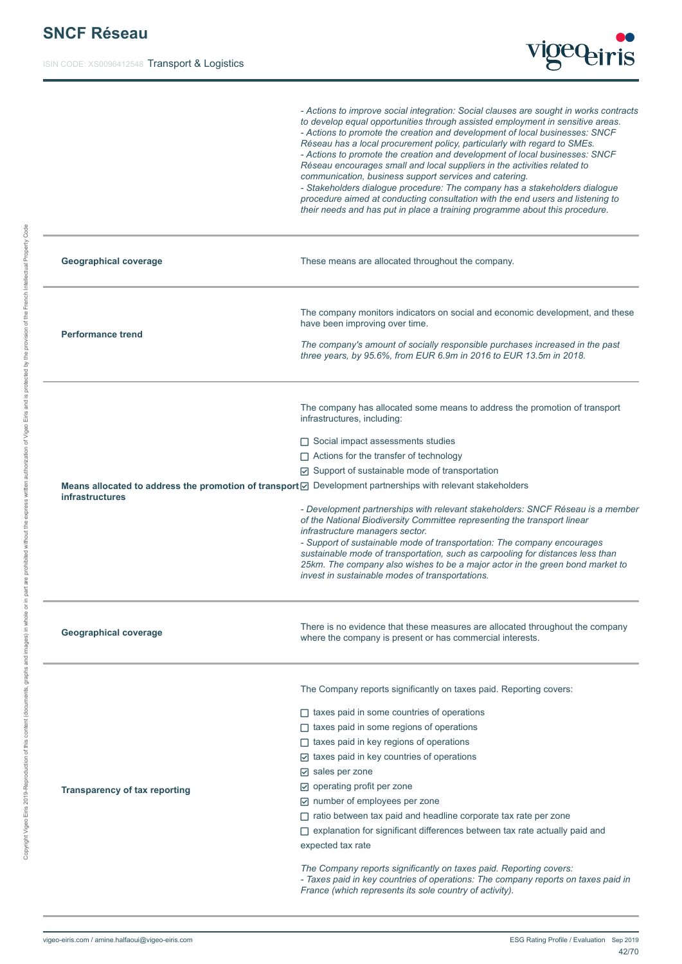ISIN CODE: XS0096412548 Transport & Logistics

![](_page_41_Picture_2.jpeg)

|                                                                                                               | - Actions to improve social integration: Social clauses are sought in works contracts<br>to develop equal opportunities through assisted employment in sensitive areas.<br>- Actions to promote the creation and development of local businesses: SNCF<br>Réseau has a local procurement policy, particularly with regard to SMEs.<br>- Actions to promote the creation and development of local businesses: SNCF<br>Réseau encourages small and local suppliers in the activities related to<br>communication, business support services and catering.<br>- Stakeholders dialogue procedure: The company has a stakeholders dialogue<br>procedure aimed at conducting consultation with the end users and listening to<br>their needs and has put in place a training programme about this procedure. |
|---------------------------------------------------------------------------------------------------------------|--------------------------------------------------------------------------------------------------------------------------------------------------------------------------------------------------------------------------------------------------------------------------------------------------------------------------------------------------------------------------------------------------------------------------------------------------------------------------------------------------------------------------------------------------------------------------------------------------------------------------------------------------------------------------------------------------------------------------------------------------------------------------------------------------------|
| <b>Geographical coverage</b>                                                                                  | These means are allocated throughout the company.                                                                                                                                                                                                                                                                                                                                                                                                                                                                                                                                                                                                                                                                                                                                                      |
| <b>Performance trend</b>                                                                                      | The company monitors indicators on social and economic development, and these<br>have been improving over time.                                                                                                                                                                                                                                                                                                                                                                                                                                                                                                                                                                                                                                                                                        |
|                                                                                                               | The company's amount of socially responsible purchases increased in the past<br>three years, by 95.6%, from EUR 6.9m in 2016 to EUR 13.5m in 2018.                                                                                                                                                                                                                                                                                                                                                                                                                                                                                                                                                                                                                                                     |
|                                                                                                               | The company has allocated some means to address the promotion of transport<br>infrastructures, including:                                                                                                                                                                                                                                                                                                                                                                                                                                                                                                                                                                                                                                                                                              |
|                                                                                                               | $\Box$ Social impact assessments studies                                                                                                                                                                                                                                                                                                                                                                                                                                                                                                                                                                                                                                                                                                                                                               |
|                                                                                                               | □ Actions for the transfer of technology                                                                                                                                                                                                                                                                                                                                                                                                                                                                                                                                                                                                                                                                                                                                                               |
|                                                                                                               | ○ Support of sustainable mode of transportation                                                                                                                                                                                                                                                                                                                                                                                                                                                                                                                                                                                                                                                                                                                                                        |
| Means allocated to address the promotion of transport [or Development partnerships with relevant stakeholders |                                                                                                                                                                                                                                                                                                                                                                                                                                                                                                                                                                                                                                                                                                                                                                                                        |
| <b>infrastructures</b>                                                                                        | - Development partnerships with relevant stakeholders: SNCF Réseau is a member<br>of the National Biodiversity Committee representing the transport linear<br>infrastructure managers sector.<br>- Support of sustainable mode of transportation: The company encourages<br>sustainable mode of transportation, such as carpooling for distances less than<br>25km. The company also wishes to be a major actor in the green bond market to<br>invest in sustainable modes of transportations.                                                                                                                                                                                                                                                                                                         |
| <b>Geographical coverage</b>                                                                                  | There is no evidence that these measures are allocated throughout the company<br>where the company is present or has commercial interests.                                                                                                                                                                                                                                                                                                                                                                                                                                                                                                                                                                                                                                                             |
|                                                                                                               | The Company reports significantly on taxes paid. Reporting covers:                                                                                                                                                                                                                                                                                                                                                                                                                                                                                                                                                                                                                                                                                                                                     |
|                                                                                                               | $\Box$ taxes paid in some countries of operations                                                                                                                                                                                                                                                                                                                                                                                                                                                                                                                                                                                                                                                                                                                                                      |
|                                                                                                               | $\Box$ taxes paid in some regions of operations                                                                                                                                                                                                                                                                                                                                                                                                                                                                                                                                                                                                                                                                                                                                                        |
|                                                                                                               | $\Box$ taxes paid in key regions of operations                                                                                                                                                                                                                                                                                                                                                                                                                                                                                                                                                                                                                                                                                                                                                         |
|                                                                                                               | $\triangleright$ taxes paid in key countries of operations                                                                                                                                                                                                                                                                                                                                                                                                                                                                                                                                                                                                                                                                                                                                             |
|                                                                                                               | $\boxdot$ sales per zone                                                                                                                                                                                                                                                                                                                                                                                                                                                                                                                                                                                                                                                                                                                                                                               |
| <b>Transparency of tax reporting</b>                                                                          | $\boxdot$ operating profit per zone                                                                                                                                                                                                                                                                                                                                                                                                                                                                                                                                                                                                                                                                                                                                                                    |
|                                                                                                               | ☑ number of employees per zone                                                                                                                                                                                                                                                                                                                                                                                                                                                                                                                                                                                                                                                                                                                                                                         |
|                                                                                                               | $\Box$ ratio between tax paid and headline corporate tax rate per zone                                                                                                                                                                                                                                                                                                                                                                                                                                                                                                                                                                                                                                                                                                                                 |
|                                                                                                               | $\Box$ explanation for significant differences between tax rate actually paid and                                                                                                                                                                                                                                                                                                                                                                                                                                                                                                                                                                                                                                                                                                                      |
|                                                                                                               | expected tax rate<br>The Company reports significantly on taxes paid. Reporting covers:<br>- Taxes paid in key countries of operations: The company reports on taxes paid in<br>France (which represents its sole country of activity).                                                                                                                                                                                                                                                                                                                                                                                                                                                                                                                                                                |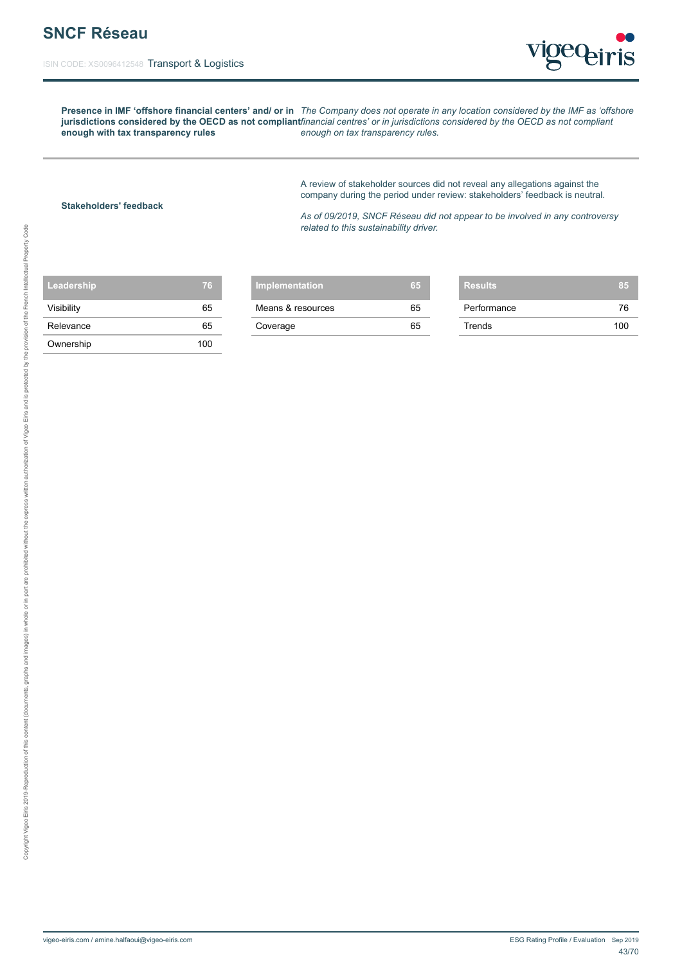![](_page_42_Picture_2.jpeg)

Presence in IMF 'offshore financial centers' and/ or in The Company does not operate in any location considered by the IMF as 'offshore **jurisdictions considered by the OECD as not compliant**financial centres' or in jurisdictions considered by the OECD as not compliant *enough on tax transparency rules.* **enough with tax transparency rules**

> A review of stakeholder sources did not reveal any allegations against the company during the period under review: stakeholders' feedback is neutral.

#### **Stakeholders' feedback**

*As of 09/2019, SNCF Réseau did not appear to be involved in any controversy related to this sustainability driver.*

| Leadership | 76  |
|------------|-----|
| Visibility | 65  |
| Relevance  | 65  |
| Ownership  | 100 |
|            |     |

| <b>Implementation</b> | 65 |
|-----------------------|----|
| Means & resources     | 65 |
| Coverage              | 65 |

| <b>Results</b> | 1:15 |
|----------------|------|
| Performance    | 76   |
| Trends         | 100  |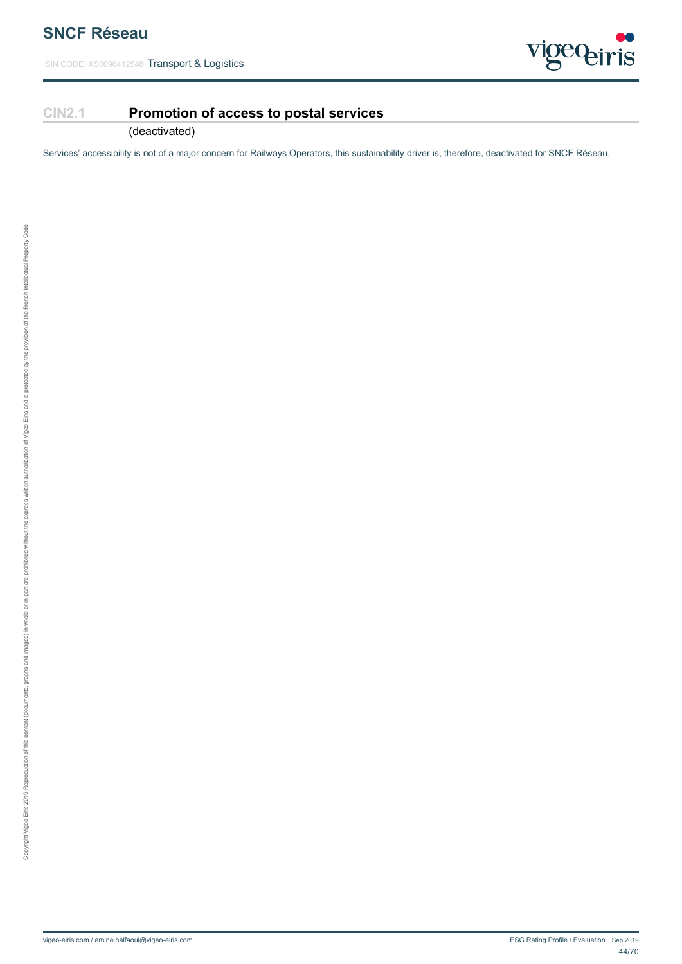ISIN CODE: XS0096412548 Transport & Logistics

![](_page_43_Picture_2.jpeg)

### <span id="page-43-0"></span>**CIN2.1 Promotion of access to postal services**

(deactivated)

Services' accessibility is not of a major concern for Railways Operators, this sustainability driver is, therefore, deactivated for SNCF Réseau.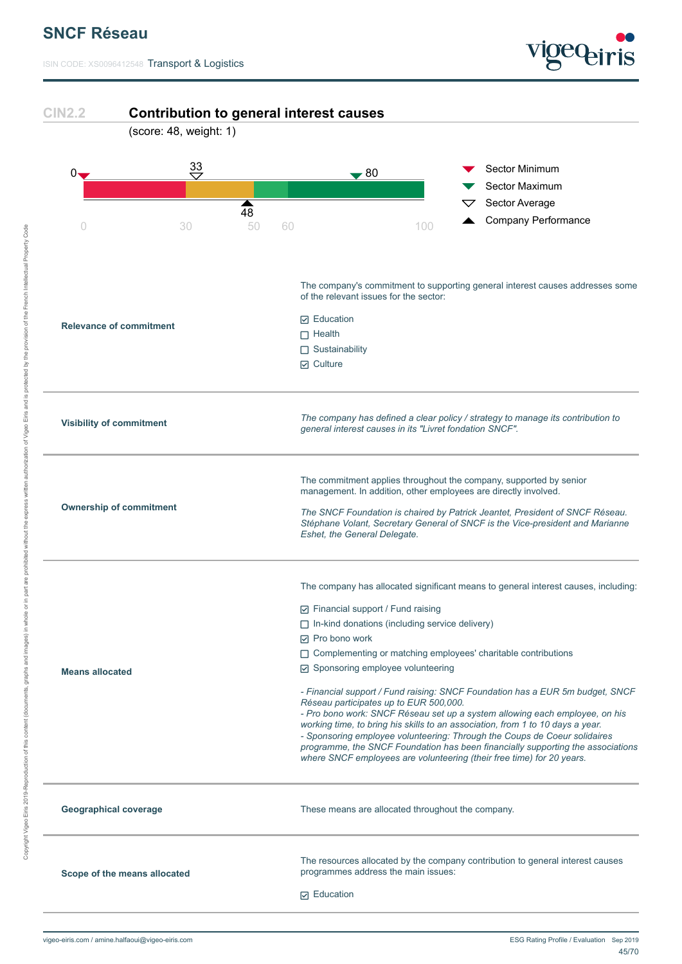![](_page_44_Picture_2.jpeg)

<span id="page-44-0"></span>![](_page_44_Figure_3.jpeg)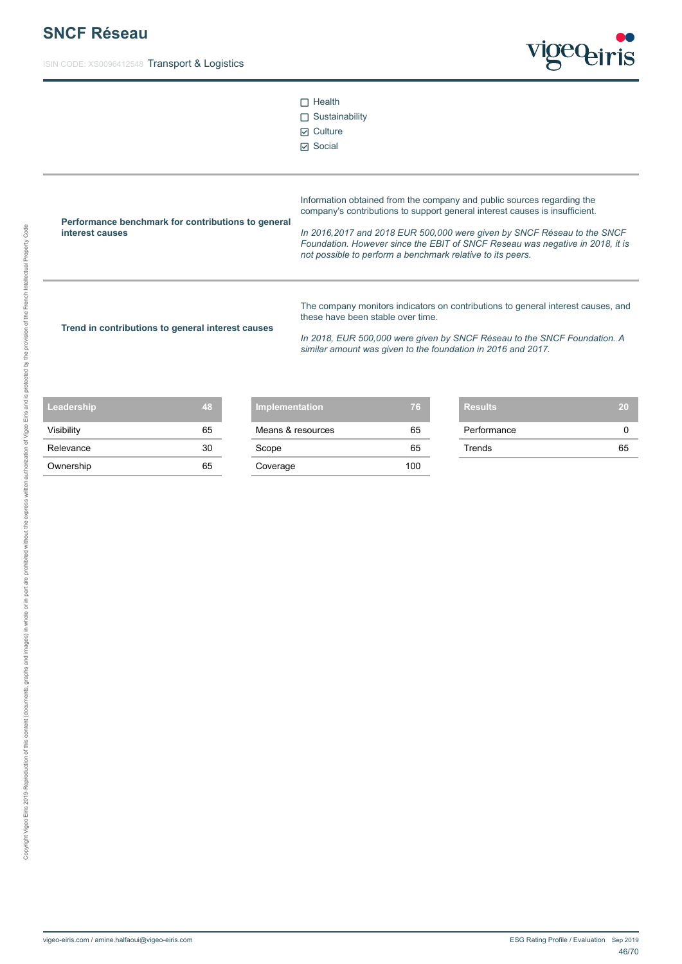![](_page_45_Picture_2.jpeg)

 $\Box$  Health □ Sustainability **⊘** Culture **⊘** Social

Information obtained from the company and public sources regarding the company's contributions to support general interest causes is insufficient.

#### **Performance benchmark for contributions to general interest causes**

*In 2016,2017 and 2018 EUR 500,000 were given by SNCF Réseau to the SNCF Foundation. However since the EBIT of SNCF Reseau was negative in 2018, it is not possible to perform a benchmark relative to its peers.*

The company monitors indicators on contributions to general interest causes, and these have been stable over time.

**Trend in contributions to general interest causes**

*In 2018, EUR 500,000 were given by SNCF Réseau to the SNCF Foundation. A similar amount was given to the foundation in 2016 and 2017.*

| Leadership | 48 |
|------------|----|
| Visibility | 65 |
| Relevance  | 30 |
| Ownership  | 65 |

| Implementation    | 76  |
|-------------------|-----|
| Means & resources | 65  |
| Scope             | 65  |
| Coverage          | 100 |

| <b>Results</b> | P.N |
|----------------|-----|
| Performance    |     |
| Trends         | 65  |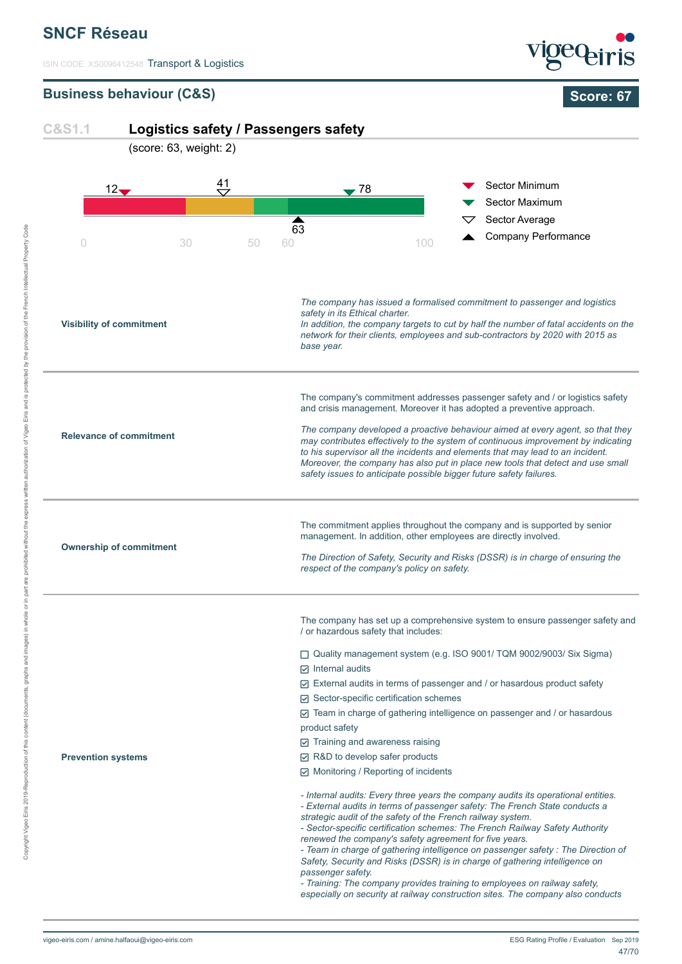ISIN CODE: XS0096412548 Transport & Logistics

### **Business behaviour (C&S) Score: 67 Score: 67 Score: 67 Score: 67 Score: 67 Score: 67 Score: 67 Score: 67 Score: 67 Score: 67 Score: 67 Score: 67 Score: 67 Score: 67 Score: 67 Score: 67 Sc**

<span id="page-46-1"></span><span id="page-46-0"></span>![](_page_46_Figure_4.jpeg)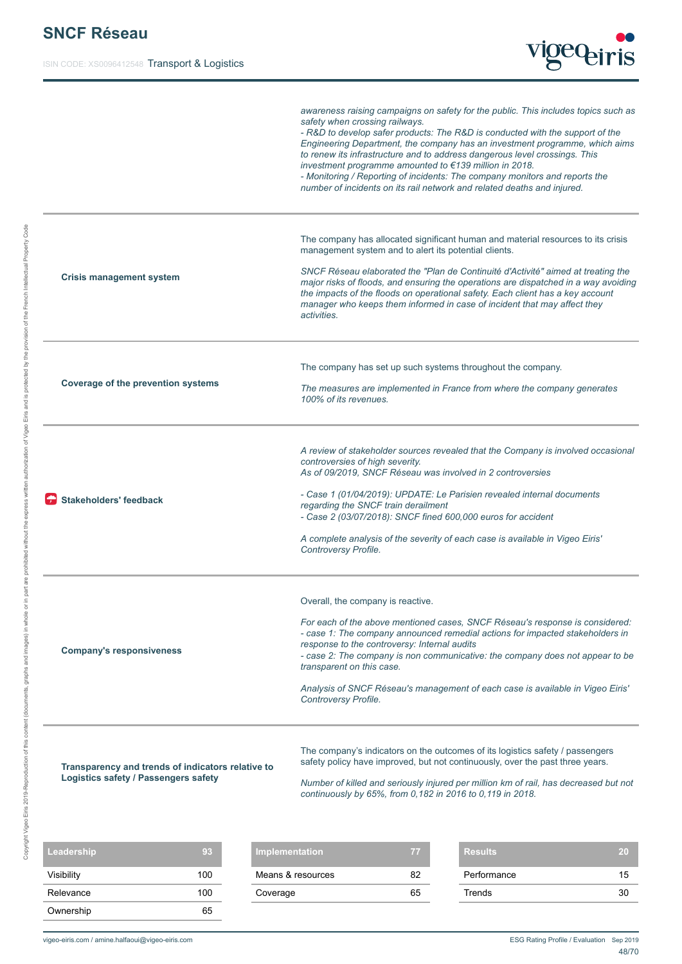|                                                                                           | awareness raising campaigns on safety for the public. This includes topics such as<br>safety when crossing railways.<br>- R&D to develop safer products: The R&D is conducted with the support of the<br>Engineering Department, the company has an investment programme, which aims<br>to renew its infrastructure and to address dangerous level crossings. This<br>investment programme amounted to €139 million in 2018.<br>- Monitoring / Reporting of incidents: The company monitors and reports the<br>number of incidents on its rail network and related deaths and injured. |
|-------------------------------------------------------------------------------------------|----------------------------------------------------------------------------------------------------------------------------------------------------------------------------------------------------------------------------------------------------------------------------------------------------------------------------------------------------------------------------------------------------------------------------------------------------------------------------------------------------------------------------------------------------------------------------------------|
| <b>Crisis management system</b>                                                           | The company has allocated significant human and material resources to its crisis<br>management system and to alert its potential clients.<br>SNCF Réseau elaborated the "Plan de Continuité d'Activité" aimed at treating the<br>major risks of floods, and ensuring the operations are dispatched in a way avoiding<br>the impacts of the floods on operational safety. Each client has a key account<br>manager who keeps them informed in case of incident that may affect they<br>activities.                                                                                      |
| Coverage of the prevention systems                                                        | The company has set up such systems throughout the company.<br>The measures are implemented in France from where the company generates<br>100% of its revenues.                                                                                                                                                                                                                                                                                                                                                                                                                        |
| Stakeholders' feedback                                                                    | A review of stakeholder sources revealed that the Company is involved occasional<br>controversies of high severity.<br>As of 09/2019, SNCF Réseau was involved in 2 controversies<br>- Case 1 (01/04/2019): UPDATE: Le Parisien revealed internal documents<br>regarding the SNCF train derailment<br>- Case 2 (03/07/2018): SNCF fined 600,000 euros for accident<br>A complete analysis of the severity of each case is available in Vigeo Eiris'<br>Controversy Profile.                                                                                                            |
| <b>Company's responsiveness</b>                                                           | Overall, the company is reactive.<br>For each of the above mentioned cases, SNCF Réseau's response is considered:<br>- case 1: The company announced remedial actions for impacted stakeholders in<br>response to the controversy: Internal audits<br>- case 2: The company is non communicative: the company does not appear to be<br>transparent on this case.<br>Analysis of SNCF Réseau's management of each case is available in Vigeo Eiris'<br>Controversy Profile.                                                                                                             |
| Transparency and trends of indicators relative to<br>Logistics safety / Passengers safety | The company's indicators on the outcomes of its logistics safety / passengers<br>safety policy have improved, but not continuously, over the past three years.<br>Number of killed and seriously injured per million km of rail, has decreased but not<br>continuously by 65%, from 0,182 in 2016 to 0,119 in 2018.                                                                                                                                                                                                                                                                    |

 $\sim$ 

 $\overline{\phantom{a}}$ 

 $\sim$ 

| <b>Leadership</b> | 93  |
|-------------------|-----|
| Visibility        | 100 |
| Relevance         | 100 |
| Ownership         | 65  |
|                   |     |

| Implementation    | 577 |    |
|-------------------|-----|----|
| Means & resources | 82  | Pе |
| Coverage          | 65  | ۲۴ |
|                   |     |    |

| <b>Results</b> | 20 |
|----------------|----|
| Performance    | 15 |
| Trends         | 30 |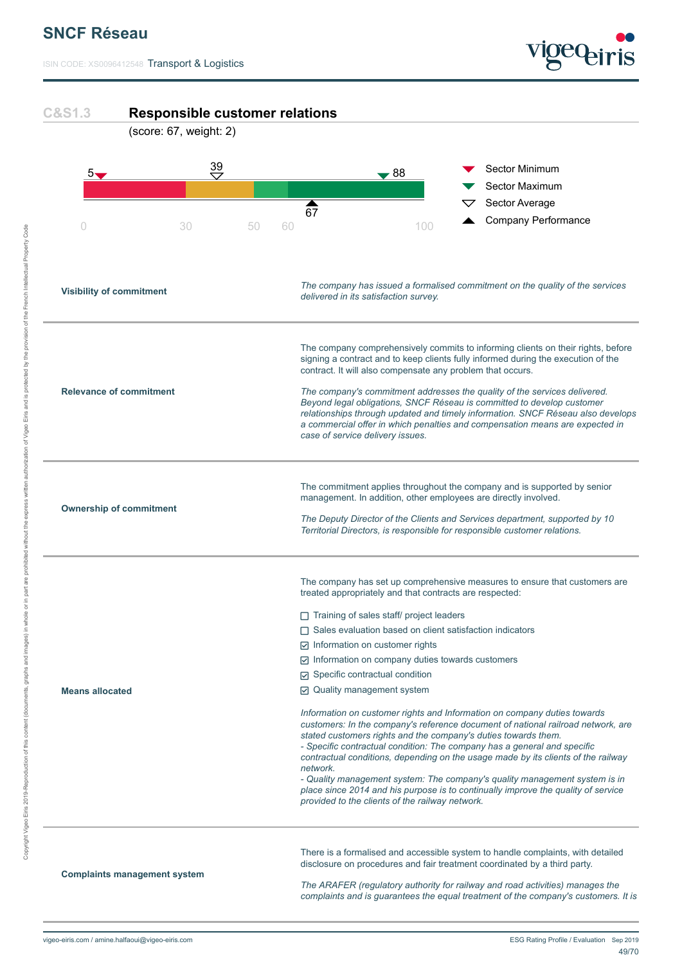![](_page_48_Picture_2.jpeg)

![](_page_48_Figure_3.jpeg)

<span id="page-48-0"></span>**C&S1.3 Responsible customer relations**

![](_page_48_Figure_5.jpeg)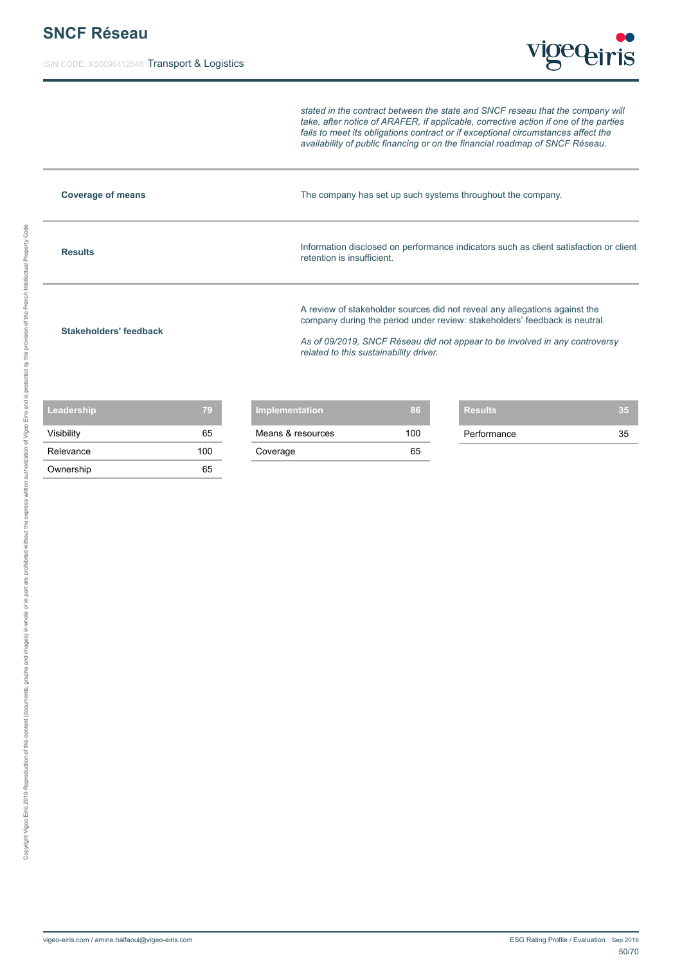#### ISIN CODE: XS0096412548 Transport & Logistics

![](_page_49_Picture_2.jpeg)

*stated in the contract between the state and SNCF reseau that the company will take, after notice of ARAFER, if applicable, corrective action if one of the parties fails to meet its obligations contract or if exceptional circumstances affect the availability of public financing or on the financial roadmap of SNCF Réseau.*

**Coverage of means** The company has set up such systems throughout the company.

Information disclosed on performance indicators such as client satisfaction or client retention is insufficient. **Results**

**Stakeholders' feedback**

A review of stakeholder sources did not reveal any allegations against the company during the period under review: stakeholders' feedback is neutral.

*As of 09/2019, SNCF Réseau did not appear to be involved in any controversy related to this sustainability driver.*

| <b>Leadership</b> | 79  |
|-------------------|-----|
| Visibility        | 65  |
| Relevance         | 100 |
| Ownership         | 65  |

| -86 |
|-----|
| 100 |
| 65  |
|     |

| <b>Results</b> |  |
|----------------|--|
| Performance    |  |

J.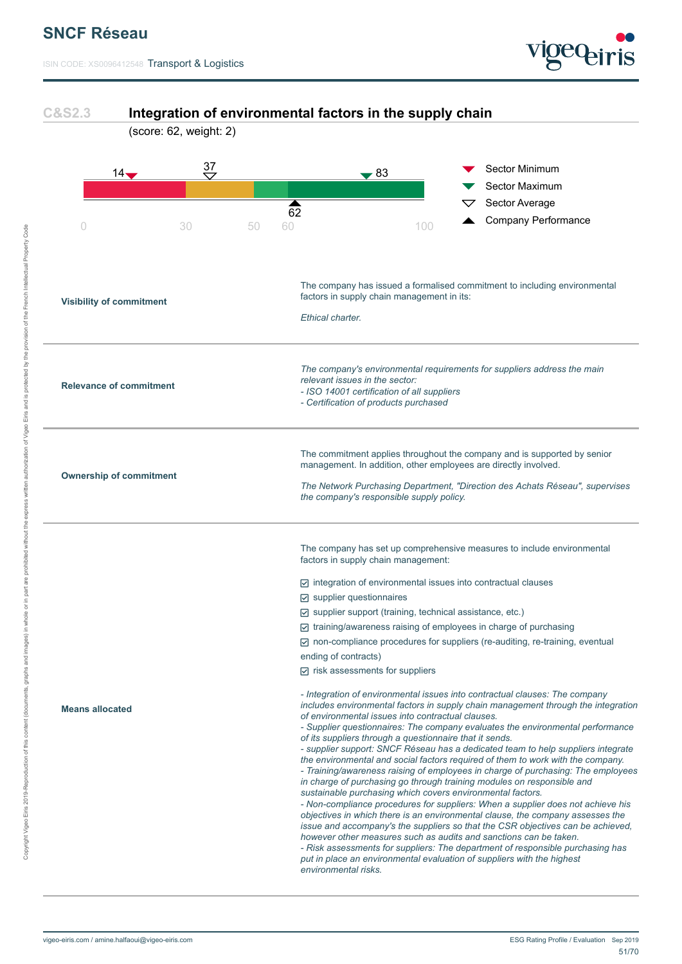<span id="page-50-0"></span>![](_page_50_Figure_3.jpeg)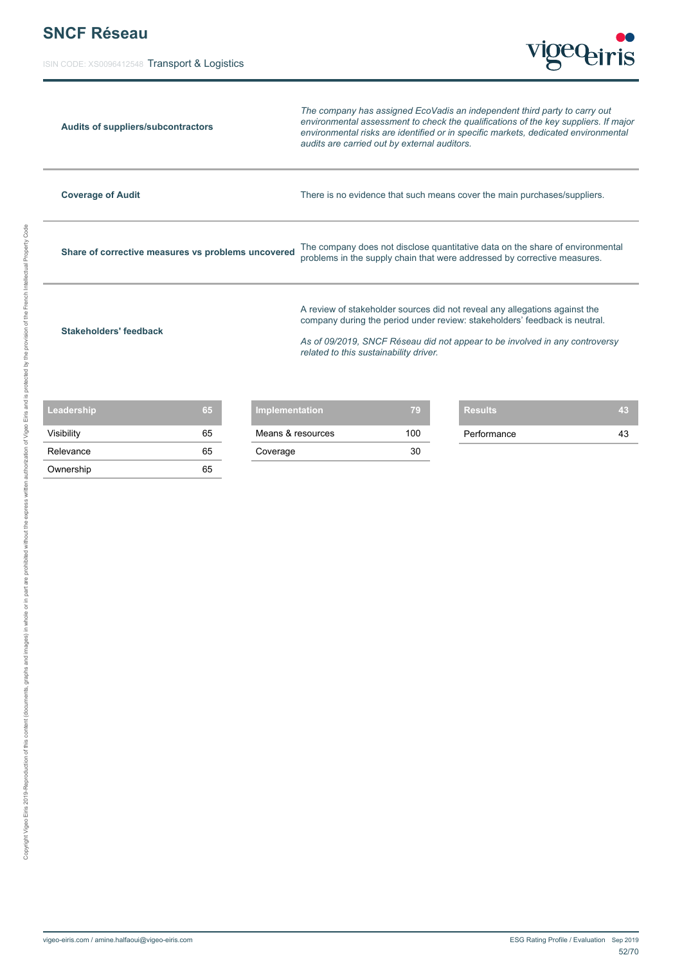Ownership 65

![](_page_51_Picture_2.jpeg)

| <b>Audits of suppliers/subcontractors</b>          |    |                   | audits are carried out by external auditors. | The company has assigned EcoVadis an independent third party to carry out<br>environmental assessment to check the qualifications of the key suppliers. If major<br>environmental risks are identified or in specific markets, dedicated environmental |    |
|----------------------------------------------------|----|-------------------|----------------------------------------------|--------------------------------------------------------------------------------------------------------------------------------------------------------------------------------------------------------------------------------------------------------|----|
| <b>Coverage of Audit</b>                           |    |                   |                                              | There is no evidence that such means cover the main purchases/suppliers.                                                                                                                                                                               |    |
| Share of corrective measures vs problems uncovered |    |                   |                                              | The company does not disclose quantitative data on the share of environmental<br>problems in the supply chain that were addressed by corrective measures.                                                                                              |    |
| Stakeholders' feedback                             |    |                   | related to this sustainability driver.       | A review of stakeholder sources did not reveal any allegations against the<br>company during the period under review: stakeholders' feedback is neutral.<br>As of 09/2019, SNCF Réseau did not appear to be involved in any controversy                |    |
| Leadership                                         | 65 | Implementation    | 79                                           | <b>Results</b>                                                                                                                                                                                                                                         | 43 |
| Visibility                                         | 65 | Means & resources | 100                                          | Performance                                                                                                                                                                                                                                            | 43 |
| Relevance                                          | 65 | Coverage          | 30                                           |                                                                                                                                                                                                                                                        |    |

Coverage 30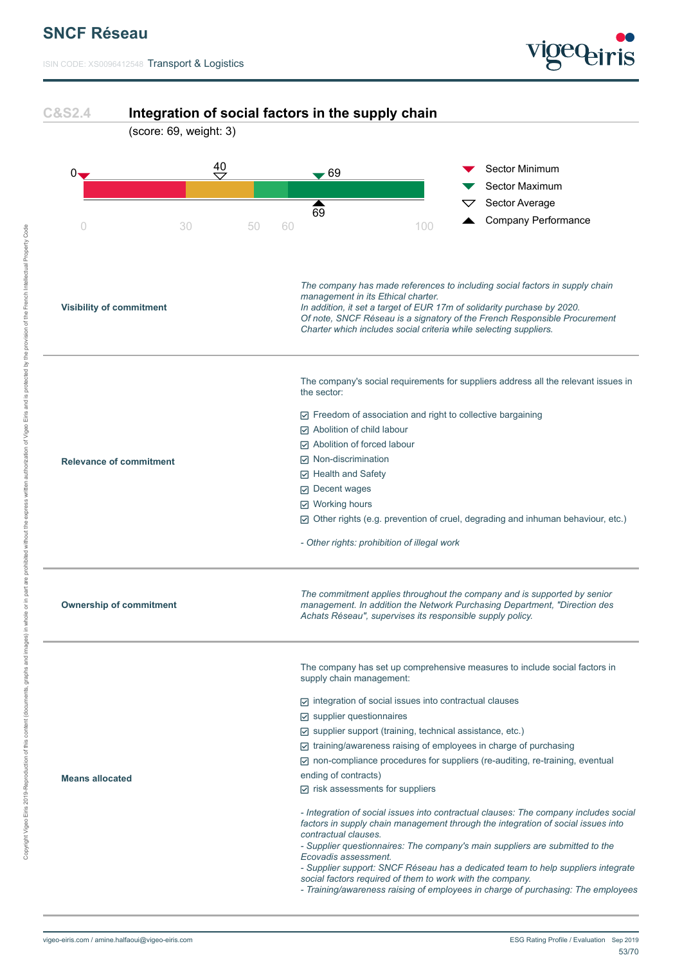<span id="page-52-0"></span>![](_page_52_Figure_3.jpeg)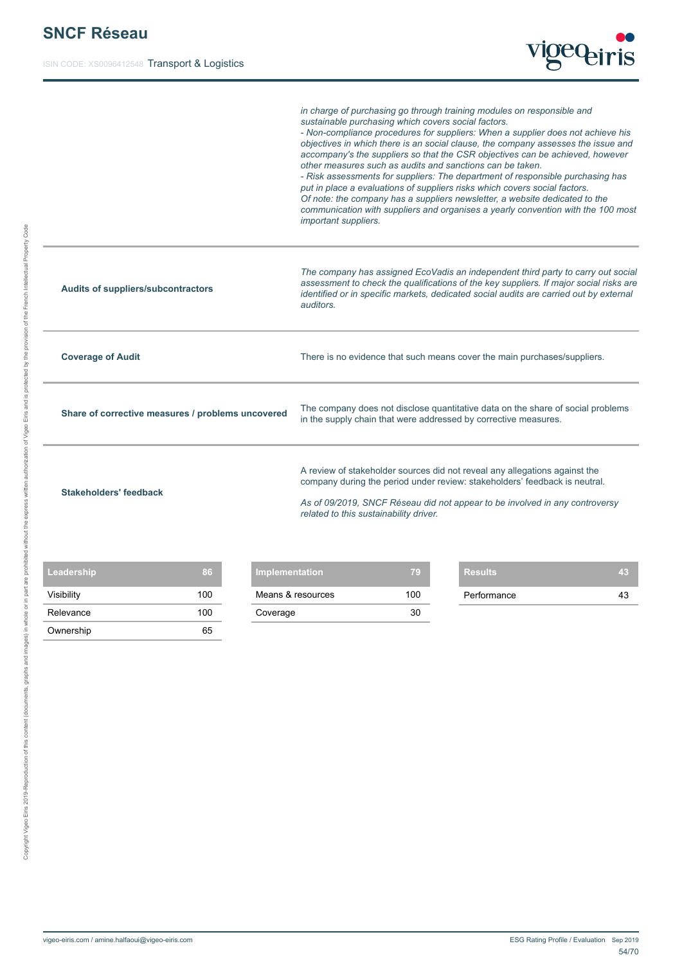ISIN CODE: XS0096412548 Transport & Logistics

![](_page_53_Picture_2.jpeg)

|                                                   |            |                | important suppliers. | sustainable purchasing which covers social factors. | in charge of purchasing go through training modules on responsible and<br>- Non-compliance procedures for suppliers: When a supplier does not achieve his<br>objectives in which there is an social clause, the company assesses the issue and<br>accompany's the suppliers so that the CSR objectives can be achieved, however<br>other measures such as audits and sanctions can be taken.<br>- Risk assessments for suppliers: The department of responsible purchasing has<br>put in place a evaluations of suppliers risks which covers social factors.<br>Of note: the company has a suppliers newsletter, a website dedicated to the<br>communication with suppliers and organises a yearly convention with the 100 most |    |
|---------------------------------------------------|------------|----------------|----------------------|-----------------------------------------------------|---------------------------------------------------------------------------------------------------------------------------------------------------------------------------------------------------------------------------------------------------------------------------------------------------------------------------------------------------------------------------------------------------------------------------------------------------------------------------------------------------------------------------------------------------------------------------------------------------------------------------------------------------------------------------------------------------------------------------------|----|
| Audits of suppliers/subcontractors                |            |                | auditors.            |                                                     | The company has assigned EcoVadis an independent third party to carry out social<br>assessment to check the qualifications of the key suppliers. If major social risks are<br>identified or in specific markets, dedicated social audits are carried out by external                                                                                                                                                                                                                                                                                                                                                                                                                                                            |    |
| <b>Coverage of Audit</b>                          |            |                |                      |                                                     | There is no evidence that such means cover the main purchases/suppliers.                                                                                                                                                                                                                                                                                                                                                                                                                                                                                                                                                                                                                                                        |    |
| Share of corrective measures / problems uncovered |            |                |                      |                                                     | The company does not disclose quantitative data on the share of social problems<br>in the supply chain that were addressed by corrective measures.                                                                                                                                                                                                                                                                                                                                                                                                                                                                                                                                                                              |    |
| <b>Stakeholders' feedback</b>                     |            |                |                      | related to this sustainability driver.              | A review of stakeholder sources did not reveal any allegations against the<br>company during the period under review: stakeholders' feedback is neutral.<br>As of 09/2019, SNCF Réseau did not appear to be involved in any controversy                                                                                                                                                                                                                                                                                                                                                                                                                                                                                         |    |
| Leadership                                        | 86         | Implementation |                      | 79                                                  | <b>Results</b>                                                                                                                                                                                                                                                                                                                                                                                                                                                                                                                                                                                                                                                                                                                  | 43 |
| Visibility<br>Relevance                           | 100<br>100 |                | Means & resources    | 100<br>30                                           | Performance                                                                                                                                                                                                                                                                                                                                                                                                                                                                                                                                                                                                                                                                                                                     | 43 |
|                                                   |            | Coverage       |                      |                                                     |                                                                                                                                                                                                                                                                                                                                                                                                                                                                                                                                                                                                                                                                                                                                 |    |

Ownership 65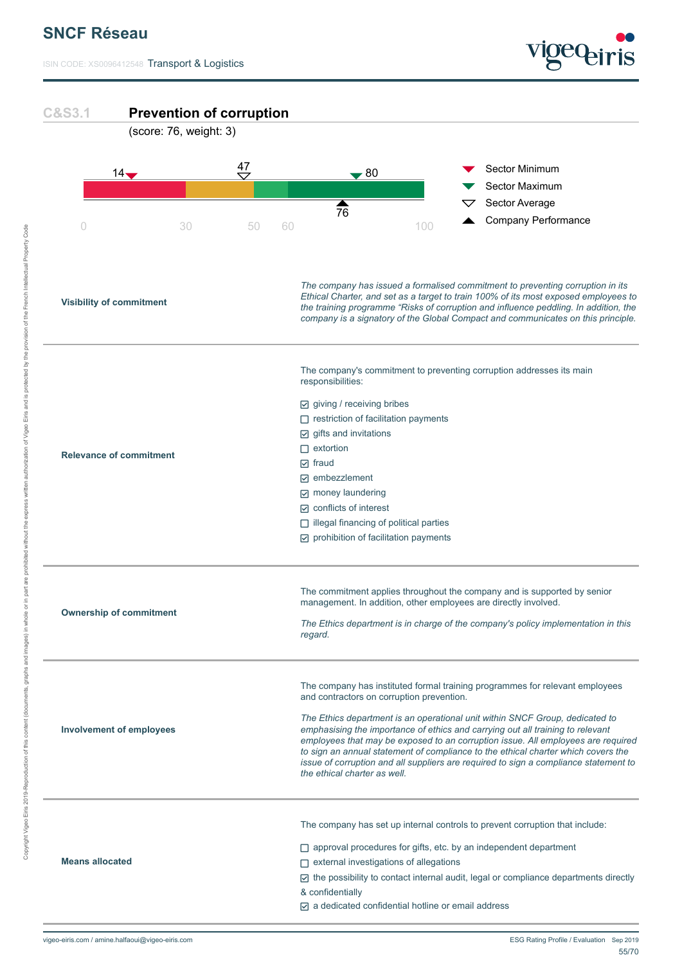![](_page_54_Picture_2.jpeg)

<span id="page-54-0"></span>![](_page_54_Figure_3.jpeg)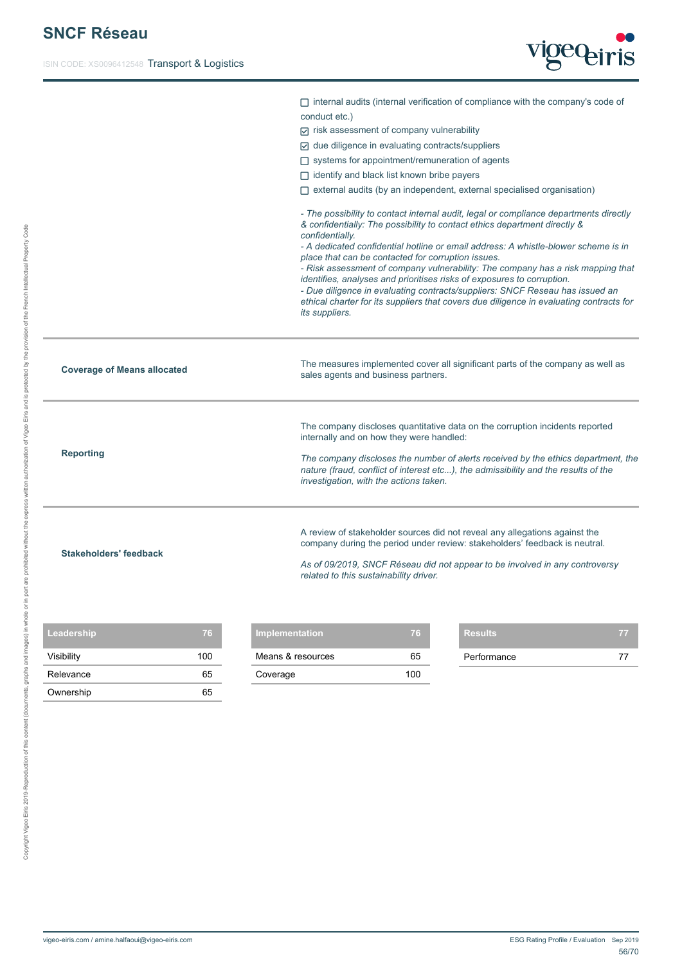ISIN CODE: XS0096412548 Transport & Logistics

![](_page_55_Picture_2.jpeg)

| Visibility                         | 100 | Means & resources                                                                                                                                                       | 65 | Performance                                                                                                                                                                                                                                                                                                                                                                                                                                                                                                                                                                                      | 77 |
|------------------------------------|-----|-------------------------------------------------------------------------------------------------------------------------------------------------------------------------|----|--------------------------------------------------------------------------------------------------------------------------------------------------------------------------------------------------------------------------------------------------------------------------------------------------------------------------------------------------------------------------------------------------------------------------------------------------------------------------------------------------------------------------------------------------------------------------------------------------|----|
| Leadership                         | 76  | Implementation                                                                                                                                                          | 76 | Results                                                                                                                                                                                                                                                                                                                                                                                                                                                                                                                                                                                          | 77 |
| Stakeholders' feedback             |     | related to this sustainability driver.                                                                                                                                  |    | A review of stakeholder sources did not reveal any allegations against the<br>company during the period under review: stakeholders' feedback is neutral.<br>As of 09/2019, SNCF Réseau did not appear to be involved in any controversy                                                                                                                                                                                                                                                                                                                                                          |    |
| <b>Reporting</b>                   |     | internally and on how they were handled:<br>investigation, with the actions taken.                                                                                      |    | The company discloses quantitative data on the corruption incidents reported<br>The company discloses the number of alerts received by the ethics department, the<br>nature (fraud, conflict of interest etc), the admissibility and the results of the                                                                                                                                                                                                                                                                                                                                          |    |
| <b>Coverage of Means allocated</b> |     | sales agents and business partners.                                                                                                                                     |    | The measures implemented cover all significant parts of the company as well as                                                                                                                                                                                                                                                                                                                                                                                                                                                                                                                   |    |
|                                    |     | confidentially.<br>place that can be contacted for corruption issues.<br>its suppliers.                                                                                 |    | - The possibility to contact internal audit, legal or compliance departments directly<br>& confidentially: The possibility to contact ethics department directly &<br>- A dedicated confidential hotline or email address: A whistle-blower scheme is in<br>- Risk assessment of company vulnerability: The company has a risk mapping that<br>identifies, analyses and prioritises risks of exposures to corruption.<br>- Due diligence in evaluating contracts/suppliers: SNCF Reseau has issued an<br>ethical charter for its suppliers that covers due diligence in evaluating contracts for |    |
|                                    |     | $\Box$ identify and black list known bribe payers                                                                                                                       |    | $\Box$ external audits (by an independent, external specialised organisation)                                                                                                                                                                                                                                                                                                                                                                                                                                                                                                                    |    |
|                                    |     | $\nabla$ risk assessment of company vulnerability<br>$\boxdot$ due diligence in evaluating contracts/suppliers<br>$\Box$ systems for appointment/remuneration of agents |    |                                                                                                                                                                                                                                                                                                                                                                                                                                                                                                                                                                                                  |    |
|                                    |     | conduct etc.)                                                                                                                                                           |    | $\Box$ internal audits (internal verification of compliance with the company's code of                                                                                                                                                                                                                                                                                                                                                                                                                                                                                                           |    |

Coverage 100

Relevance 65 Ownership 65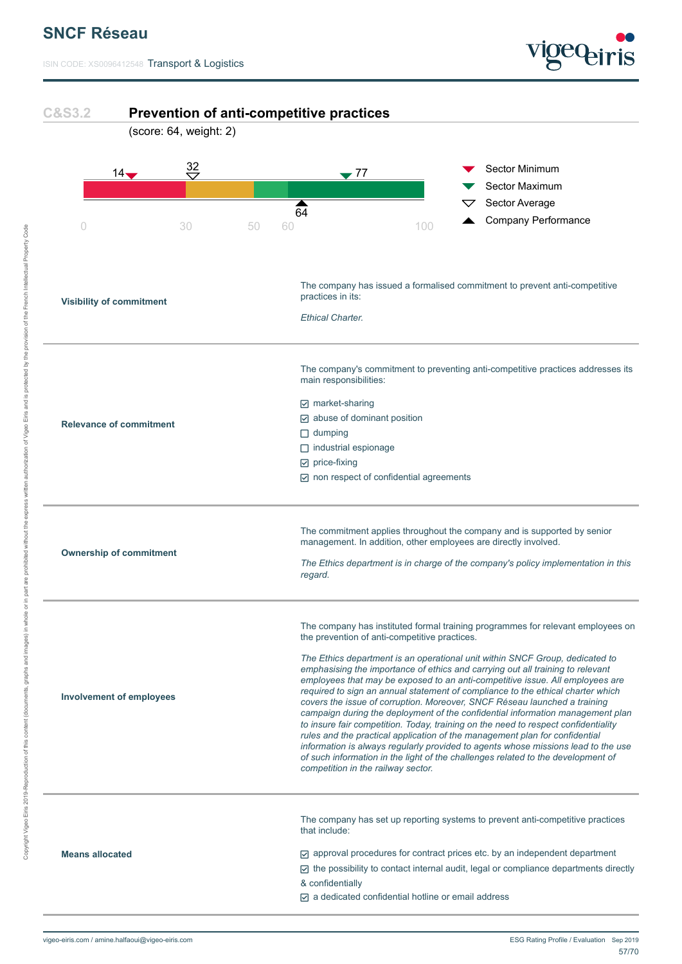![](_page_56_Picture_2.jpeg)

![](_page_56_Figure_3.jpeg)

<span id="page-56-0"></span>**C&S3.2 Prevention of anti-competitive practices**

![](_page_56_Figure_5.jpeg)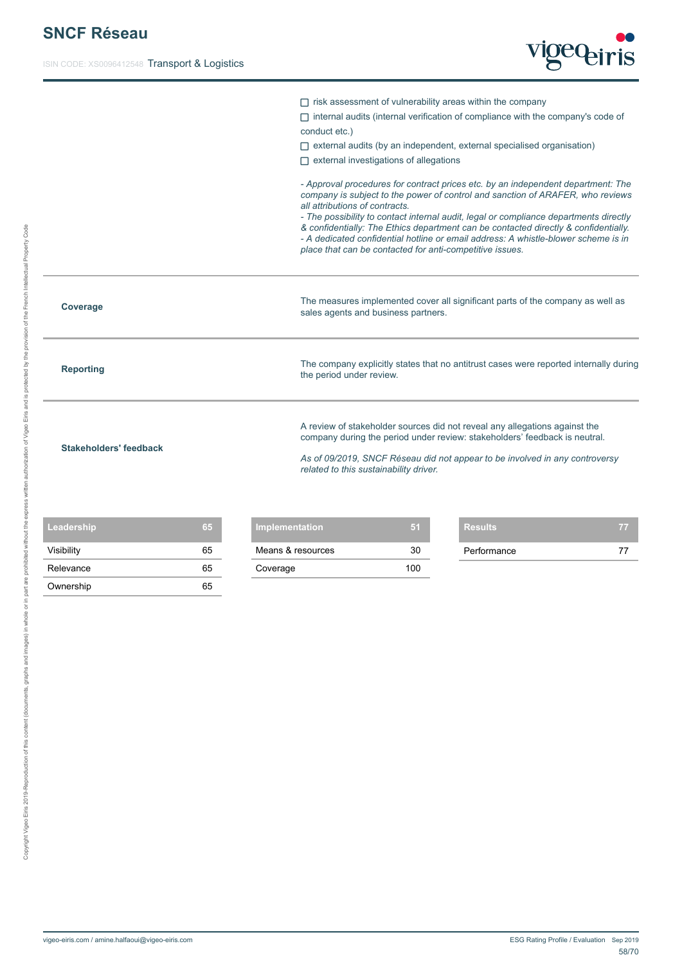ISIN CODE: XS0096412548 Transport & Logistics

![](_page_57_Picture_2.jpeg)

|                        | $\Box$ risk assessment of vulnerability areas within the company<br>$\Box$ internal audits (internal verification of compliance with the company's code of                                                                                                                                                                                                                                                                                                                                                                             |
|------------------------|----------------------------------------------------------------------------------------------------------------------------------------------------------------------------------------------------------------------------------------------------------------------------------------------------------------------------------------------------------------------------------------------------------------------------------------------------------------------------------------------------------------------------------------|
|                        | conduct etc.)                                                                                                                                                                                                                                                                                                                                                                                                                                                                                                                          |
|                        | $\Box$ external audits (by an independent, external specialised organisation)                                                                                                                                                                                                                                                                                                                                                                                                                                                          |
|                        | $\Box$ external investigations of allegations                                                                                                                                                                                                                                                                                                                                                                                                                                                                                          |
|                        | - Approval procedures for contract prices etc. by an independent department: The<br>company is subject to the power of control and sanction of ARAFER, who reviews<br>all attributions of contracts.<br>- The possibility to contact internal audit, legal or compliance departments directly<br>& confidentially: The Ethics department can be contacted directly & confidentially.<br>- A dedicated confidential hotline or email address: A whistle-blower scheme is in<br>place that can be contacted for anti-competitive issues. |
| Coverage               | The measures implemented cover all significant parts of the company as well as<br>sales agents and business partners.                                                                                                                                                                                                                                                                                                                                                                                                                  |
| <b>Reporting</b>       | The company explicitly states that no antitrust cases were reported internally during<br>the period under review.                                                                                                                                                                                                                                                                                                                                                                                                                      |
| Stakeholders' feedback | A review of stakeholder sources did not reveal any allegations against the<br>company during the period under review: stakeholders' feedback is neutral.<br>As of 09/2019, SNCF Réseau did not appear to be involved in any controversy<br>related to this sustainability driver.                                                                                                                                                                                                                                                      |
|                        |                                                                                                                                                                                                                                                                                                                                                                                                                                                                                                                                        |

| Leadership | 65 |
|------------|----|
| Visibility | 65 |
| Relevance  | 65 |
| Ownership  | 65 |
|            |    |

| Implementation    | -54 |
|-------------------|-----|
| Means & resources | 30  |
| Coverage          | 100 |

| <b>Results</b> |  |
|----------------|--|
| Performance    |  |

I

J.

 $\rightarrow$ 

à.

 $\sim$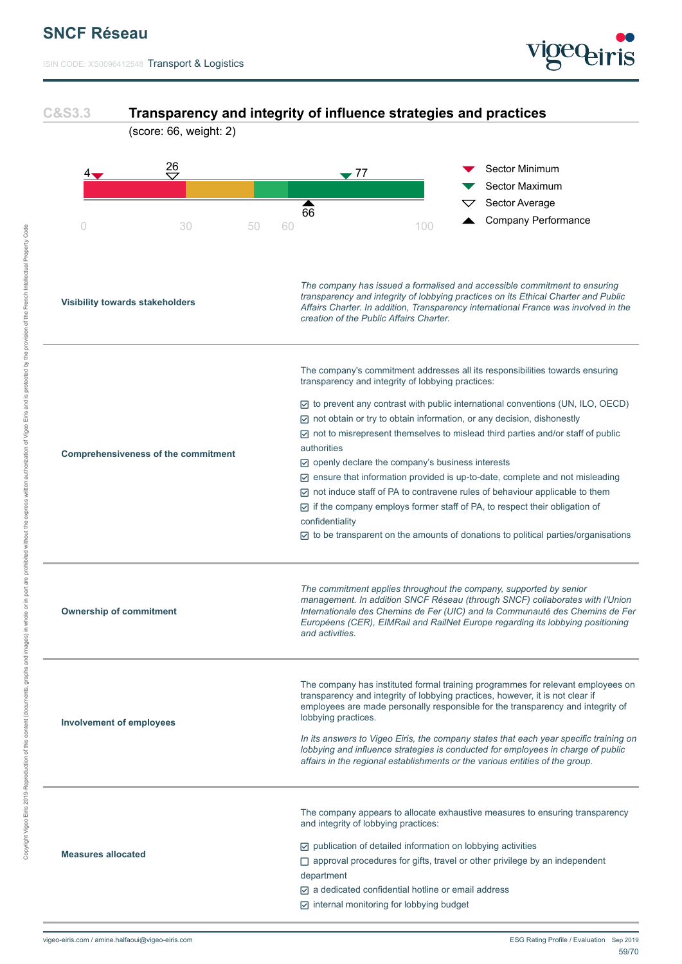<span id="page-58-0"></span>![](_page_58_Figure_3.jpeg)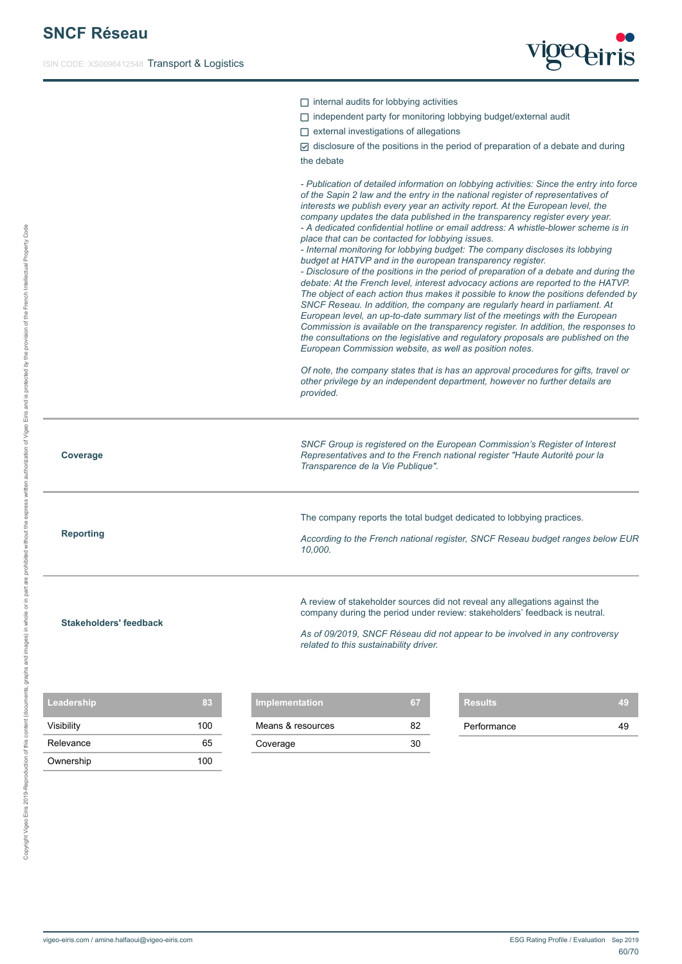ISIN CODE: XS0096412548 Transport & Logistics

![](_page_59_Picture_2.jpeg)

|                        | $\Box$ internal audits for lobbying activities                                                                                                                                                                                                                                                                                                                                                                                                                                                                                                                                                                                                                                                                                                                                                                                                                                                                                                                                                                                                                                                                                                                                                                                                                                                                                                                                                          |
|------------------------|---------------------------------------------------------------------------------------------------------------------------------------------------------------------------------------------------------------------------------------------------------------------------------------------------------------------------------------------------------------------------------------------------------------------------------------------------------------------------------------------------------------------------------------------------------------------------------------------------------------------------------------------------------------------------------------------------------------------------------------------------------------------------------------------------------------------------------------------------------------------------------------------------------------------------------------------------------------------------------------------------------------------------------------------------------------------------------------------------------------------------------------------------------------------------------------------------------------------------------------------------------------------------------------------------------------------------------------------------------------------------------------------------------|
|                        | ⊓ independent party for monitoring lobbying budget/external audit                                                                                                                                                                                                                                                                                                                                                                                                                                                                                                                                                                                                                                                                                                                                                                                                                                                                                                                                                                                                                                                                                                                                                                                                                                                                                                                                       |
|                        | $\Box$ external investigations of allegations                                                                                                                                                                                                                                                                                                                                                                                                                                                                                                                                                                                                                                                                                                                                                                                                                                                                                                                                                                                                                                                                                                                                                                                                                                                                                                                                                           |
|                        | $\triangleright$ disclosure of the positions in the period of preparation of a debate and during                                                                                                                                                                                                                                                                                                                                                                                                                                                                                                                                                                                                                                                                                                                                                                                                                                                                                                                                                                                                                                                                                                                                                                                                                                                                                                        |
|                        | the debate                                                                                                                                                                                                                                                                                                                                                                                                                                                                                                                                                                                                                                                                                                                                                                                                                                                                                                                                                                                                                                                                                                                                                                                                                                                                                                                                                                                              |
|                        | - Publication of detailed information on lobbying activities: Since the entry into force<br>of the Sapin 2 law and the entry in the national register of representatives of<br>interests we publish every year an activity report. At the European level, the<br>company updates the data published in the transparency register every year.<br>- A dedicated confidential hotline or email address: A whistle-blower scheme is in<br>place that can be contacted for lobbying issues.<br>- Internal monitoring for lobbying budget: The company discloses its lobbying<br>budget at HATVP and in the european transparency register.<br>- Disclosure of the positions in the period of preparation of a debate and during the<br>debate: At the French level, interest advocacy actions are reported to the HATVP.<br>The object of each action thus makes it possible to know the positions defended by<br>SNCF Reseau. In addition, the company are regularly heard in parliament. At<br>European level, an up-to-date summary list of the meetings with the European<br>Commission is available on the transparency register. In addition, the responses to<br>the consultations on the legislative and regulatory proposals are published on the<br>European Commission website, as well as position notes.<br>Of note, the company states that is has an approval procedures for gifts, travel or |
|                        | other privilege by an independent department, however no further details are<br>provided.                                                                                                                                                                                                                                                                                                                                                                                                                                                                                                                                                                                                                                                                                                                                                                                                                                                                                                                                                                                                                                                                                                                                                                                                                                                                                                               |
| Coverage               | SNCF Group is registered on the European Commission's Register of Interest<br>Representatives and to the French national register "Haute Autorité pour la<br>Transparence de la Vie Publique".                                                                                                                                                                                                                                                                                                                                                                                                                                                                                                                                                                                                                                                                                                                                                                                                                                                                                                                                                                                                                                                                                                                                                                                                          |
|                        | The company reports the total budget dedicated to lobbying practices.                                                                                                                                                                                                                                                                                                                                                                                                                                                                                                                                                                                                                                                                                                                                                                                                                                                                                                                                                                                                                                                                                                                                                                                                                                                                                                                                   |
| <b>Reporting</b>       | According to the French national register, SNCF Reseau budget ranges below EUR<br>10,000.                                                                                                                                                                                                                                                                                                                                                                                                                                                                                                                                                                                                                                                                                                                                                                                                                                                                                                                                                                                                                                                                                                                                                                                                                                                                                                               |
| Stakeholders' feedback | A review of stakeholder sources did not reveal any allegations against the<br>company during the period under review: stakeholders' feedback is neutral.<br>As of 09/2019, SNCF Réseau did not appear to be involved in any controversy<br>related to this sustainability driver.                                                                                                                                                                                                                                                                                                                                                                                                                                                                                                                                                                                                                                                                                                                                                                                                                                                                                                                                                                                                                                                                                                                       |
|                        |                                                                                                                                                                                                                                                                                                                                                                                                                                                                                                                                                                                                                                                                                                                                                                                                                                                                                                                                                                                                                                                                                                                                                                                                                                                                                                                                                                                                         |

Copyright Vigeo Erins content (documents, graphs, and images) in whole or in part are prohibited without the express wittlen authorated on Vigeo Erins and is probeded by the provision of the Fench Indellectual Property Cod

 $\sim$ 

Copyright Vigeo Eris 2019-Reproduction of this content (documents, graphs and images) in whole or in part are prohibited with corrective say ritten authorization of Vigeo Eris and is proteded by the provision of the French

| Leadership | 83  |
|------------|-----|
| Visibility | 100 |
| Relevance  | 65  |
| Ownership  | 100 |
|            |     |

| Implementation    | ľМ |
|-------------------|----|
| Means & resources | 82 |
| Coverage          | 30 |
|                   |    |

| <b>Results</b> |  |
|----------------|--|
| Performance    |  |
|                |  |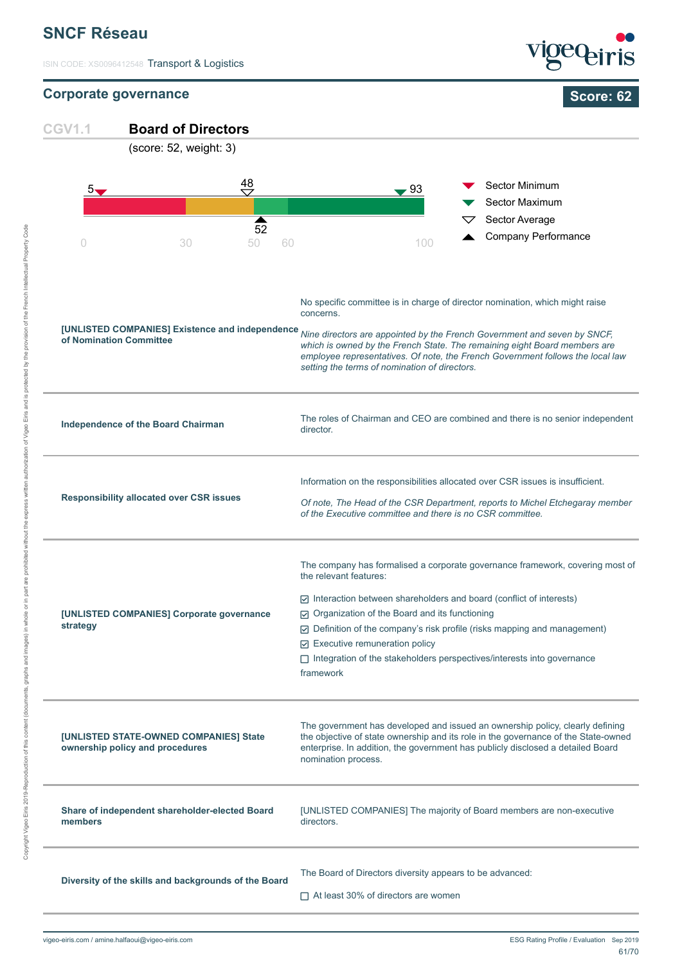ISIN CODE: XS0096412548 Transport & Logistics

### **Corporate governance Score: 62 Score: 62 Score: 62**

<span id="page-60-1"></span><span id="page-60-0"></span>![](_page_60_Figure_4.jpeg)

authorization of Vigeo Eiris and is protected by the provision of the French Intellectual Property Code Copyright Vigeo Erins content (documents, graphs, and images) in whole or in part are prohibited without the express wittlen authorated on Vigeo Erins and is probeded by the provision of the Fench Indellectual Property Cod written Copyright Video Eiris 2019-Reproduction of this content (documents, graphs and images) in whole or in part are prohibited without the express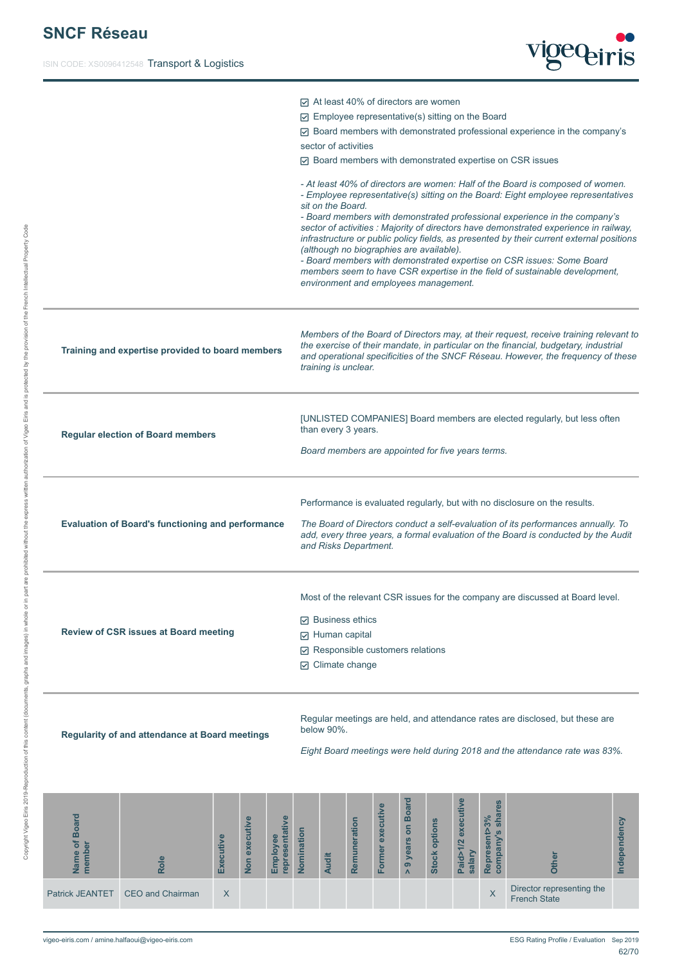ISIN CODE: XS0096412548 Transport & Logistics

![](_page_61_Picture_2.jpeg)

|                                                                                             | $\triangleright$ At least 40% of directors are women                                                                                                                                                                                                                                                                                                                                                                                                                                                                                                                                                                                                                                                     |  |  |  |  |
|---------------------------------------------------------------------------------------------|----------------------------------------------------------------------------------------------------------------------------------------------------------------------------------------------------------------------------------------------------------------------------------------------------------------------------------------------------------------------------------------------------------------------------------------------------------------------------------------------------------------------------------------------------------------------------------------------------------------------------------------------------------------------------------------------------------|--|--|--|--|
|                                                                                             | $\triangledown$ Employee representative(s) sitting on the Board                                                                                                                                                                                                                                                                                                                                                                                                                                                                                                                                                                                                                                          |  |  |  |  |
|                                                                                             | ☑ Board members with demonstrated professional experience in the company's                                                                                                                                                                                                                                                                                                                                                                                                                                                                                                                                                                                                                               |  |  |  |  |
|                                                                                             | sector of activities                                                                                                                                                                                                                                                                                                                                                                                                                                                                                                                                                                                                                                                                                     |  |  |  |  |
|                                                                                             | ☑ Board members with demonstrated expertise on CSR issues                                                                                                                                                                                                                                                                                                                                                                                                                                                                                                                                                                                                                                                |  |  |  |  |
|                                                                                             | - At least 40% of directors are women: Half of the Board is composed of women.<br>- Employee representative(s) sitting on the Board: Eight employee representatives<br>sit on the Board.<br>- Board members with demonstrated professional experience in the company's<br>sector of activities : Majority of directors have demonstrated experience in railway,<br>infrastructure or public policy fields, as presented by their current external positions<br>(although no biographies are available).<br>- Board members with demonstrated expertise on CSR issues: Some Board<br>members seem to have CSR expertise in the field of sustainable development,<br>environment and employees management. |  |  |  |  |
| Training and expertise provided to board members                                            | Members of the Board of Directors may, at their request, receive training relevant to<br>the exercise of their mandate, in particular on the financial, budgetary, industrial<br>and operational specificities of the SNCF Réseau. However, the frequency of these<br>training is unclear.                                                                                                                                                                                                                                                                                                                                                                                                               |  |  |  |  |
| <b>Regular election of Board members</b>                                                    | [UNLISTED COMPANIES] Board members are elected regularly, but less often<br>than every 3 years.                                                                                                                                                                                                                                                                                                                                                                                                                                                                                                                                                                                                          |  |  |  |  |
|                                                                                             | Board members are appointed for five years terms.                                                                                                                                                                                                                                                                                                                                                                                                                                                                                                                                                                                                                                                        |  |  |  |  |
| <b>Evaluation of Board's functioning and performance</b>                                    | Performance is evaluated regularly, but with no disclosure on the results.<br>The Board of Directors conduct a self-evaluation of its performances annually. To<br>add, every three years, a formal evaluation of the Board is conducted by the Audit<br>and Risks Department.                                                                                                                                                                                                                                                                                                                                                                                                                           |  |  |  |  |
| <b>Review of CSR issues at Board meeting</b>                                                | Most of the relevant CSR issues for the company are discussed at Board level.<br>D Business ethics<br>Human capital<br>☑ Responsible customers relations<br><b>○</b> Climate change                                                                                                                                                                                                                                                                                                                                                                                                                                                                                                                      |  |  |  |  |
| Regularity of and attendance at Board meetings                                              | Regular meetings are held, and attendance rates are disclosed, but these are<br>below 90%.<br>Eight Board meetings were held during 2018 and the attendance rate was 83%.                                                                                                                                                                                                                                                                                                                                                                                                                                                                                                                                |  |  |  |  |
|                                                                                             |                                                                                                                                                                                                                                                                                                                                                                                                                                                                                                                                                                                                                                                                                                          |  |  |  |  |
| Name of Board<br>Employee<br>representative<br>Non executive<br>Executive<br>member<br>Role | Paid>1/2 executive<br>9 years on Board<br>Represent>3%<br>company's shares<br>Former executive<br>Remuneration<br>Independency<br><b>Stock options</b><br>Nomination<br>salary<br>Other<br><b>Audit</b><br>$\Lambda$                                                                                                                                                                                                                                                                                                                                                                                                                                                                                     |  |  |  |  |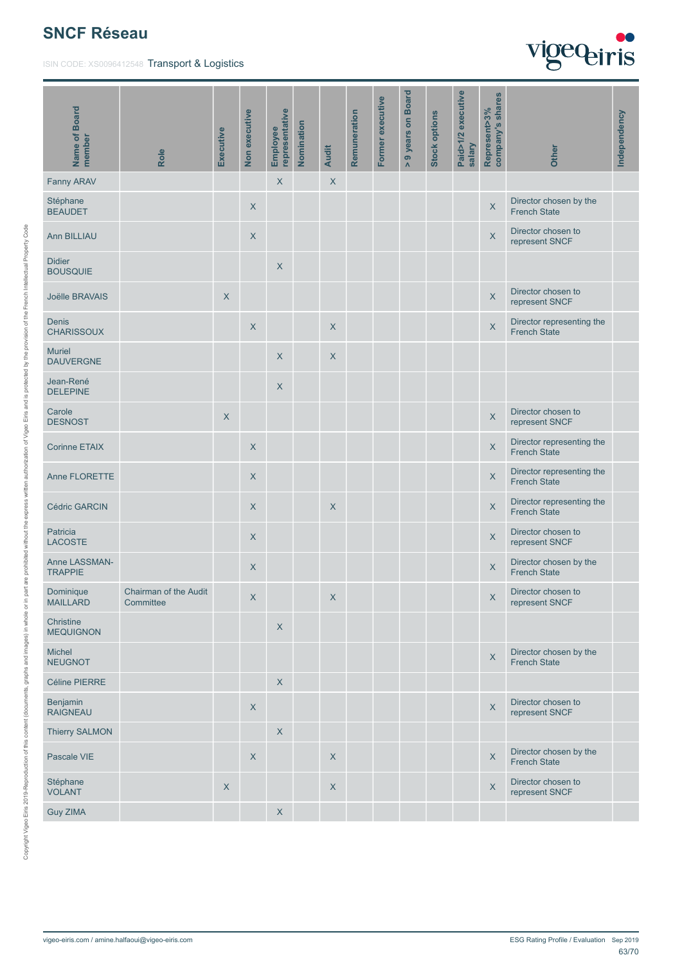#### ISIN CODE: XS0096412548 Transport & Logistics

![](_page_62_Picture_2.jpeg)

| Name of Board<br>member           | Role                                      | Executive    | Non executive | representative<br>Employee | Nomination | <b>Audit</b> | Remuneration | Former executive | 9 years on Board<br>$\Lambda$ | <b>Stock options</b> | Paid>1/2 executive<br>salary | company's shares<br>Represent>3% | Other                                            | Independency |
|-----------------------------------|-------------------------------------------|--------------|---------------|----------------------------|------------|--------------|--------------|------------------|-------------------------------|----------------------|------------------------------|----------------------------------|--------------------------------------------------|--------------|
| Fanny ARAV                        |                                           |              |               | $\boldsymbol{\mathsf{X}}$  |            | $\mathsf X$  |              |                  |                               |                      |                              |                                  |                                                  |              |
| Stéphane<br><b>BEAUDET</b>        |                                           |              | X             |                            |            |              |              |                  |                               |                      |                              | $\mathsf X$                      | Director chosen by the<br><b>French State</b>    |              |
| Ann BILLIAU                       |                                           |              | $\mathsf X$   |                            |            |              |              |                  |                               |                      |                              | $\mathsf X$                      | Director chosen to<br>represent SNCF             |              |
| <b>Didier</b><br><b>BOUSQUIE</b>  |                                           |              |               | $\times$                   |            |              |              |                  |                               |                      |                              |                                  |                                                  |              |
| Joëlle BRAVAIS                    |                                           | $\mathsf{X}$ |               |                            |            |              |              |                  |                               |                      |                              | $\mathsf X$                      | Director chosen to<br>represent SNCF             |              |
| <b>Denis</b><br><b>CHARISSOUX</b> |                                           |              | X             |                            |            | X            |              |                  |                               |                      |                              | $\mathsf X$                      | Director representing the<br><b>French State</b> |              |
| <b>Muriel</b><br><b>DAUVERGNE</b> |                                           |              |               | $\times$                   |            | $\mathsf{X}$ |              |                  |                               |                      |                              |                                  |                                                  |              |
| Jean-René<br><b>DELEPINE</b>      |                                           |              |               | X                          |            |              |              |                  |                               |                      |                              |                                  |                                                  |              |
| Carole<br><b>DESNOST</b>          |                                           | $\mathsf{X}$ |               |                            |            |              |              |                  |                               |                      |                              | $\mathsf X$                      | Director chosen to<br>represent SNCF             |              |
| <b>Corinne ETAIX</b>              |                                           |              | X             |                            |            |              |              |                  |                               |                      |                              | $\mathsf{X}$                     | Director representing the<br><b>French State</b> |              |
| Anne FLORETTE                     |                                           |              | $\mathsf X$   |                            |            |              |              |                  |                               |                      |                              | $\mathsf X$                      | Director representing the<br><b>French State</b> |              |
| <b>Cédric GARCIN</b>              |                                           |              | X             |                            |            | X            |              |                  |                               |                      |                              | $\mathsf{X}$                     | Director representing the<br>French State        |              |
| Patricia<br><b>LACOSTE</b>        |                                           |              | $\mathsf X$   |                            |            |              |              |                  |                               |                      |                              | $\mathsf X$                      | Director chosen to<br>represent SNCF             |              |
| Anne LASSMAN-<br><b>TRAPPIE</b>   |                                           |              | $\mathsf X$   |                            |            |              |              |                  |                               |                      |                              | $\mathsf X$                      | Director chosen by the<br><b>French State</b>    |              |
| Dominique<br><b>MAILLARD</b>      | <b>Chairman of the Audit</b><br>Committee |              | X.            |                            |            | X.           |              |                  |                               |                      |                              | X                                | Director chosen to<br>represent SNCF             |              |
| Christine<br><b>MEQUIGNON</b>     |                                           |              |               | $\mathsf X$                |            |              |              |                  |                               |                      |                              |                                  |                                                  |              |
| Michel<br><b>NEUGNOT</b>          |                                           |              |               |                            |            |              |              |                  |                               |                      |                              | $\mathsf X$                      | Director chosen by the<br><b>French State</b>    |              |
| Céline PIERRE                     |                                           |              |               | $\mathsf X$                |            |              |              |                  |                               |                      |                              |                                  |                                                  |              |
| Benjamin<br><b>RAIGNEAU</b>       |                                           |              | X             |                            |            |              |              |                  |                               |                      |                              | $\mathsf{X}$                     | Director chosen to<br>represent SNCF             |              |
| <b>Thierry SALMON</b>             |                                           |              |               | $\mathsf X$                |            |              |              |                  |                               |                      |                              |                                  |                                                  |              |
| Pascale VIE                       |                                           |              | $\mathsf X$   |                            |            | $\mathsf X$  |              |                  |                               |                      |                              | $\mathsf X$                      | Director chosen by the<br><b>French State</b>    |              |
| Stéphane<br><b>VOLANT</b>         |                                           | $\mathsf X$  |               |                            |            | $\mathsf X$  |              |                  |                               |                      |                              | $\mathsf X$                      | Director chosen to<br>represent SNCF             |              |
| <b>Guy ZIMA</b>                   |                                           |              |               | $\mathsf X$                |            |              |              |                  |                               |                      |                              |                                  |                                                  |              |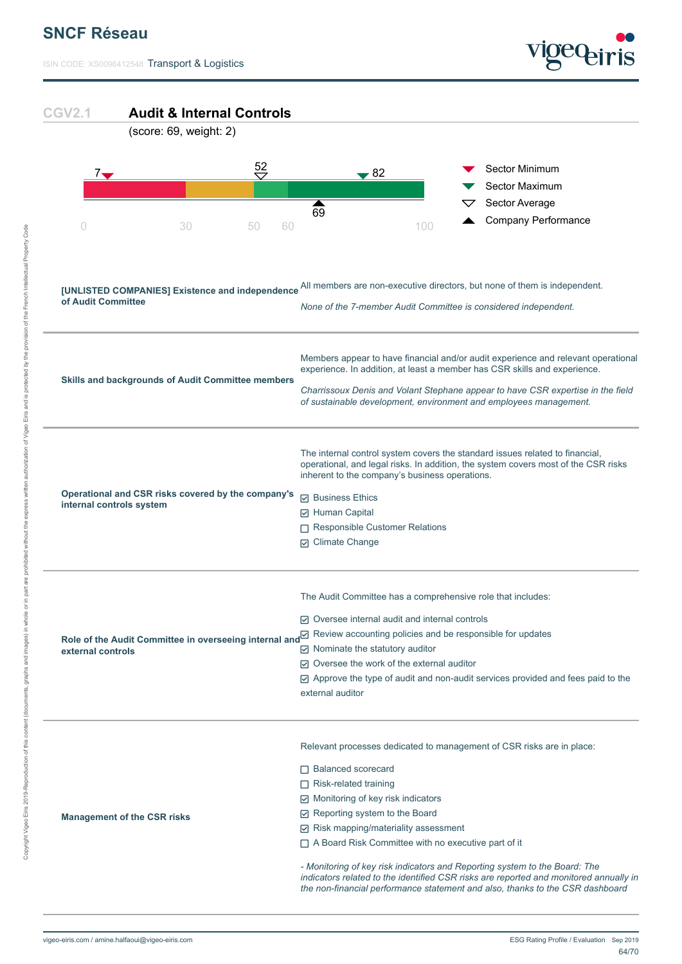![](_page_63_Picture_2.jpeg)

<span id="page-63-0"></span>![](_page_63_Figure_3.jpeg)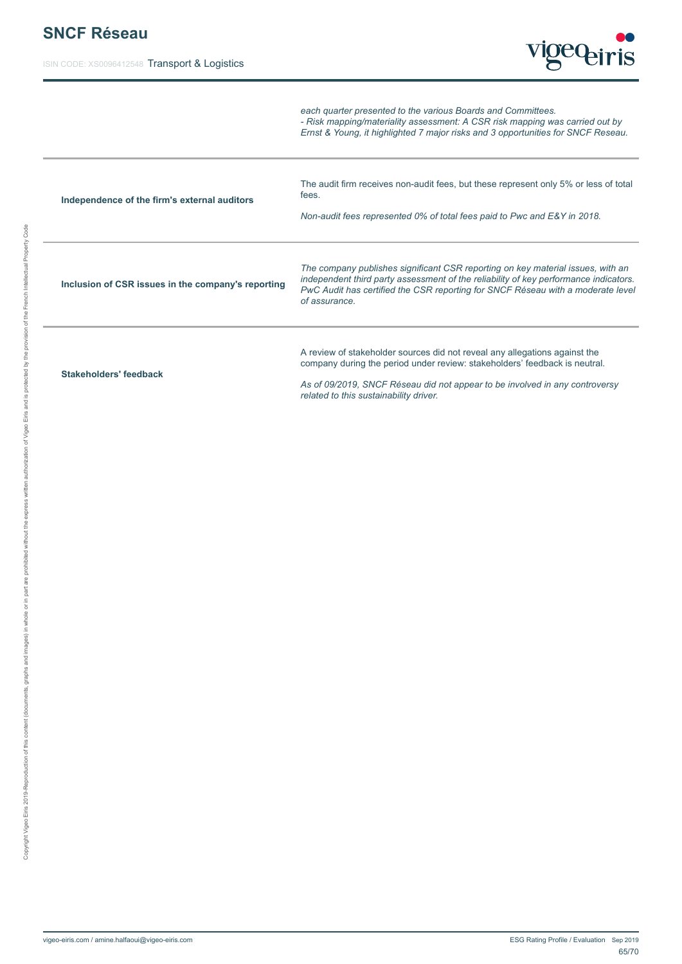![](_page_64_Picture_2.jpeg)

*each quarter presented to the various Boards and Committees. - Risk mapping/materiality assessment: A CSR risk mapping was carried out by Ernst & Young, it highlighted 7 major risks and 3 opportunities for SNCF Reseau.*

| Independence of the firm's external auditors       | The audit firm receives non-audit fees, but these represent only 5% or less of total<br>fees.<br>Non-audit fees represented 0% of total fees paid to Pwc and E&Y in 2018.                                                                                                         |
|----------------------------------------------------|-----------------------------------------------------------------------------------------------------------------------------------------------------------------------------------------------------------------------------------------------------------------------------------|
| Inclusion of CSR issues in the company's reporting | The company publishes significant CSR reporting on key material issues, with an<br>independent third party assessment of the reliability of key performance indicators.<br>PwC Audit has certified the CSR reporting for SNCF Réseau with a moderate level<br>of assurance.       |
| Stakeholders' feedback                             | A review of stakeholder sources did not reveal any allegations against the<br>company during the period under review: stakeholders' feedback is neutral.<br>As of 09/2019, SNCF Réseau did not appear to be involved in any controversy<br>related to this sustainability driver. |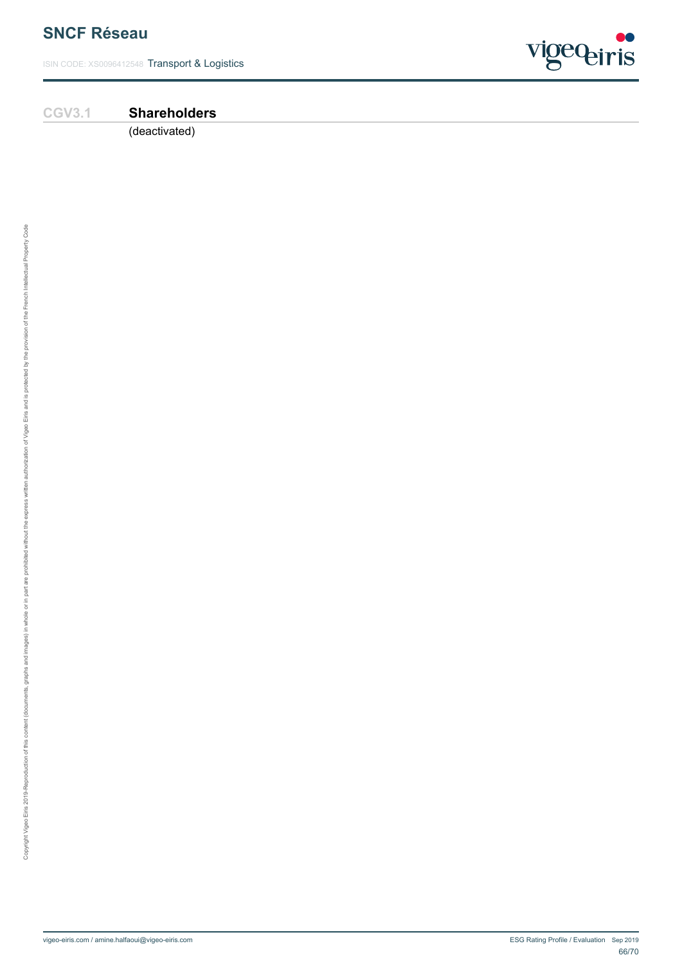ISIN CODE: XS0096412548 Transport & Logistics

![](_page_65_Picture_2.jpeg)

### <span id="page-65-0"></span>**CGV3.1 Shareholders**

(deactivated)

[vigeo-eiris.com](http://www.vigeo-eiris.com/) / amine.halfaoui@vigeo-eiris.com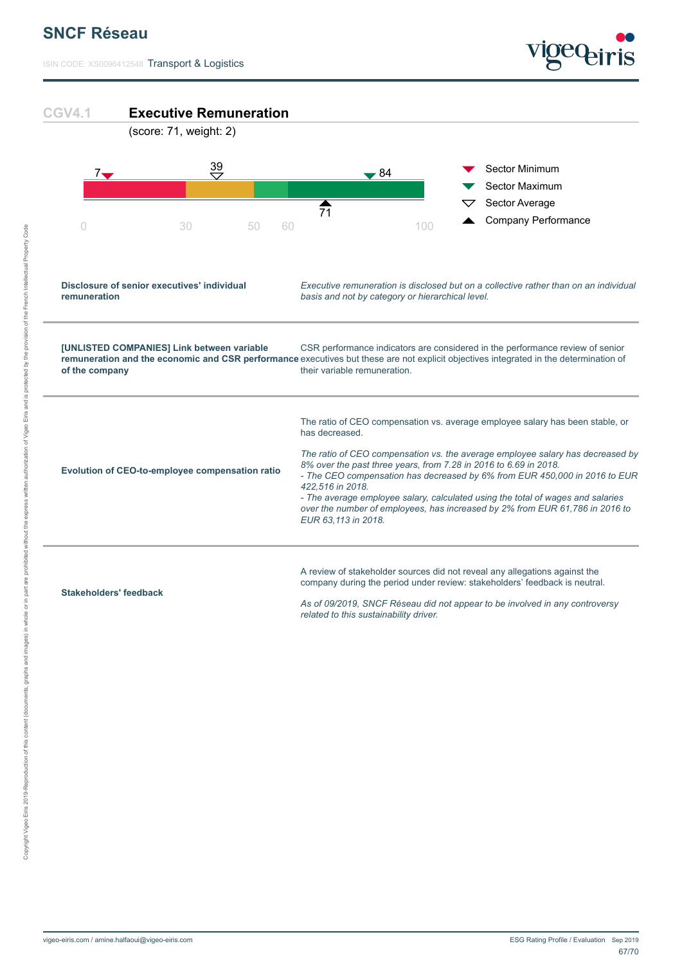![](_page_66_Picture_2.jpeg)

<span id="page-66-0"></span>![](_page_66_Figure_3.jpeg)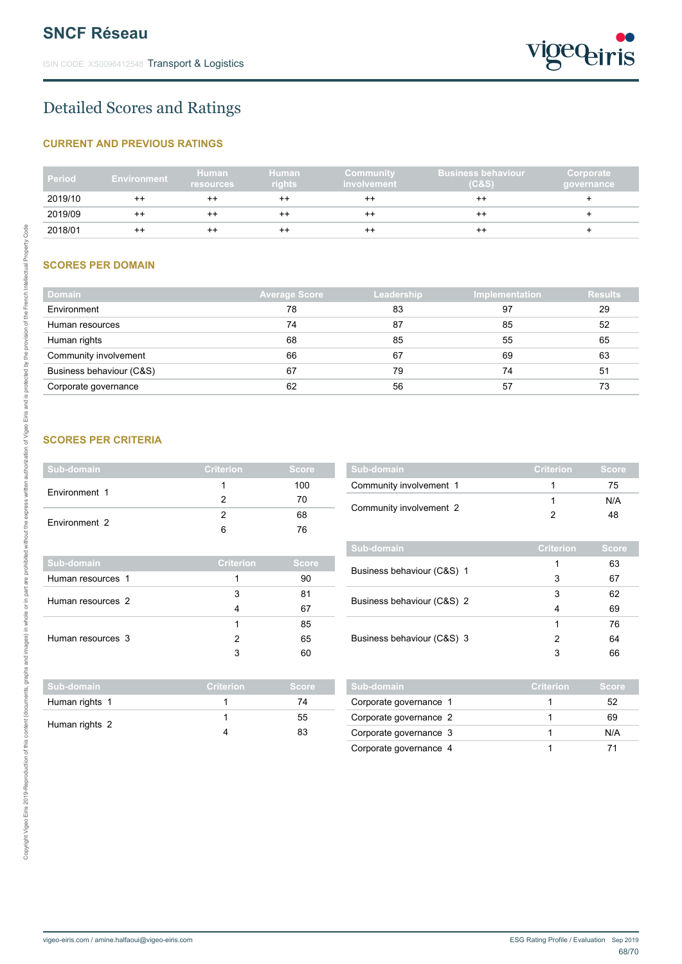# Detailed Scores and Ratings

### **CURRENT AND PREVIOUS RATINGS**

| Period  | <b>Environment</b> | <b>Human</b><br><b>resources</b> | <b>Human</b><br>rights | <b>Community</b><br>involvement | <b>Business behaviour</b><br>(C&S) | Corporate<br>qovernance |
|---------|--------------------|----------------------------------|------------------------|---------------------------------|------------------------------------|-------------------------|
| 2019/10 |                    |                                  | $^{\mathrm{+}}$        |                                 |                                    |                         |
| 2019/09 |                    |                                  | $^{\mathrm{+}}$        |                                 |                                    |                         |
| 2018/01 |                    |                                  | $^{\mathrm{+}}$        |                                 |                                    |                         |

#### **SCORES PER DOMAIN**

| <b>Domain</b>            | <b>Average Score</b> | Leadership | Implementation | <b>Results</b> |
|--------------------------|----------------------|------------|----------------|----------------|
| Environment              | 78                   | 83         | 97             | 29             |
| Human resources          | 74                   | 87         | 85             | 52             |
| Human rights             | 68                   | 85         | 55             | 65             |
| Community involvement    | 66                   | 67         | 69             | 63             |
| Business behaviour (C&S) | 67                   | 79         | 74             | 51             |
| Corporate governance     | 62                   | 56         | 57             | 73             |

#### **SCORES PER CRITERIA**

| Sub-domain    | <b>Criterion</b> | <b>Score</b> |
|---------------|------------------|--------------|
| Environment 1 |                  | 100          |
|               |                  | 70           |
| Environment 2 |                  | 68           |
|               |                  | 76           |

| Sub-domain        | <b>Criterion</b> | <b>Score</b> |
|-------------------|------------------|--------------|
| Human resources 1 |                  | 90           |
| Human resources 2 | 3                | 81           |
|                   |                  | 67           |
|                   |                  | 85           |
| Human resources 3 | 2                | 65           |
|                   | 3                | R۵           |

| Sub-domain     | <b>Criterion</b> | <b>Score</b> |
|----------------|------------------|--------------|
| Human rights 1 |                  | 74           |
| Human rights 2 |                  | 55           |
|                |                  | 83           |

| Sub-domain              | <b>Criterion</b> | <b>Score</b> |
|-------------------------|------------------|--------------|
| Community involvement 1 |                  | 75           |
|                         |                  | N/A          |
| Community involvement 2 |                  | 48.          |
|                         |                  |              |

| Sub-domain                 | <b>Criterion</b> | <b>Score</b> |
|----------------------------|------------------|--------------|
| Business behaviour (C&S) 1 |                  | 63           |
|                            | 3                | 67           |
|                            | 3                | 62           |
| Business behaviour (C&S) 2 | 4                | 69           |
|                            | 1                | 76           |
| Business behaviour (C&S) 3 | 2                | 64           |
|                            | 3                | 66           |

| Sub-domain             | <b>Criterion</b> | <b>Score</b> |
|------------------------|------------------|--------------|
| Corporate governance 1 |                  | 52           |
| Corporate governance 2 |                  | 69           |
| Corporate governance 3 |                  | N/A          |
| Corporate governance 4 |                  |              |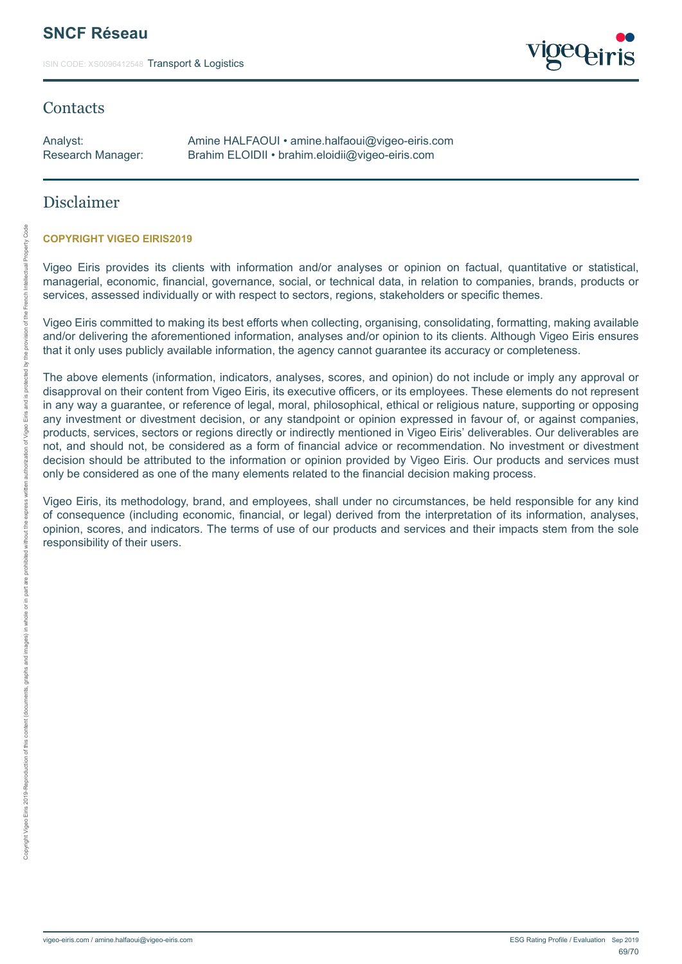ISIN CODE: XS0096412548 Transport & Logistics

![](_page_68_Picture_2.jpeg)

### **Contacts**

Analyst: Amine HALFAOUI • amine.halfaoui@vigeo-eiris.com Research Manager: Brahim ELOIDII • brahim.eloidii@vigeo-eiris.com

### Disclaimer

### **COPYRIGHT VIGEO EIRIS2019**

Vigeo Eiris provides its clients with information and/or analyses or opinion on factual, quantitative or statistical, managerial, economic, financial, governance, social, or technical data, in relation to companies, brands, products or services, assessed individually or with respect to sectors, regions, stakeholders or specific themes.

Vigeo Eiris committed to making its best efforts when collecting, organising, consolidating, formatting, making available and/or delivering the aforementioned information, analyses and/or opinion to its clients. Although Vigeo Eiris ensures that it only uses publicly available information, the agency cannot guarantee its accuracy or completeness.

The above elements (information, indicators, analyses, scores, and opinion) do not include or imply any approval or disapproval on their content from Vigeo Eiris, its executive officers, or its employees. These elements do not represent in any way a guarantee, or reference of legal, moral, philosophical, ethical or religious nature, supporting or opposing any investment or divestment decision, or any standpoint or opinion expressed in favour of, or against companies, products, services, sectors or regions directly or indirectly mentioned in Vigeo Eiris' deliverables. Our deliverables are not, and should not, be considered as a form of financial advice or recommendation. No investment or divestment decision should be attributed to the information or opinion provided by Vigeo Eiris. Our products and services must only be considered as one of the many elements related to the financial decision making process.

Vigeo Eiris, its methodology, brand, and employees, shall under no circumstances, be held responsible for any kind of consequence (including economic, financial, or legal) derived from the interpretation of its information, analyses, opinion, scores, and indicators. The terms of use of our products and services and their impacts stem from the sole responsibility of their users.